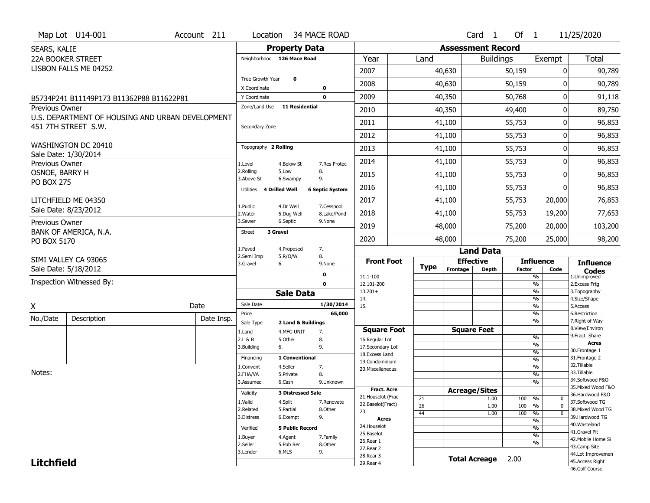| Map Lot U14-001<br>Location 34 MACE ROAD<br>Account 211                                                                   | Of $1$<br>11/25/2020<br>Card 1                                                       |
|---------------------------------------------------------------------------------------------------------------------------|--------------------------------------------------------------------------------------|
| <b>Property Data</b><br>SEARS, KALIE                                                                                      | <b>Assessment Record</b>                                                             |
| <b>22A BOOKER STREET</b><br>Year<br>Neighborhood 126 Mace Road<br>Land                                                    | Total<br>Exempt<br><b>Buildings</b>                                                  |
| LISBON FALLS ME 04252<br>2007                                                                                             | 40,630<br>50,159<br>$\mathbf{0}$<br>90,789                                           |
| Tree Growth Year<br>$\mathbf 0$<br>2008                                                                                   | 90,789<br>40,630<br>50,159<br>0                                                      |
| X Coordinate<br>$\mathbf 0$                                                                                               |                                                                                      |
| 2009<br>Y Coordinate<br>$\mathbf 0$<br>B5734P241 B11149P173 B11362P88 B11622P81<br>Zone/Land Use<br><b>11 Residential</b> | 50,768<br>$\mathbf{0}$<br>40,350<br>91,118                                           |
| <b>Previous Owner</b><br>2010<br>U.S. DEPARTMENT OF HOUSING AND URBAN DEVELOPMENT                                         | 40,350<br>49,400<br>0<br>89,750                                                      |
| 2011<br>451 7TH STREET S.W.<br>Secondary Zone                                                                             | 55,753<br>41,100<br>0<br>96,853                                                      |
| 2012                                                                                                                      | 55,753<br>0<br>96,853<br>41,100                                                      |
| WASHINGTON DC 20410<br>Topography 2 Rolling<br>2013                                                                       | 41,100<br>55,753<br>0<br>96,853                                                      |
| Sale Date: 1/30/2014<br>2014                                                                                              | 55,753<br>0<br>96,853<br>41,100                                                      |
| Previous Owner<br>7.Res Protec<br>1.Level<br>4.Below St<br>2.Rolling<br>8.<br>5.Low<br>OSNOE, BARRY H                     | 0                                                                                    |
| 2015<br>3.Above St<br>9.<br>6.Swampy<br><b>PO BOX 275</b>                                                                 | 55,753<br>96,853<br>41,100                                                           |
| 2016<br><b>6 Septic System</b><br><b>4 Drilled Well</b><br>Utilities                                                      | 55,753<br>96,853<br>41,100<br>0                                                      |
| 2017<br>LITCHFIELD ME 04350<br>1.Public<br>4.Dr Well<br>7.Cesspool                                                        | 41,100<br>55,753<br>20,000<br>76,853                                                 |
| Sale Date: 8/23/2012<br>2018<br>2. Water<br>5.Dug Well<br>8.Lake/Pond                                                     | 55,753<br>19,200<br>41,100<br>77,653                                                 |
| 3.Sewer<br>6.Septic<br>9.None<br>Previous Owner<br>2019                                                                   | 48,000<br>75,200<br>20,000<br>103,200                                                |
| BANK OF AMERICA, N.A.<br>3 Gravel<br><b>Street</b><br>2020                                                                | 48,000<br>75,200<br>25,000<br>98,200                                                 |
| PO BOX 5170<br>1.Paved<br>7.<br>4.Proposed                                                                                | <b>Land Data</b>                                                                     |
| 2.Semi Imp<br>5.R/O/W<br>8.<br>SIMI VALLEY CA 93065<br><b>Front Foot</b>                                                  | <b>Effective</b><br><b>Influence</b><br><b>Influence</b>                             |
| 3.Gravel<br>6.<br>9.None<br><b>Type</b><br>Sale Date: 5/18/2012                                                           | Frontage<br><b>Depth</b><br><b>Factor</b><br>Code<br><b>Codes</b>                    |
| 0<br>11.1-100<br>Inspection Witnessed By:<br>$\mathbf 0$<br>12.101-200                                                    | %<br>1.Unimproved<br>$\frac{9}{6}$<br>2. Excess Frtg                                 |
| $13.201+$<br><b>Sale Data</b>                                                                                             | %<br>3. Topography                                                                   |
| 14.<br>Sale Date<br>1/30/2014<br>Date<br>X<br>15.                                                                         | $\frac{9}{6}$<br>4.Size/Shape<br>$\frac{9}{6}$<br>5.Access                           |
| 65,000<br>Price<br>Date Insp.                                                                                             | %<br>6.Restriction                                                                   |
| No./Date<br>Description<br>Sale Type<br>2 Land & Buildings                                                                | %<br>7. Right of Way<br>8.View/Environ                                               |
| <b>Square Foot</b><br>1.Land<br>4.MFG UNIT<br>7.<br>2.L & B<br>5.Other<br>8.<br>16.Regular Lot                            | <b>Square Feet</b><br>9. Fract Share<br>$\frac{9}{6}$                                |
| 3.Building<br>9.<br>17.Secondary Lot<br>6.                                                                                | <b>Acres</b><br>$\frac{9}{6}$<br>30. Frontage 1                                      |
| 18. Excess Land<br>1 Conventional<br>Financing<br>19.Condominium                                                          | $\frac{9}{6}$<br>31. Frontage 2<br>$\frac{9}{6}$                                     |
| 4.Seller<br>1.Convent<br>7.<br>20.Miscellaneous<br>Notes:                                                                 | 32. Tillable<br>$\frac{9}{6}$<br>33.Tillable                                         |
| 2.FHA/VA<br>5.Private<br>8.<br>3.Assumed<br>6.Cash<br>9.Unknown                                                           | $\frac{9}{6}$<br>34.Softwood F&O<br>$\overline{\frac{9}{6}}$                         |
| Fract. Acre<br><b>3 Distressed Sale</b><br>Validity                                                                       | 35. Mixed Wood F&O<br><b>Acreage/Sites</b>                                           |
| 21. Houselot (Frac<br>21<br>1.Valid<br>4.Split<br>7.Renovate<br>22.Baselot(Fract)                                         | 36.Hardwood F&O<br>1.00<br>100<br>%<br>0<br>37.Softwood TG                           |
| 26<br>2.Related<br>8.Other<br>5.Partial<br>23.<br>44                                                                      | 1.00<br>100<br>%<br>$\Omega$<br>38. Mixed Wood TG<br>100<br>1.00<br>%<br>$\mathbf 0$ |
| 6.Exempt<br>3.Distress<br>9.<br><b>Acres</b>                                                                              | 39.Hardwood TG<br>$\frac{9}{6}$                                                      |
|                                                                                                                           | 40. Wasteland                                                                        |
| 24. Houselot<br><b>5 Public Record</b><br>Verified                                                                        | %                                                                                    |
| 25.Baselot<br>4.Agent<br>7.Family<br>1.Buyer                                                                              | 41.Gravel Pit<br>$\frac{9}{6}$                                                       |
| 26.Rear 1<br>2.Seller<br>5.Pub Rec<br>8.0ther                                                                             | 42. Mobile Home Si<br>%<br>43.Camp Site                                              |
| 27.Rear 2<br>6.MLS<br>9.<br>3.Lender<br>28. Rear 3<br><b>Litchfield</b>                                                   | 44.Lot Improvemen<br><b>Total Acreage</b><br>2.00<br>45.Access Right                 |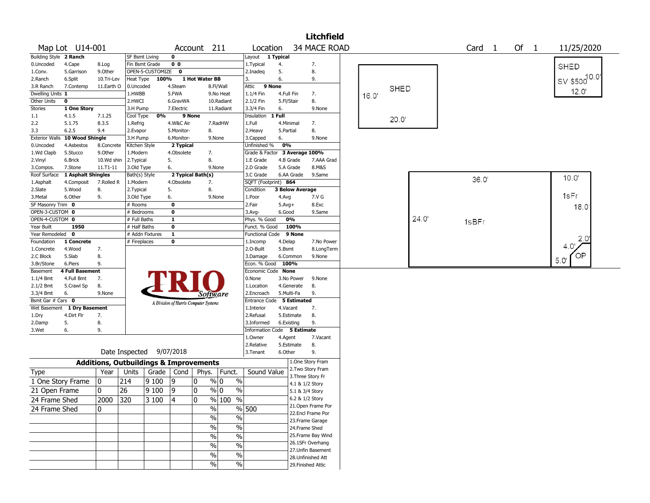|                        |                        |              |                                                   |                  |                                       |                   |                       |                               |            |                        | <b>Litchfield</b>  |      |             |       |       |                   |      |                               |
|------------------------|------------------------|--------------|---------------------------------------------------|------------------|---------------------------------------|-------------------|-----------------------|-------------------------------|------------|------------------------|--------------------|------|-------------|-------|-------|-------------------|------|-------------------------------|
|                        | Map Lot U14-001        |              |                                                   |                  |                                       | Account 211       |                       | Location                      |            |                        | 34 MACE ROAD       |      |             |       |       | Card <sub>1</sub> | Of 1 | 11/25/2020                    |
| Building Style 2 Ranch |                        |              | <b>SF Bsmt Living</b>                             |                  | $\mathbf 0$                           |                   |                       | Layout 1 Typical              |            |                        |                    |      |             |       |       |                   |      |                               |
| 0.Uncoded              | 4.Cape                 | 8.Log        | Fin Bsmt Grade                                    |                  | 0 <sub>0</sub>                        |                   |                       | 1. Typical                    | 4.         |                        | 7.                 |      |             |       |       |                   |      | <b>SHED</b>                   |
| 1.Conv.                | 5.Garrison             | 9.Other      |                                                   | OPEN-5-CUSTOMIZE | $\mathbf 0$                           |                   |                       | 2.Inadeg                      | 5.         |                        | 8.                 |      |             |       |       |                   |      |                               |
| 2.Ranch                | 6.Split                | 10.Tri-Lev   | Heat Type                                         | 100%             |                                       | 1 Hot Water BB    |                       | 3.                            | 6.         |                        | 9.                 |      |             |       |       |                   |      | ' sv \$500 <sup>10.0'</sup> । |
| 3.R Ranch              | 7.Contemp              | 11.Earth O   | 0.Uncoded                                         |                  | 4.Steam                               |                   | 8.Fl/Wall             | Attic                         | 9 None     |                        |                    |      | <b>SHED</b> |       |       |                   |      |                               |
| Dwelling Units 1       |                        |              | 1.HWBB                                            |                  | 5.FWA                                 |                   | 9.No Heat             | 1.1/4 Fin                     | 4.Full Fin |                        | 7.                 | 16.0 |             |       |       |                   |      | 12.0'                         |
| Other Units            | $\mathbf 0$            |              | 2.HWCI                                            |                  | 6.GravWA                              |                   | 10.Radiant            | 2.1/2 Fin                     | 5.Fl/Stair |                        | 8.                 |      |             |       |       |                   |      |                               |
| <b>Stories</b>         | 1 One Story            |              | 3.H Pump                                          |                  | 7.Electric                            |                   | 11.Radiant            | 3.3/4 Fin                     | 6.         |                        | 9.None             |      |             |       |       |                   |      |                               |
| 1.1                    | 4.1.5                  | 7.1.25       | Cool Type                                         | 0%               |                                       | 9 None            |                       | Insulation                    | 1 Full     |                        |                    |      | 20.0'       |       |       |                   |      |                               |
| 2.2                    | 5.1.75                 | 8.3.5        | 1.Refrig                                          |                  | 4.W&C Air                             |                   | 7.RadHW               | 1.Full                        | 4.Minimal  |                        | 7.                 |      |             |       |       |                   |      |                               |
| 3.3                    | 6.2.5                  | 9.4          | 2.Evapor                                          |                  | 5.Monitor-                            | 8.                |                       | 2. Heavy                      | 5.Partial  |                        | 8.                 |      |             |       |       |                   |      |                               |
| <b>Exterior Walls</b>  | 10 Wood Shingle        |              | 3.H Pump                                          |                  | 6.Monitor-                            |                   | 9.None                | 3.Capped                      | 6.         |                        | 9.None             |      |             |       |       |                   |      |                               |
| 0.Uncoded              | 4.Asbestos             | 8.Concrete   | Kitchen Style                                     |                  | 2 Typical                             |                   |                       | Unfinished %                  | 0%         |                        |                    |      |             |       |       |                   |      |                               |
| 1.Wd Clapb             | 5.Stucco               | 9.0ther      | 1.Modern                                          |                  | 4.Obsolete                            | 7.                |                       | Grade & Factor 3 Average 100% |            |                        |                    |      |             |       |       |                   |      |                               |
| 2.Vinyl                | 6.Brick                | 10.Wd shin   | 2.Typical                                         |                  | 5.                                    | 8.                |                       | 1.E Grade                     | 4.B Grade  |                        | 7.AAA Grad         |      |             |       |       |                   |      |                               |
| 3.Compos.              | 7.Stone                | $11.71 - 11$ | 3.Old Type                                        |                  | 6.                                    |                   | 9.None                | 2.D Grade                     | 5.A Grade  |                        | 8.M&S              |      |             |       |       |                   |      |                               |
| Roof Surface           | 1 Asphalt Shingles     |              | Bath(s) Style                                     |                  |                                       | 2 Typical Bath(s) |                       | 3.C Grade                     |            | 6.AA Grade             | 9.Same             |      |             |       |       | 36.0'             |      | 10.0'                         |
| 1.Asphalt              | 4.Composit             | 7.Rolled R   | 1.Modern                                          |                  | 4.Obsolete                            | 7.                |                       | SQFT (Footprint) 864          |            |                        |                    |      |             |       |       |                   |      |                               |
| 2.Slate                | 5.Wood                 | 8.           | 2. Typical                                        |                  | 5.                                    | 8.                |                       | Condition                     |            | <b>3 Below Average</b> |                    |      |             |       |       |                   |      |                               |
| 3. Metal               | 6.Other                | 9.           | 3.Old Type                                        |                  | 6.                                    |                   | 9.None                | 1.Poor                        | 4.Avg      |                        | 7.V G              |      |             |       |       |                   |      | 1sFr                          |
| SF Masonry Trim 0      |                        |              | # Rooms                                           |                  | 0                                     |                   |                       | 2.Fair                        | $5.Avg+$   |                        | 8.Exc              |      |             |       |       |                   |      | 18.0                          |
| OPEN-3-CUSTOM 0        |                        |              | # Bedrooms                                        |                  | 0                                     |                   |                       | $3.$ Avg-                     | 6.Good     |                        | 9.Same             |      |             |       |       |                   |      |                               |
| OPEN-4-CUSTOM 0        |                        |              | # Full Baths                                      |                  | $\mathbf{1}$                          |                   |                       | Phys. % Good                  |            | 0%                     |                    |      |             | 24.0' | 1sBFr |                   |      |                               |
| Year Built             | 1950                   |              | # Half Baths                                      |                  | $\bf{0}$                              |                   |                       | Funct. % Good                 |            | 100%                   |                    |      |             |       |       |                   |      |                               |
| Year Remodeled         | $\mathbf 0$            |              |                                                   | # Addn Fixtures  | $\mathbf{1}$                          |                   |                       | <b>Functional Code</b>        |            | 9 None                 |                    |      |             |       |       |                   |      |                               |
| Foundation             | 1 Concrete             |              | # Fireplaces                                      |                  | $\bf{0}$                              |                   |                       | 1.Incomp                      | 4.Delap    |                        | 7.No Power         |      |             |       |       |                   |      | 2,0                           |
| 1.Concrete             | 4.Wood                 | 7.           |                                                   |                  |                                       |                   |                       | 2.0-Built                     | 5.Bsmt     |                        | 8.LongTerm         |      |             |       |       |                   |      | 4.0'                          |
| 2.C Block              | 5.Slab                 | 8.           |                                                   |                  |                                       |                   |                       | 3.Damage                      |            | 6.Common               | 9.None             |      |             |       |       |                   |      | OP                            |
| 3.Br/Stone             | 6.Piers                | 9.           |                                                   |                  |                                       |                   |                       | Econ. % Good 100%             |            |                        |                    |      |             |       |       |                   |      | 5.0'                          |
| Basement               | <b>4 Full Basement</b> |              |                                                   |                  |                                       |                   |                       | Economic Code None            |            |                        |                    |      |             |       |       |                   |      |                               |
| $1.1/4$ Bmt            | 4.Full Bmt             | 7.           |                                                   |                  |                                       |                   |                       | 0.None                        |            | 3.No Power             | 9.None             |      |             |       |       |                   |      |                               |
| 2.1/2 Bmt              | 5.Crawl Sp             | 8.           |                                                   |                  |                                       |                   |                       | 1.Location                    |            | 4.Generate             | 8.                 |      |             |       |       |                   |      |                               |
| 3.3/4 Bmt              | 6.                     | 9.None       |                                                   |                  |                                       | Software          |                       | 2.Encroach                    | 5.Multi-Fa |                        | 9.                 |      |             |       |       |                   |      |                               |
| Bsmt Gar # Cars 0      |                        |              |                                                   |                  | A Division of Harris Computer Systems |                   |                       | Entrance Code 5 Estimated     |            |                        |                    |      |             |       |       |                   |      |                               |
| Wet Basement           | 1 Dry Basement         |              |                                                   |                  |                                       |                   |                       | 1.Interior                    | 4.Vacant   |                        | 7.                 |      |             |       |       |                   |      |                               |
| 1.Dry                  | 4.Dirt Flr             | 7.           |                                                   |                  |                                       |                   |                       | 2.Refusal                     |            | 5.Estimate             | 8.                 |      |             |       |       |                   |      |                               |
| 2.Damp                 | 5.                     | 8.           |                                                   |                  |                                       |                   |                       | 3.Informed                    | 6.Existing |                        | 9.                 |      |             |       |       |                   |      |                               |
| 3.Wet                  | 6.                     | 9.           |                                                   |                  |                                       |                   |                       | Information Code 5 Estimate   |            |                        |                    |      |             |       |       |                   |      |                               |
|                        |                        |              |                                                   |                  |                                       |                   |                       | 1.0wner                       | 4.Agent    |                        | 7.Vacant           |      |             |       |       |                   |      |                               |
|                        |                        |              |                                                   |                  |                                       |                   |                       | 2.Relative                    |            | 5.Estimate             | 8.                 |      |             |       |       |                   |      |                               |
|                        |                        |              | Date Inspected 9/07/2018                          |                  |                                       |                   |                       | 3.Tenant                      | 6.Other    |                        | 9.                 |      |             |       |       |                   |      |                               |
|                        |                        |              | <b>Additions, Outbuildings &amp; Improvements</b> |                  |                                       |                   |                       |                               |            |                        | 1.One Story Fram   |      |             |       |       |                   |      |                               |
| <b>Type</b>            |                        | Year         | Units                                             |                  | Grade   Cond                          | Phys.             | Funct.                | Sound Value                   |            |                        | 2. Two Story Fram  |      |             |       |       |                   |      |                               |
|                        | 1 One Story Frame      | 0            | 214                                               | 9100             | 19                                    | 10                | % 0<br>$\%$           |                               |            |                        | 3. Three Story Fr  |      |             |       |       |                   |      |                               |
|                        |                        |              |                                                   |                  |                                       |                   |                       |                               |            | 4.1 & 1/2 Story        |                    |      |             |       |       |                   |      |                               |
| 21 Open Frame          |                        | 0            | 26                                                | 9100             | 9                                     | 0                 | % 0<br>$\%$           |                               |            | 5.1 & 3/4 Story        |                    |      |             |       |       |                   |      |                               |
| 24 Frame Shed          |                        | 2000         | $\overline{320}$                                  | 3 100            | 14                                    | 0                 | $\frac{1}{2}$<br>%100 |                               |            | 6.2 & 1/2 Story        |                    |      |             |       |       |                   |      |                               |
| 24 Frame Shed          |                        | 0            |                                                   |                  |                                       | $\%$              |                       | % 500                         |            |                        | 21. Open Frame Por |      |             |       |       |                   |      |                               |
|                        |                        |              |                                                   |                  |                                       | $\sqrt{6}$        | $\frac{0}{0}$         |                               |            |                        | 22.Encl Frame Por  |      |             |       |       |                   |      |                               |
|                        |                        |              |                                                   |                  |                                       |                   |                       |                               |            |                        | 23. Frame Garage   |      |             |       |       |                   |      |                               |
|                        |                        |              |                                                   |                  |                                       | $\frac{0}{0}$     | $\%$                  |                               |            | 24.Frame Shed          |                    |      |             |       |       |                   |      |                               |
|                        |                        |              |                                                   |                  |                                       | $\%$              | $\%$                  |                               |            |                        | 25. Frame Bay Wind |      |             |       |       |                   |      |                               |
|                        |                        |              |                                                   |                  |                                       | $\frac{0}{0}$     | $\%$                  |                               |            |                        | 26.1SFr Overhang   |      |             |       |       |                   |      |                               |
|                        |                        |              |                                                   |                  |                                       | $\%$              | $\%$                  |                               |            |                        | 27.Unfin Basement  |      |             |       |       |                   |      |                               |
|                        |                        |              |                                                   |                  |                                       |                   |                       |                               |            |                        | 28.Unfinished Att  |      |             |       |       |                   |      |                               |
|                        |                        |              |                                                   |                  |                                       | $\%$              | $\%$                  |                               |            |                        | 29. Finished Attic |      |             |       |       |                   |      |                               |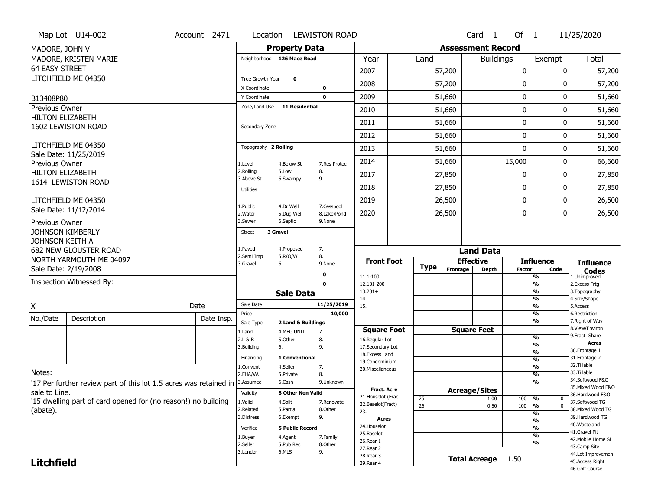|                         | Map Lot U14-002                                                   | Account 2471 | Location                |                            | <b>LEWISTON ROAD</b>      |                                    |                 |          | Card <sub>1</sub>        | Of 1          |                                 | 11/25/2020                           |
|-------------------------|-------------------------------------------------------------------|--------------|-------------------------|----------------------------|---------------------------|------------------------------------|-----------------|----------|--------------------------|---------------|---------------------------------|--------------------------------------|
| MADORE, JOHN V          |                                                                   |              |                         | <b>Property Data</b>       |                           |                                    |                 |          | <b>Assessment Record</b> |               |                                 |                                      |
|                         | MADORE, KRISTEN MARIE                                             |              |                         | Neighborhood 126 Mace Road |                           | Year                               | Land            |          | <b>Buildings</b>         |               | Exempt                          | <b>Total</b>                         |
| <b>64 EASY STREET</b>   |                                                                   |              |                         |                            |                           | 2007                               |                 | 57,200   |                          | 0             |                                 | 57,200<br>0                          |
|                         | LITCHFIELD ME 04350                                               |              | Tree Growth Year        | $\mathbf 0$                |                           |                                    |                 |          |                          |               |                                 |                                      |
|                         |                                                                   |              | X Coordinate            |                            | $\mathbf 0$               | 2008                               |                 | 57,200   |                          | 0             |                                 | 57,200<br>0                          |
| B13408P80               |                                                                   |              | Y Coordinate            |                            | $\mathbf 0$               | 2009                               |                 | 51,660   |                          | $\pmb{0}$     |                                 | 0<br>51,660                          |
| Previous Owner          |                                                                   |              | Zone/Land Use           | <b>11 Residential</b>      |                           | 2010                               |                 | 51,660   |                          | 0             |                                 | 51,660<br>0                          |
| <b>HILTON ELIZABETH</b> | 1602 LEWISTON ROAD                                                |              | Secondary Zone          |                            |                           | 2011                               |                 | 51,660   |                          | $\mathbf 0$   |                                 | 0<br>51,660                          |
|                         |                                                                   |              |                         |                            |                           | 2012                               |                 | 51,660   |                          | 0             |                                 | 0<br>51,660                          |
|                         | LITCHFIELD ME 04350                                               |              | Topography 2 Rolling    |                            |                           | 2013                               |                 | 51,660   |                          | $\mathbf 0$   |                                 | 51,660<br>0                          |
| Previous Owner          | Sale Date: 11/25/2019                                             |              | 1.Level                 | 4.Below St                 | 7.Res Protec              | 2014                               |                 | 51,660   |                          | 15,000        |                                 | 0<br>66,660                          |
| <b>HILTON ELIZABETH</b> |                                                                   |              | 2.Rolling<br>3.Above St | 5.Low<br>6.Swampy          | 8.<br>9.                  | 2017                               |                 | 27,850   |                          | 0             |                                 | 27,850<br>0                          |
|                         | 1614 LEWISTON ROAD                                                |              | <b>Utilities</b>        |                            |                           | 2018                               |                 | 27,850   |                          | 0             |                                 | 0<br>27,850                          |
|                         | LITCHFIELD ME 04350                                               |              |                         |                            |                           | 2019                               |                 | 26,500   |                          | $\mathbf 0$   |                                 | 0<br>26,500                          |
|                         | Sale Date: 11/12/2014                                             |              | 1.Public<br>2. Water    | 4.Dr Well<br>5.Dug Well    | 7.Cesspool<br>8.Lake/Pond | 2020                               |                 | 26,500   |                          | 0             |                                 | 26,500<br>0                          |
| Previous Owner          |                                                                   |              | 3.Sewer                 | 6.Septic                   | 9.None                    |                                    |                 |          |                          |               |                                 |                                      |
| <b>JOHNSON KIMBERLY</b> |                                                                   |              | <b>Street</b>           | 3 Gravel                   |                           |                                    |                 |          |                          |               |                                 |                                      |
| JOHNSON KEITH A         |                                                                   |              | 1.Paved                 | 4.Proposed                 | 7.                        |                                    |                 |          |                          |               |                                 |                                      |
|                         | <b>682 NEW GLOUSTER ROAD</b>                                      |              |                         |                            |                           |                                    |                 |          | <b>Land Data</b>         |               |                                 |                                      |
|                         |                                                                   |              | 2.Semi Imp              | 5.R/O/W                    | 8.                        |                                    |                 |          |                          |               |                                 |                                      |
|                         | NORTH YARMOUTH ME 04097                                           |              | 3.Gravel                | 6.                         | 9.None                    | <b>Front Foot</b>                  |                 |          | <b>Effective</b>         |               | <b>Influence</b>                | <b>Influence</b>                     |
|                         | Sale Date: 2/19/2008                                              |              |                         |                            | 0                         | 11.1-100                           | <b>Type</b>     | Frontage | <b>Depth</b>             | <b>Factor</b> | Code<br>%                       | <b>Codes</b><br>1.Unimproved         |
|                         | Inspection Witnessed By:                                          |              |                         |                            | $\mathbf 0$               | 12.101-200                         |                 |          |                          |               | %                               | 2.Excess Frtg                        |
|                         |                                                                   |              |                         | <b>Sale Data</b>           |                           | $13.201+$                          |                 |          |                          |               | %<br>%                          | 3. Topography                        |
| Χ                       |                                                                   | Date         | Sale Date               |                            | 11/25/2019                | 14.<br>15.                         |                 |          |                          |               | %                               | 4.Size/Shape<br>5.Access             |
|                         |                                                                   |              | Price                   |                            | 10,000                    |                                    |                 |          |                          |               | %                               | 6.Restriction                        |
| No./Date                | Description                                                       | Date Insp.   | Sale Type               | 2 Land & Buildings         |                           |                                    |                 |          |                          |               | %                               | 7. Right of Way<br>8.View/Environ    |
|                         |                                                                   |              | 1.Land                  | 4.MFG UNIT                 | 7.                        | <b>Square Foot</b>                 |                 |          | <b>Square Feet</b>       |               | %                               | 9. Fract Share                       |
|                         |                                                                   |              | 2.L & B<br>3.Building   | 5.Other<br>6.              | 8.<br>9.                  | 16.Regular Lot<br>17.Secondary Lot |                 |          |                          |               | %                               | <b>Acres</b>                         |
|                         |                                                                   |              | Financing               | 1 Conventional             |                           | 18. Excess Land                    |                 |          |                          |               | $\frac{9}{6}$                   | 30. Frontage 1                       |
|                         |                                                                   |              | 1.Convent               | 4.Seller                   |                           | 19.Condominium                     |                 |          |                          |               | %<br>$\frac{9}{6}$              | 31. Frontage 2<br>32. Tillable       |
| Notes:                  |                                                                   |              | 2.FHA/VA                | 5.Private                  | 7.<br>8.                  | 20.Miscellaneous                   |                 |          |                          |               | $\frac{9}{6}$                   | 33.Tillable                          |
|                         |                                                                   |              | 3.Assumed               | 6.Cash                     | 9.Unknown                 |                                    |                 |          |                          |               | %                               | 34.Softwood F&O                      |
| sale to Line.           | '17 Per further review part of this lot 1.5 acres was retained in |              | Validity                | <b>8 Other Non Valid</b>   |                           | <b>Fract, Acre</b>                 |                 |          | <b>Acreage/Sites</b>     |               |                                 | 35. Mixed Wood F&O                   |
|                         |                                                                   |              |                         |                            |                           | 21. Houselot (Frac                 | 25              |          | 1.00                     | 100           | %<br>0                          | 36.Hardwood F&O                      |
|                         | '15 dwelling part of card opened for (no reason!) no building     |              | 1.Valid<br>2.Related    | 4.Split<br>5.Partial       | 7.Renovate<br>8.Other     | 22.Baselot(Fract)                  | $\overline{26}$ |          | 0.50                     | 100           | $\overline{0}$<br>$\frac{9}{6}$ | 37.Softwood TG<br>38. Mixed Wood TG  |
| (abate).                |                                                                   |              | 3.Distress              | 6.Exempt                   | 9.                        | 23.                                |                 |          |                          |               | %                               | 39.Hardwood TG                       |
|                         |                                                                   |              |                         |                            |                           | <b>Acres</b><br>24. Houselot       |                 |          |                          |               | %                               | 40.Wasteland                         |
|                         |                                                                   |              | Verified                | <b>5 Public Record</b>     |                           | 25.Baselot                         |                 |          |                          |               | %<br>%                          | 41.Gravel Pit                        |
|                         |                                                                   |              | 1.Buyer                 | 4.Agent                    | 7.Family                  | 26.Rear 1                          |                 |          |                          |               | %                               | 42. Mobile Home Si                   |
|                         |                                                                   |              | 2.Seller<br>3.Lender    | 5.Pub Rec<br>6.MLS         | 8.Other                   | 27. Rear 2                         |                 |          |                          |               |                                 | 43.Camp Site                         |
| <b>Litchfield</b>       |                                                                   |              |                         |                            | 9.                        | 28. Rear 3<br>29. Rear 4           |                 |          | <b>Total Acreage</b>     | 1.50          |                                 | 44.Lot Improvemen<br>45.Access Right |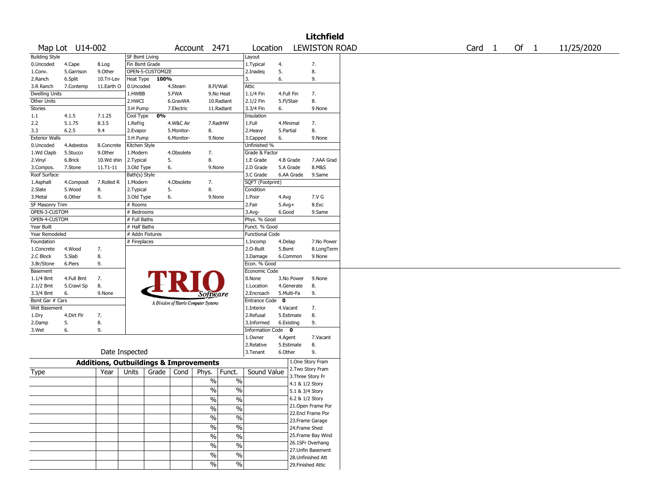|                              |                 |                                                   |                           |                  |            |                                       |               |                          |              |                 | <b>Litchfield</b>                      |  |  |        |  |        |            |  |
|------------------------------|-----------------|---------------------------------------------------|---------------------------|------------------|------------|---------------------------------------|---------------|--------------------------|--------------|-----------------|----------------------------------------|--|--|--------|--|--------|------------|--|
|                              | Map Lot U14-002 |                                                   |                           |                  |            | Account 2471                          |               | Location                 |              |                 | <b>LEWISTON ROAD</b>                   |  |  | Card 1 |  | Of $1$ | 11/25/2020 |  |
| <b>Building Style</b>        |                 |                                                   | SF Bsmt Living            |                  |            |                                       |               | Layout                   |              |                 |                                        |  |  |        |  |        |            |  |
| 0.Uncoded                    | 4.Cape          | 8.Log                                             | Fin Bsmt Grade            |                  |            |                                       |               | 1.Typical                | 4.           |                 | 7.                                     |  |  |        |  |        |            |  |
| 1.Conv.                      | 5.Garrison      | 9.0ther                                           |                           | OPEN-5-CUSTOMIZE |            |                                       |               | 2.Inadeq                 | 5.           |                 | 8.                                     |  |  |        |  |        |            |  |
| 2.Ranch                      | 6.Split         | 10.Tri-Lev                                        |                           | Heat Type 100%   |            |                                       |               | 3.                       | 6.           |                 | 9.                                     |  |  |        |  |        |            |  |
| 3.R Ranch                    | 7.Contemp       | 11.Earth O                                        | 0.Uncoded                 |                  | 4.Steam    |                                       | 8.Fl/Wall     | Attic                    |              |                 |                                        |  |  |        |  |        |            |  |
| <b>Dwelling Units</b>        |                 |                                                   | 1.HWBB                    |                  | 5.FWA      |                                       | 9.No Heat     | 1.1/4 Fin                | 4.Full Fin   |                 | 7.                                     |  |  |        |  |        |            |  |
| Other Units                  |                 |                                                   | 2.HWCI                    |                  | 6.GravWA   |                                       | 10.Radiant    | 2.1/2 Fin                | 5.Fl/Stair   |                 | 8.                                     |  |  |        |  |        |            |  |
| Stories                      |                 |                                                   | 3.H Pump                  |                  | 7.Electric |                                       | 11.Radiant    | 3.3/4 Fin                | 6.           |                 | 9.None                                 |  |  |        |  |        |            |  |
| 1.1                          | 4.1.5           | 7.1.25                                            | Cool Type                 | 0%               |            |                                       |               | Insulation               |              |                 |                                        |  |  |        |  |        |            |  |
| 2.2                          | 5.1.75          | 8.3.5                                             | 1.Refrig                  |                  | 4.W&C Air  |                                       | 7.RadHW       | 1.Full                   | 4.Minimal    |                 | 7.                                     |  |  |        |  |        |            |  |
| 3.3<br><b>Exterior Walls</b> | 6.2.5           | 9.4                                               | 2.Evapor                  |                  | 5.Monitor- | 8.                                    |               | 2.Heavy                  | 5.Partial    |                 | 8.                                     |  |  |        |  |        |            |  |
| 0.Uncoded                    | 4.Asbestos      | 8.Concrete                                        | 3.H Pump<br>Kitchen Style |                  | 6.Monitor- | 9.None                                |               | 3.Capped<br>Unfinished % | 6.           |                 | 9.None                                 |  |  |        |  |        |            |  |
| 1.Wd Clapb                   | 5.Stucco        | 9.0ther                                           | 1.Modern                  |                  | 4.Obsolete | 7.                                    |               | Grade & Factor           |              |                 |                                        |  |  |        |  |        |            |  |
| 2.Vinyl                      | 6.Brick         | 10.Wd shin                                        | 2. Typical                | 5.               |            | 8.                                    |               | 1.E Grade                |              | 4.B Grade       | 7.AAA Grad                             |  |  |        |  |        |            |  |
| 3.Compos.                    | 7.Stone         | $11.71 - 11$                                      | 3.Old Type                | 6.               |            | 9.None                                |               | 2.D Grade                |              | 5.A Grade       | 8.M&S                                  |  |  |        |  |        |            |  |
| Roof Surface                 |                 |                                                   | Bath(s) Style             |                  |            |                                       |               | 3.C Grade                |              | 6.AA Grade      | 9.Same                                 |  |  |        |  |        |            |  |
| 1.Asphalt                    | 4.Composit      | 7.Rolled R                                        | 1.Modern                  |                  | 4.Obsolete | 7.                                    |               | SQFT (Footprint)         |              |                 |                                        |  |  |        |  |        |            |  |
| 2.Slate                      | 5.Wood          | 8.                                                | 2. Typical                | 5.               |            | 8.                                    |               | Condition                |              |                 |                                        |  |  |        |  |        |            |  |
| 3. Metal                     | 6.Other         | 9.                                                | 3.Old Type                | 6.               |            | 9.None                                |               | 1.Poor                   | 4.Avg        |                 | 7.V G                                  |  |  |        |  |        |            |  |
| SF Masonry Trim              |                 |                                                   | # Rooms                   |                  |            |                                       |               | 2.Fair                   | $5.Avg+$     |                 | 8.Exc                                  |  |  |        |  |        |            |  |
| OPEN-3-CUSTOM                |                 |                                                   | # Bedrooms                |                  |            |                                       |               | 3.Avg-                   | 6.Good       |                 | 9.Same                                 |  |  |        |  |        |            |  |
| OPEN-4-CUSTOM                |                 |                                                   | # Full Baths              |                  |            |                                       |               | Phys. % Good             |              |                 |                                        |  |  |        |  |        |            |  |
| Year Built                   |                 |                                                   | # Half Baths              |                  |            |                                       |               | Funct. % Good            |              |                 |                                        |  |  |        |  |        |            |  |
| Year Remodeled               |                 |                                                   | # Addn Fixtures           |                  |            |                                       |               | <b>Functional Code</b>   |              |                 |                                        |  |  |        |  |        |            |  |
| Foundation                   |                 |                                                   | # Fireplaces              |                  |            |                                       |               | 1.Incomp                 | 4.Delap      |                 | 7.No Power                             |  |  |        |  |        |            |  |
| 1.Concrete                   | 4.Wood          | 7.                                                |                           |                  |            |                                       |               | 2.0-Built                | 5.Bsmt       |                 | 8.LongTerm                             |  |  |        |  |        |            |  |
| 2.C Block                    | 5.Slab          | 8.                                                |                           |                  |            |                                       |               | 3.Damage                 |              | 6.Common        | 9.None                                 |  |  |        |  |        |            |  |
| 3.Br/Stone                   | 6.Piers         | 9.                                                |                           |                  |            |                                       |               | Econ. % Good             |              |                 |                                        |  |  |        |  |        |            |  |
| Basement                     |                 |                                                   |                           |                  |            |                                       |               | Economic Code            |              |                 |                                        |  |  |        |  |        |            |  |
| $1.1/4$ Bmt                  | 4.Full Bmt      | 7.                                                |                           |                  |            |                                       |               | 0.None                   |              | 3.No Power      | 9.None                                 |  |  |        |  |        |            |  |
| 2.1/2 Bmt                    | 5.Crawl Sp      | 8.                                                |                           |                  |            |                                       |               | 1.Location               |              | 4.Generate      | 8.                                     |  |  |        |  |        |            |  |
| 3.3/4 Bmt                    | 6.              | 9.None                                            |                           |                  |            | <i>Software</i>                       |               | 2.Encroach               |              | 5.Multi-Fa      | 9.                                     |  |  |        |  |        |            |  |
| Bsmt Gar # Cars              |                 |                                                   |                           |                  |            | A Division of Harris Computer Systems |               | <b>Entrance Code</b>     | $\mathbf{o}$ |                 |                                        |  |  |        |  |        |            |  |
| Wet Basement                 |                 |                                                   |                           |                  |            |                                       |               | 1.Interior               | 4.Vacant     |                 | 7.                                     |  |  |        |  |        |            |  |
| 1.Dry                        | 4.Dirt Flr      | 7.                                                |                           |                  |            |                                       |               | 2.Refusal                |              | 5.Estimate      | 8.                                     |  |  |        |  |        |            |  |
| 2.Damp                       | 5.              | 8.                                                |                           |                  |            |                                       |               | 3.Informed               | 6.Existing   |                 | 9.                                     |  |  |        |  |        |            |  |
| 3.Wet                        | 6.              | 9.                                                |                           |                  |            |                                       |               | Information Code 0       |              |                 |                                        |  |  |        |  |        |            |  |
|                              |                 |                                                   |                           |                  |            |                                       |               | 1.Owner                  | 4.Agent      |                 | 7.Vacant                               |  |  |        |  |        |            |  |
|                              |                 |                                                   |                           |                  |            |                                       |               | 2.Relative               |              | 5.Estimate      | 8.                                     |  |  |        |  |        |            |  |
|                              |                 | Date Inspected                                    |                           |                  |            |                                       |               | 3.Tenant                 | 6.Other      |                 | 9.                                     |  |  |        |  |        |            |  |
|                              |                 | <b>Additions, Outbuildings &amp; Improvements</b> |                           |                  |            |                                       |               |                          |              |                 | 1.One Story Fram                       |  |  |        |  |        |            |  |
| Type                         |                 | Year                                              | Units                     | Grade            | Cond       | Phys.                                 | Funct.        | Sound Value              |              |                 | 2. Two Story Fram<br>3. Three Story Fr |  |  |        |  |        |            |  |
|                              |                 |                                                   |                           |                  |            | $\%$                                  | $\%$          |                          |              | 4.1 & 1/2 Story |                                        |  |  |        |  |        |            |  |
|                              |                 |                                                   |                           |                  |            | $\frac{1}{2}$                         | $\%$          |                          |              | 5.1 & 3/4 Story |                                        |  |  |        |  |        |            |  |
|                              |                 |                                                   |                           |                  |            | $\frac{1}{2}$                         | $\frac{0}{6}$ |                          |              | 6.2 & 1/2 Story |                                        |  |  |        |  |        |            |  |
|                              |                 |                                                   |                           |                  |            |                                       |               |                          |              |                 | 21. Open Frame Por                     |  |  |        |  |        |            |  |
|                              |                 |                                                   |                           |                  |            | $\frac{0}{0}$                         | $\frac{0}{0}$ |                          |              |                 | 22.Encl Frame Por                      |  |  |        |  |        |            |  |
|                              |                 |                                                   |                           |                  |            | $\%$                                  | $\%$          |                          |              |                 | 23. Frame Garage                       |  |  |        |  |        |            |  |
|                              |                 |                                                   |                           |                  |            | $\%$                                  | $\%$          |                          |              | 24.Frame Shed   |                                        |  |  |        |  |        |            |  |
|                              |                 |                                                   |                           |                  |            | $\%$                                  | $\%$          |                          |              |                 | 25. Frame Bay Wind                     |  |  |        |  |        |            |  |
|                              |                 |                                                   |                           |                  |            |                                       |               |                          |              |                 | 26.1SFr Overhang                       |  |  |        |  |        |            |  |
|                              |                 |                                                   |                           |                  |            | $\%$                                  | $\frac{1}{2}$ |                          |              |                 | 27. Unfin Basement                     |  |  |        |  |        |            |  |
|                              |                 |                                                   |                           |                  |            | $\%$                                  | $\sqrt{6}$    |                          |              |                 | 28. Unfinished Att                     |  |  |        |  |        |            |  |
|                              |                 |                                                   |                           |                  |            | $\frac{1}{2}$                         | $\frac{0}{6}$ |                          |              |                 | 29. Finished Attic                     |  |  |        |  |        |            |  |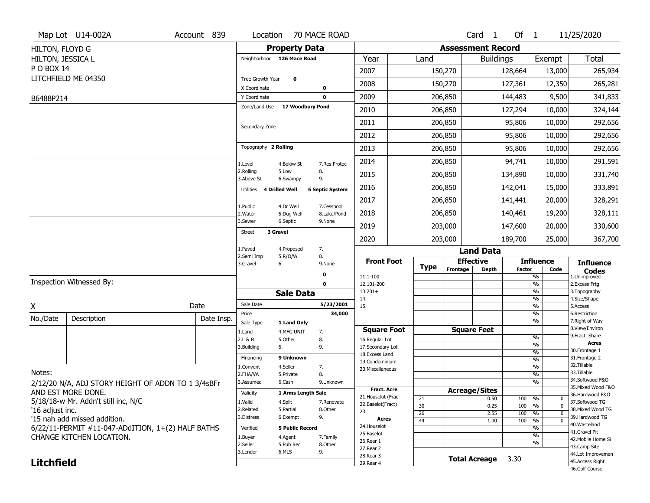|                   | Map Lot U14-002A                                   | Account 839 | Location                     |                           | 70 MACE ROAD              |                                  |             |                          | Card <sub>1</sub>    | Of $1$        |                                   | 11/25/2020                           |
|-------------------|----------------------------------------------------|-------------|------------------------------|---------------------------|---------------------------|----------------------------------|-------------|--------------------------|----------------------|---------------|-----------------------------------|--------------------------------------|
| HILTON, FLOYD G   |                                                    |             |                              | <b>Property Data</b>      |                           |                                  |             | <b>Assessment Record</b> |                      |               |                                   |                                      |
| HILTON, JESSICA L |                                                    |             | Neighborhood 126 Mace Road   |                           |                           | Year                             | Land        |                          | <b>Buildings</b>     |               | Exempt                            | <b>Total</b>                         |
| P O BOX 14        |                                                    |             |                              |                           |                           | 2007                             |             | 150,270                  |                      | 128,664       | 13,000                            | 265,934                              |
|                   | LITCHFIELD ME 04350                                |             | Tree Growth Year             | $\mathbf 0$               |                           | 2008                             |             | 150,270                  |                      | 127,361       | 12,350                            | 265,281                              |
|                   |                                                    |             | X Coordinate<br>Y Coordinate |                           | $\pmb{0}$<br>$\mathbf 0$  | 2009                             |             | 206,850                  |                      | 144,483       | 9,500                             | 341,833                              |
| B6488P214         |                                                    |             | Zone/Land Use                | 17 Woodbury Pond          |                           |                                  |             |                          |                      |               |                                   |                                      |
|                   |                                                    |             |                              |                           |                           | 2010                             |             | 206,850                  |                      | 127,294       | 10,000                            | 324,144                              |
|                   |                                                    |             | Secondary Zone               |                           |                           | 2011                             |             | 206,850                  |                      | 95,806        | 10,000                            | 292,656                              |
|                   |                                                    |             |                              |                           |                           | 2012                             |             | 206,850                  |                      | 95,806        | 10,000                            | 292,656                              |
|                   |                                                    |             | Topography 2 Rolling         |                           |                           | 2013                             |             | 206,850                  |                      | 95,806        | 10,000                            | 292,656                              |
|                   |                                                    |             | 1.Level                      | 4.Below St                | 7.Res Protec              | 2014                             |             | 206,850                  |                      | 94,741        | 10,000                            | 291,591                              |
|                   |                                                    |             | 2.Rolling<br>3.Above St      | 5.Low<br>6.Swampy         | 8.<br>9.                  | 2015                             |             | 206,850                  |                      | 134,890       | 10,000                            | 331,740                              |
|                   |                                                    |             | Utilities 4 Drilled Well     |                           | <b>6 Septic System</b>    | 2016                             |             | 206,850                  |                      | 142,041       | 15,000                            | 333,891                              |
|                   |                                                    |             |                              |                           |                           | 2017                             |             | 206,850                  |                      | 141,441       | 20,000                            | 328,291                              |
|                   |                                                    |             | 1.Public<br>2. Water         | 4.Dr Well<br>5.Dug Well   | 7.Cesspool<br>8.Lake/Pond | 2018                             |             | 206,850                  |                      | 140,461       | 19,200                            | 328,111                              |
|                   |                                                    |             | 3.Sewer                      | 6.Septic                  | 9.None                    | 2019                             |             | 203,000                  |                      | 147,600       | 20,000                            | 330,600                              |
|                   |                                                    |             | 3 Gravel<br><b>Street</b>    |                           |                           | 2020                             |             | 203,000                  |                      | 189,700       | 25,000                            | 367,700                              |
|                   |                                                    |             | 1.Paved                      | 4.Proposed                | 7.                        |                                  |             |                          | <b>Land Data</b>     |               |                                   |                                      |
|                   |                                                    |             | 2.Semi Imp<br>3.Gravel<br>6. | 5.R/O/W                   | 8.<br>9.None              | <b>Front Foot</b>                |             | <b>Effective</b>         |                      |               | <b>Influence</b>                  | <b>Influence</b>                     |
|                   |                                                    |             |                              |                           | $\pmb{0}$                 | 11.1-100                         | <b>Type</b> | Frontage                 | <b>Depth</b>         | <b>Factor</b> | Code<br>%                         | <b>Codes</b><br>1.Unimproved         |
|                   | Inspection Witnessed By:                           |             |                              |                           | $\mathbf 0$               | 12.101-200                       |             |                          |                      |               | %                                 | 2. Excess Frtg                       |
|                   |                                                    |             |                              | <b>Sale Data</b>          |                           | $13.201+$<br>14.                 |             |                          |                      |               | %<br>%                            | 3. Topography<br>4.Size/Shape        |
| Χ                 |                                                    | Date        | Sale Date                    |                           | 5/23/2001                 | 15.                              |             |                          |                      |               | %                                 | 5.Access                             |
| No./Date          | Description                                        | Date Insp.  | Price                        |                           | 34,000                    |                                  |             |                          |                      |               | %<br>%                            | 6.Restriction<br>7. Right of Way     |
|                   |                                                    |             | Sale Type<br>1.Land          | 1 Land Only<br>4.MFG UNIT | 7.                        | <b>Square Foot</b>               |             |                          | <b>Square Feet</b>   |               |                                   | 8.View/Environ                       |
|                   |                                                    |             | 2.L & B                      | 5.Other                   | 8.                        | 16.Regular Lot                   |             |                          |                      |               | $\frac{9}{6}$                     | 9. Fract Share                       |
|                   |                                                    |             | 3.Building<br>6.             |                           | 9.                        | 17.Secondary Lot                 |             |                          |                      |               | %<br>%                            | <b>Acres</b><br>30. Frontage 1       |
|                   |                                                    |             | Financing                    | 9 Unknown                 |                           | 18.Excess Land<br>19.Condominium |             |                          |                      |               | %                                 | 31. Frontage 2                       |
|                   |                                                    |             | 1.Convent                    | 4.Seller                  | 7.                        | 20.Miscellaneous                 |             |                          |                      |               | %                                 | 32. Tillable                         |
| Notes:            |                                                    |             | 2.FHA/VA                     | 5.Private                 | 8.                        |                                  |             |                          |                      |               | $\frac{9}{6}$                     | 33.Tillable<br>34.Softwood F&O       |
|                   | 2/12/20 N/A, ADJ STORY HEIGHT OF ADDN TO 1 3/4sBFr |             | 3.Assumed                    | 6.Cash                    | 9.Unknown                 |                                  |             |                          |                      |               | %                                 | 35. Mixed Wood F&O                   |
|                   |                                                    |             |                              |                           |                           | <b>Fract. Acre</b>               |             | <b>Acreage/Sites</b>     |                      |               |                                   | 36.Hardwood F&O                      |
|                   | AND EST MORE DONE.                                 |             | Validity                     | 1 Arms Length Sale        |                           |                                  |             |                          |                      |               |                                   |                                      |
|                   |                                                    |             | 1.Valid                      | 4.Split                   | 7.Renovate                | 21. Houselot (Frac               | 21          |                          | 0.50                 | 100           | %<br>$\mathbf 0$                  | 37.Softwood TG                       |
| '16 adjust inc.   | 5/18/18-w Mr. Addn't still inc, N/C                |             | 2.Related                    | 5.Partial                 | 8.Other                   | 22.Baselot(Fract)                | 30          |                          | 0.25                 | 100           | $\frac{9}{6}$<br>$\mathbf 0$      | 38. Mixed Wood TG                    |
|                   | '15 nah add missed addition.                       |             | 3.Distress                   | 6.Exempt                  | 9.                        | 23.<br><b>Acres</b>              | 26          |                          | 2.55                 | 100           | %<br>$\Omega$                     | 39.Hardwood TG                       |
|                   |                                                    |             | Verified                     | <b>5 Public Record</b>    |                           | 24. Houselot                     | 44          |                          | 1.00                 | 100           | $\frac{9}{6}$<br>$\mathbf 0$<br>% | 40.Wasteland                         |
|                   | 6/22/11-PERMIT #11-047-ADdITION, 1+(2) HALF BATHS  |             |                              |                           |                           | 25.Baselot                       |             |                          |                      |               | %                                 | 41.Gravel Pit                        |
|                   | CHANGE KITCHEN LOCATION.                           |             | 1.Buyer<br>2.Seller          | 4.Agent<br>5.Pub Rec      | 7.Family<br>8.Other       | 26.Rear 1                        |             |                          |                      |               | %                                 | 42. Mobile Home Si                   |
|                   |                                                    |             | 3.Lender                     | 6.MLS                     | 9.                        | 27.Rear 2                        |             |                          |                      |               |                                   | 43.Camp Site                         |
| <b>Litchfield</b> |                                                    |             |                              |                           |                           | 28. Rear 3<br>29. Rear 4         |             |                          | <b>Total Acreage</b> | 3.30          |                                   | 44.Lot Improvemen<br>45.Access Right |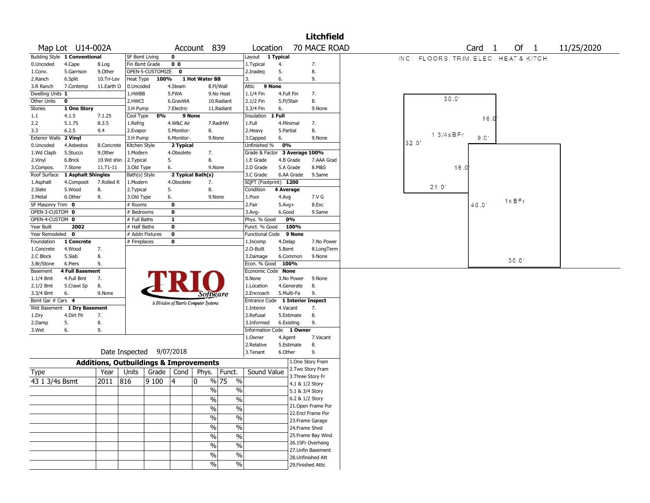|                        |                               |                                                   |                       |                  |                         |                                       |                       |                                  |            |                 | <b>Litchfield</b>  |                                       |              |                   |        |            |  |
|------------------------|-------------------------------|---------------------------------------------------|-----------------------|------------------|-------------------------|---------------------------------------|-----------------------|----------------------------------|------------|-----------------|--------------------|---------------------------------------|--------------|-------------------|--------|------------|--|
|                        | Map Lot U14-002A              |                                                   |                       |                  |                         | Account 839                           |                       | Location                         |            |                 | 70 MACE ROAD       |                                       |              | Card <sub>1</sub> | Of $1$ | 11/25/2020 |  |
|                        | Building Style 1 Conventional |                                                   | <b>SF Bsmt Living</b> |                  | 0                       |                                       |                       | Layout                           | 1 Typical  |                 |                    | INC: FLOORS. TRIM, ELEC. HEAT & KITCH |              |                   |        |            |  |
| 0.Uncoded              | 4.Cape                        | 8.Log                                             | Fin Bsmt Grade        |                  | 0 <sub>0</sub>          |                                       |                       | 1. Typical                       | 4.         |                 | 7.                 |                                       |              |                   |        |            |  |
| 1.Conv.                | 5.Garrison                    | 9.0ther                                           |                       | OPEN-5-CUSTOMIZE | $\mathbf 0$             |                                       |                       | 2.Inadeq                         | 5.         |                 | 8.                 |                                       |              |                   |        |            |  |
| 2.Ranch                | 6.Split                       | 10.Tri-Lev                                        | Heat Type             | 100%             |                         | 1 Hot Water BB                        |                       | 3.                               | 6.         |                 | 9.                 |                                       |              |                   |        |            |  |
| 3.R Ranch              | 7.Contemp                     | 11.Earth O                                        | 0.Uncoded             |                  | 4.Steam                 |                                       | 8.Fl/Wall             | Attic                            | 9 None     |                 |                    |                                       |              |                   |        |            |  |
| Dwelling Units 1       |                               |                                                   | 1.HWBB                |                  | 5.FWA                   |                                       | 9.No Heat             | 1.1/4 Fin                        | 4.Full Fin |                 | 7.                 |                                       |              |                   |        |            |  |
| Other Units            | 0                             |                                                   | 2.HWCI                |                  | 6.GravWA                |                                       | 10.Radiant            | 2.1/2 Fin                        | 5.Fl/Stair |                 | 8.                 |                                       | 30.0'        |                   |        |            |  |
| Stories                | 1 One Story                   |                                                   | 3.H Pump              |                  | 7.Electric              |                                       | 11.Radiant            | 3.3/4 Fin                        | 6.         |                 | 9.None             |                                       |              |                   |        |            |  |
| 1.1                    | 4.1.5                         | 7.1.25                                            | Cool Type             | 0%               | 9 None                  |                                       |                       | Insulation                       | 1 Full     |                 |                    |                                       |              | 16.0              |        |            |  |
| 2.2                    | 5.1.75                        | 8.3.5                                             | 1.Refrig              |                  | 4.W&C Air               |                                       | 7.RadHW               | 1.Full                           | 4.Minimal  |                 | 7.                 |                                       |              |                   |        |            |  |
| 3.3                    | 6.2.5                         | 9.4                                               | 2.Evapor              |                  | 5.Monitor-              | 8.                                    |                       | 2.Heavy                          | 5.Partial  |                 | 8.                 |                                       |              |                   |        |            |  |
| Exterior Walls 2 Vinyl |                               |                                                   | 3.H Pump              |                  | 6.Monitor-              | 9.None                                |                       | 3.Capped                         | 6.         |                 | 9.None             |                                       | $13/4$ s BFr | 9.0               |        |            |  |
| 0.Uncoded              | 4.Asbestos                    | 8.Concrete                                        | Kitchen Style         |                  | 2 Typical               |                                       |                       | Unfinished %                     | 0%         |                 |                    | 32.0'                                 |              |                   |        |            |  |
| 1.Wd Clapb             | 5.Stucco                      | 9.0ther                                           | 1.Modern              |                  | 4.Obsolete              | 7.                                    |                       | Grade & Factor 3 Average 100%    |            |                 |                    |                                       |              |                   |        |            |  |
| 2.Vinyl                | 6.Brick                       | 10.Wd shin                                        | 2.Typical             |                  | 5.                      | 8.                                    |                       | 1.E Grade                        |            | 4.B Grade       | 7.AAA Grad         |                                       |              |                   |        |            |  |
| 3.Compos.              | 7.Stone                       | 11.T1-11                                          | 3.Old Type            |                  | 6.                      | 9.None                                |                       | 2.D Grade                        |            | 5.A Grade       | 8.M&S              |                                       | 16.0         |                   |        |            |  |
| Roof Surface           | 1 Asphalt Shingles            |                                                   | Bath(s) Style         |                  |                         | 2 Typical Bath(s)                     |                       | 3.C Grade                        |            | 6.AA Grade      | 9.Same             |                                       |              |                   |        |            |  |
| 1.Asphalt              | 4.Composit                    | 7.Rolled R                                        | 1.Modern              |                  | 4.Obsolete              | 7.                                    |                       | SQFT (Footprint) 1200            |            |                 |                    |                                       |              |                   |        |            |  |
| 2.Slate                | 5.Wood                        | 8.                                                | 2.Typical             |                  | 5.                      | 8.                                    |                       | Condition                        | 4 Average  |                 |                    |                                       | 21.0         |                   |        |            |  |
| 3. Metal               | 6.Other                       | 9.                                                | 3.Old Type            |                  | 6.                      | 9.None                                |                       | 1.Poor                           | 4.Avg      |                 | 7.V G              |                                       |              |                   |        |            |  |
| SF Masonry Trim 0      |                               |                                                   | $#$ Rooms             |                  | 0                       |                                       |                       | 2.Fair                           | $5.Avg+$   |                 | 8.Exc              |                                       |              | 40.0              | 1s BFr |            |  |
| OPEN-3-CUSTOM 0        |                               |                                                   | # Bedrooms            |                  | 0                       |                                       |                       | $3.$ Avg-                        | 6.Good     |                 | 9.Same             |                                       |              |                   |        |            |  |
| OPEN-4-CUSTOM 0        |                               |                                                   | # Full Baths          |                  | $\mathbf{1}$            |                                       |                       | Phys. % Good                     |            | 0%              |                    |                                       |              |                   |        |            |  |
| Year Built             | 2002                          |                                                   | # Half Baths          |                  | 0                       |                                       |                       | Funct. % Good                    |            | 100%            |                    |                                       |              |                   |        |            |  |
| Year Remodeled         | $\mathbf{o}$                  |                                                   |                       | # Addn Fixtures  | $\overline{\mathbf{0}}$ |                                       |                       | <b>Functional Code</b>           |            | 9 None          |                    |                                       |              |                   |        |            |  |
| Foundation             | 1 Concrete                    |                                                   | # Fireplaces          |                  | 0                       |                                       |                       | 1.Incomp                         | 4.Delap    |                 | 7.No Power         |                                       |              |                   |        |            |  |
| 1.Concrete             | 4.Wood                        | 7.                                                |                       |                  |                         |                                       |                       | 2.O-Built                        | 5.Bsmt     |                 | 8.LongTerm         |                                       |              |                   |        |            |  |
| 2.C Block              | 5.Slab                        | 8.                                                |                       |                  |                         |                                       |                       | 3.Damage                         |            | 6.Common        | 9.None             |                                       |              |                   |        |            |  |
| 3.Br/Stone             | 6.Piers                       | 9.                                                |                       |                  |                         |                                       |                       | Econ. % Good 100%                |            |                 |                    |                                       |              |                   | 30.0   |            |  |
| Basement               | <b>4 Full Basement</b>        |                                                   |                       |                  |                         |                                       |                       | Economic Code None               |            |                 |                    |                                       |              |                   |        |            |  |
| 1.1/4 Bmt              | 4.Full Bmt                    | 7.                                                |                       |                  |                         |                                       |                       | 0.None                           |            | 3.No Power      | 9.None             |                                       |              |                   |        |            |  |
| 2.1/2 Bmt              | 5.Crawl Sp                    | 8.                                                |                       |                  |                         |                                       |                       | 1.Location                       |            | 4.Generate      | 8.                 |                                       |              |                   |        |            |  |
| 3.3/4 Bmt              | 6.                            | 9.None                                            |                       |                  |                         | Software                              |                       | 2.Encroach                       | 5.Multi-Fa |                 | 9.                 |                                       |              |                   |        |            |  |
| Bsmt Gar # Cars 4      |                               |                                                   |                       |                  |                         |                                       |                       | Entrance Code 1 Interior Inspect |            |                 |                    |                                       |              |                   |        |            |  |
| Wet Basement           | 1 Dry Basement                |                                                   |                       |                  |                         | A Division of Harris Computer Systems |                       | 1.Interior                       | 4.Vacant   |                 | 7.                 |                                       |              |                   |        |            |  |
| 1.Dry                  | 4.Dirt Flr                    | 7.                                                |                       |                  |                         |                                       |                       | 2.Refusal                        |            | 5.Estimate      | 8.                 |                                       |              |                   |        |            |  |
| 2.Damp                 | 5.                            | 8.                                                |                       |                  |                         |                                       |                       | 3.Informed                       | 6.Existing |                 | 9.                 |                                       |              |                   |        |            |  |
| 3.Wet                  | 6.                            | 9.                                                |                       |                  |                         |                                       |                       | Information Code 1 Owner         |            |                 |                    |                                       |              |                   |        |            |  |
|                        |                               |                                                   |                       |                  |                         |                                       |                       | 1.Owner                          | 4.Agent    |                 | 7.Vacant           |                                       |              |                   |        |            |  |
|                        |                               |                                                   |                       |                  |                         |                                       |                       | 2.Relative                       |            | 5.Estimate      | 8.                 |                                       |              |                   |        |            |  |
|                        |                               |                                                   | Date Inspected        |                  | 9/07/2018               |                                       |                       | 3.Tenant                         | 6.Other    |                 | 9.                 |                                       |              |                   |        |            |  |
|                        |                               | <b>Additions, Outbuildings &amp; Improvements</b> |                       |                  |                         |                                       |                       |                                  |            |                 | 1.One Story Fram   |                                       |              |                   |        |            |  |
| Type                   |                               | Year                                              | Units                 | Grade            | Cond                    | Phys.                                 | Funct.                | Sound Value                      |            |                 | 2. Two Story Fram  |                                       |              |                   |        |            |  |
|                        |                               |                                                   |                       |                  |                         |                                       |                       |                                  |            |                 | 3. Three Story Fr  |                                       |              |                   |        |            |  |
| 43 1 3/4s Bsmt         |                               | 2011                                              | 816                   | 9 100            | 4                       | $\mathbf{0}$                          | % 75<br>$\frac{0}{0}$ |                                  |            | 4.1 & 1/2 Story |                    |                                       |              |                   |        |            |  |
|                        |                               |                                                   |                       |                  |                         | $\%$                                  | $\%$                  |                                  |            | 5.1 & 3/4 Story |                    |                                       |              |                   |        |            |  |
|                        |                               |                                                   |                       |                  |                         | %                                     | $\frac{0}{0}$         |                                  |            | 6.2 & 1/2 Story |                    |                                       |              |                   |        |            |  |
|                        |                               |                                                   |                       |                  |                         |                                       |                       |                                  |            |                 | 21. Open Frame Por |                                       |              |                   |        |            |  |
|                        |                               |                                                   |                       |                  |                         | $\%$                                  | $\frac{0}{0}$         |                                  |            |                 | 22.Encl Frame Por  |                                       |              |                   |        |            |  |
|                        |                               |                                                   |                       |                  |                         | $\frac{1}{2}$                         | $\frac{0}{6}$         |                                  |            |                 | 23. Frame Garage   |                                       |              |                   |        |            |  |
|                        |                               |                                                   |                       |                  |                         | $\%$                                  | $\frac{0}{6}$         |                                  |            | 24.Frame Shed   |                    |                                       |              |                   |        |            |  |
|                        |                               |                                                   |                       |                  |                         | $\frac{1}{2}$                         | $\frac{0}{6}$         |                                  |            |                 | 25. Frame Bay Wind |                                       |              |                   |        |            |  |
|                        |                               |                                                   |                       |                  |                         |                                       |                       |                                  |            |                 | 26.1SFr Overhang   |                                       |              |                   |        |            |  |
|                        |                               |                                                   |                       |                  |                         | $\frac{0}{0}$                         | $\frac{1}{2}$         |                                  |            |                 | 27. Unfin Basement |                                       |              |                   |        |            |  |
|                        |                               |                                                   |                       |                  |                         | $\%$                                  | $\frac{1}{2}$         |                                  |            |                 | 28.Unfinished Att  |                                       |              |                   |        |            |  |
|                        |                               |                                                   |                       |                  |                         | $\frac{0}{0}$                         | $\%$                  |                                  |            |                 | 29. Finished Attic |                                       |              |                   |        |            |  |
|                        |                               |                                                   |                       |                  |                         |                                       |                       |                                  |            |                 |                    |                                       |              |                   |        |            |  |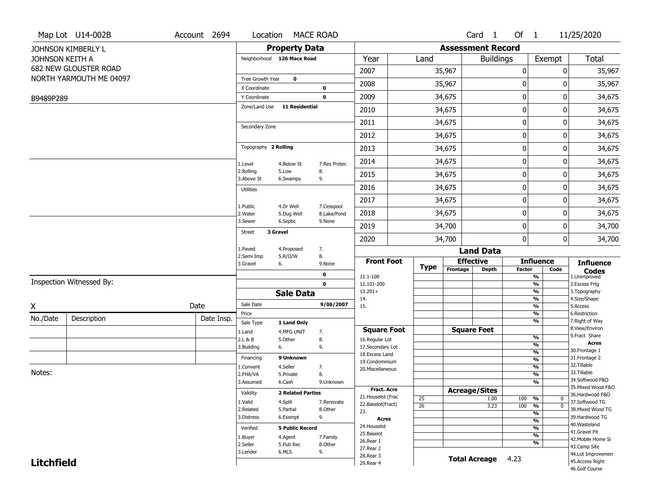|                   | Map Lot U14-002B         | Account 2694 | Location                |                            | <b>MACE ROAD</b>      |                    |                 |                          | Card 1               | Of $1$        |                                | 11/25/2020                           |
|-------------------|--------------------------|--------------|-------------------------|----------------------------|-----------------------|--------------------|-----------------|--------------------------|----------------------|---------------|--------------------------------|--------------------------------------|
|                   | JOHNSON KIMBERLY L       |              |                         | <b>Property Data</b>       |                       |                    |                 | <b>Assessment Record</b> |                      |               |                                |                                      |
| JOHNSON KEITH A   |                          |              |                         | Neighborhood 126 Mace Road |                       | Year               | Land            |                          | <b>Buildings</b>     |               | Exempt                         | <b>Total</b>                         |
|                   | 682 NEW GLOUSTER ROAD    |              |                         |                            |                       | 2007               |                 | 35,967                   |                      | 0             | 0                              | 35,967                               |
|                   | NORTH YARMOUTH ME 04097  |              | Tree Growth Year        | $\mathbf 0$                |                       | 2008               |                 | 35,967                   |                      | 0             | 0                              | 35,967                               |
|                   |                          |              | X Coordinate            |                            | $\mathbf 0$           |                    |                 |                          |                      |               |                                |                                      |
| B9489P289         |                          |              | Y Coordinate            |                            | $\mathbf 0$           | 2009               |                 | 34,675                   |                      | 0             | $\mathbf 0$                    | 34,675                               |
|                   |                          |              | Zone/Land Use           | <b>11 Residential</b>      |                       | 2010               |                 | 34,675                   |                      | 0             | 0                              | 34,675                               |
|                   |                          |              | Secondary Zone          |                            |                       | 2011               |                 | 34,675                   |                      | 0             | 0                              | 34,675                               |
|                   |                          |              |                         |                            |                       | 2012               |                 | 34,675                   |                      | 0             | 0                              | 34,675                               |
|                   |                          |              | Topography 2 Rolling    |                            |                       | 2013               |                 | 34,675                   |                      | 0             | 0                              | 34,675                               |
|                   |                          |              | 1.Level                 | 4.Below St                 | 7.Res Protec          | 2014               |                 | 34,675                   |                      | 0             | 0                              | 34,675                               |
|                   |                          |              | 2.Rolling<br>3.Above St | 5.Low<br>6.Swampy          | 8.<br>9.              | 2015               |                 | 34,675                   |                      | 0             | 0                              | 34,675                               |
|                   |                          |              | <b>Utilities</b>        |                            |                       | 2016               |                 | 34,675                   |                      | 0             | 0                              | 34,675                               |
|                   |                          |              | 1.Public                | 4.Dr Well                  | 7.Cesspool            | 2017               |                 | 34,675                   |                      | 0             | 0                              | 34,675                               |
|                   |                          |              | 2. Water                | 5.Dug Well                 | 8.Lake/Pond           | 2018               |                 | 34,675                   |                      | 0             | 0                              | 34,675                               |
|                   |                          |              | 3.Sewer                 | 6.Septic                   | 9.None                | 2019               |                 | 34,700                   |                      | 0             | 0                              | 34,700                               |
|                   |                          |              | <b>Street</b>           | 3 Gravel                   |                       | 2020               |                 | 34,700                   |                      | 0             | 0                              | 34,700                               |
|                   |                          |              | 1.Paved                 | 4.Proposed                 | 7.                    |                    |                 |                          | <b>Land Data</b>     |               |                                |                                      |
|                   |                          |              | 2.Semi Imp<br>3.Gravel  | 5.R/O/W<br>6.              | 8.<br>9.None          | <b>Front Foot</b>  |                 | <b>Effective</b>         |                      |               | <b>Influence</b>               | <b>Influence</b>                     |
|                   |                          |              |                         |                            | 0                     | 11.1-100           | <b>Type</b>     | Frontage                 | Depth                | <b>Factor</b> | Code<br>$\frac{9}{6}$          | <b>Codes</b><br>1.Unimproved         |
|                   | Inspection Witnessed By: |              |                         |                            | $\mathbf 0$           | 12.101-200         |                 |                          |                      |               | $\frac{9}{6}$                  | 2. Excess Frtg                       |
|                   |                          |              |                         | <b>Sale Data</b>           |                       | $13.201+$<br>14.   |                 |                          |                      |               | %<br>$\frac{9}{6}$             | 3. Topography<br>4.Size/Shape        |
| X                 |                          | Date         | Sale Date               |                            | 9/06/2007             | 15.                |                 |                          |                      |               | $\frac{9}{6}$                  | 5.Access                             |
| No./Date          | Description              | Date Insp.   | Price                   |                            |                       |                    |                 |                          |                      |               | %                              | 6.Restriction                        |
|                   |                          |              | Sale Type               | 1 Land Only                |                       | <b>Square Foot</b> |                 | <b>Square Feet</b>       |                      |               | %                              | 7. Right of Way<br>8.View/Environ    |
|                   |                          |              | 1.Land<br>2.L & B       | 4.MFG UNIT<br>5.0ther      | 7.<br>8.              | 16.Regular Lot     |                 |                          |                      |               | $\frac{9}{6}$                  | 9.Fract Share                        |
|                   |                          |              | 3.Building              | 6.                         | 9.                    | 17.Secondary Lot   |                 |                          |                      |               | $\frac{9}{6}$                  | Acres                                |
|                   |                          |              | Financing               | 9 Unknown                  |                       | 18.Excess Land     |                 |                          |                      |               | $\frac{9}{6}$                  | 30. Frontage 1<br>31. Frontage 2     |
|                   |                          |              | 1.Convent               | 4.Seller                   | 7.                    | 19.Condominium     |                 |                          |                      |               | $\frac{9}{6}$<br>$\frac{9}{6}$ | 32.Tillable                          |
| Notes:            |                          |              | 2.FHA/VA                | 5.Private                  | 8.                    | 20.Miscellaneous   |                 |                          |                      |               | $\frac{9}{6}$                  | 33.Tillable                          |
|                   |                          |              | 3.Assumed               | 6.Cash                     | 9.Unknown             |                    |                 |                          |                      |               | $\frac{9}{6}$                  | 34.Softwood F&O                      |
|                   |                          |              | Validity                | <b>2 Related Parties</b>   |                       | <b>Fract. Acre</b> |                 | <b>Acreage/Sites</b>     |                      |               |                                | 35. Mixed Wood F&O                   |
|                   |                          |              | 1.Valid                 |                            |                       | 21. Houselot (Frac | 25              |                          | 1.00                 | 100           | %<br>0                         | 36.Hardwood F&O<br>37.Softwood TG    |
|                   |                          |              | 2.Related               | 4.Split<br>5.Partial       | 7.Renovate<br>8.Other | 22.Baselot(Fract)  | $\overline{26}$ |                          | 3.23                 | 100           | $\overline{0}$<br>%            | 38. Mixed Wood TG                    |
|                   |                          |              | 3.Distress              | 6.Exempt                   | 9.                    | 23.<br>Acres       |                 |                          |                      |               | $\frac{9}{6}$                  | 39.Hardwood TG                       |
|                   |                          |              |                         |                            |                       | 24. Houselot       |                 |                          |                      |               | $\frac{9}{6}$                  | 40. Wasteland                        |
|                   |                          |              | Verified                | <b>5 Public Record</b>     |                       | 25.Baselot         |                 |                          |                      |               | $\frac{9}{6}$<br>$\frac{9}{6}$ | 41.Gravel Pit                        |
|                   |                          |              | 1.Buyer                 | 4.Agent                    | 7.Family              | 26.Rear 1          |                 |                          |                      |               | $\frac{9}{6}$                  | 42. Mobile Home Si                   |
|                   |                          |              | 2.Seller<br>3.Lender    | 5.Pub Rec<br>6.MLS         | 8.Other<br>9.         | 27. Rear 2         |                 |                          |                      |               |                                | 43.Camp Site                         |
|                   |                          |              |                         |                            |                       | 28. Rear 3         |                 |                          | <b>Total Acreage</b> | 4.23          |                                | 44.Lot Improvemen<br>45.Access Right |
| <b>Litchfield</b> |                          |              |                         |                            |                       | 29. Rear 4         |                 |                          |                      |               |                                | 46.Golf Course                       |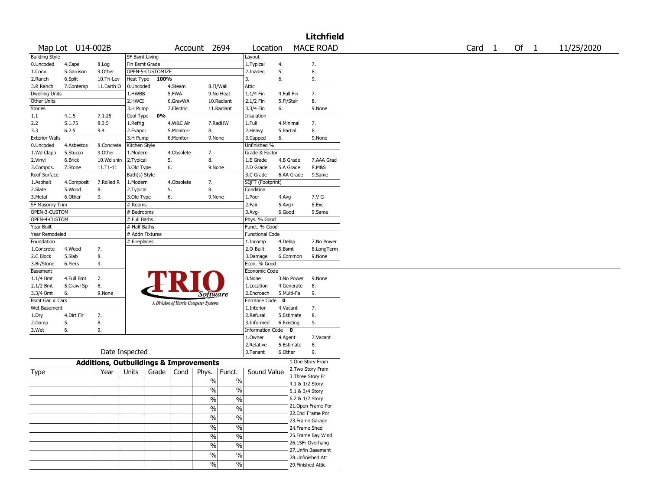|                       |                  |                                                   |                       |                  |            |                                       |                          |                        |            |            | <b>Litchfield</b>  |  |        |      |            |
|-----------------------|------------------|---------------------------------------------------|-----------------------|------------------|------------|---------------------------------------|--------------------------|------------------------|------------|------------|--------------------|--|--------|------|------------|
|                       | Map Lot U14-002B |                                                   |                       |                  |            | Account 2694                          |                          | Location               |            |            | <b>MACE ROAD</b>   |  | Card 1 | Of 1 | 11/25/2020 |
| <b>Building Style</b> |                  |                                                   | <b>SF Bsmt Living</b> |                  |            |                                       |                          | Layout                 |            |            |                    |  |        |      |            |
| 0.Uncoded             | 4.Cape           | 8.Log                                             | Fin Bsmt Grade        |                  |            |                                       |                          | 1.Typical              | 4.         |            | 7.                 |  |        |      |            |
| 1.Conv.               | 5.Garrison       | 9.0ther                                           |                       | OPEN-5-CUSTOMIZE |            |                                       |                          | 2.Inadeg               | 5.         |            | 8.                 |  |        |      |            |
| 2.Ranch               | 6.Split          | 10.Tri-Lev                                        | Heat Type             | 100%             |            |                                       |                          | 3.                     | 6.         |            | 9.                 |  |        |      |            |
| 3.R Ranch             | 7.Contemp        | 11.Earth O                                        | 0.Uncoded             |                  | 4.Steam    | 8.Fl/Wall                             |                          | <b>Attic</b>           |            |            |                    |  |        |      |            |
| <b>Dwelling Units</b> |                  |                                                   | 1.HWBB                |                  | 5.FWA      |                                       | 9.No Heat                | 1.1/4 Fin              | 4.Full Fin |            | 7.                 |  |        |      |            |
| Other Units           |                  |                                                   | 2.HWCI                |                  | 6.GravWA   |                                       | 10.Radiant               | 2.1/2 Fin              | 5.Fl/Stair |            | 8.                 |  |        |      |            |
| Stories               |                  |                                                   | 3.H Pump              |                  | 7.Electric |                                       | 11.Radiant               | 3.3/4 Fin              | 6.         |            | 9.None             |  |        |      |            |
| 1.1                   | 4.1.5            | 7.1.25                                            | Cool Type             | 0%               |            |                                       |                          | Insulation             |            |            |                    |  |        |      |            |
| 2.2                   | 5.1.75           | 8.3.5                                             | 1.Refrig              |                  | 4.W&C Air  |                                       | 7.RadHW                  | 1.Full                 | 4.Minimal  |            | 7.                 |  |        |      |            |
| 3.3                   | 6.2.5            | 9.4                                               | 2.Evapor              |                  | 5.Monitor- | 8.                                    |                          | 2. Heavy               | 5.Partial  |            | 8.                 |  |        |      |            |
| <b>Exterior Walls</b> |                  |                                                   | 3.H Pump              |                  | 6.Monitor- | 9.None                                |                          | 3.Capped               | 6.         |            | 9.None             |  |        |      |            |
| 0.Uncoded             | 4.Asbestos       | 8.Concrete                                        | Kitchen Style         |                  |            |                                       |                          | Unfinished %           |            |            |                    |  |        |      |            |
| 1.Wd Clapb            | 5.Stucco         | 9.Other                                           | 1.Modern              |                  | 4.Obsolete | 7.                                    |                          | Grade & Factor         |            |            |                    |  |        |      |            |
| 2.Vinyl               | 6.Brick          | 10.Wd shin                                        | 2.Typical             |                  | 5.         | 8.                                    |                          | 1.E Grade              | 4.B Grade  |            | 7.AAA Grad         |  |        |      |            |
| 3.Compos.             | 7.Stone          | 11.T1-11                                          | 3.Old Type            |                  | 6.         | 9.None                                |                          | 2.D Grade              | 5.A Grade  |            | 8.M&S              |  |        |      |            |
| Roof Surface          |                  |                                                   | Bath(s) Style         |                  |            |                                       |                          | 3.C Grade              |            | 6.AA Grade | 9.Same             |  |        |      |            |
| 1.Asphalt             | 4.Composit       | 7.Rolled R                                        | 1.Modern              |                  | 4.Obsolete | 7.                                    |                          | SQFT (Footprint)       |            |            |                    |  |        |      |            |
| 2.Slate               | 5.Wood           | 8.                                                | 2. Typical            |                  | 5.         | 8.                                    |                          | Condition              |            |            |                    |  |        |      |            |
| 3.Metal               | 6.Other          | 9.                                                | 3.Old Type            |                  | 6.         | 9.None                                |                          | 1.Poor                 | 4.Avg      |            | 7.V G              |  |        |      |            |
| SF Masonry Trim       |                  |                                                   | # Rooms               |                  |            |                                       |                          | 2.Fair                 | $5.Avg+$   |            | 8.Exc              |  |        |      |            |
| OPEN-3-CUSTOM         |                  |                                                   | # Bedrooms            |                  |            |                                       |                          | 3.Avg-                 | 6.Good     |            | 9.Same             |  |        |      |            |
| OPEN-4-CUSTOM         |                  |                                                   | # Full Baths          |                  |            |                                       |                          | Phys. % Good           |            |            |                    |  |        |      |            |
| Year Built            |                  |                                                   | # Half Baths          |                  |            |                                       |                          | Funct. % Good          |            |            |                    |  |        |      |            |
| Year Remodeled        |                  |                                                   | # Addn Fixtures       |                  |            |                                       |                          | <b>Functional Code</b> |            |            |                    |  |        |      |            |
|                       |                  |                                                   |                       |                  |            |                                       |                          |                        |            |            |                    |  |        |      |            |
| Foundation            |                  |                                                   | # Fireplaces          |                  |            |                                       |                          | 1.Incomp               | 4.Delap    |            | 7.No Power         |  |        |      |            |
| 1.Concrete            | 4.Wood           | 7.                                                |                       |                  |            |                                       |                          | 2.O-Built              | 5.Bsmt     |            | 8.LongTerm         |  |        |      |            |
| 2.C Block             | 5.Slab           | 8.                                                |                       |                  |            |                                       |                          | 3.Damage               | 6.Common   |            | 9.None             |  |        |      |            |
| 3.Br/Stone            | 6.Piers          | 9.                                                |                       |                  |            |                                       |                          | Econ. % Good           |            |            |                    |  |        |      |            |
| Basement              |                  |                                                   |                       |                  |            |                                       |                          | Economic Code          |            |            |                    |  |        |      |            |
| $1.1/4$ Bmt           | 4.Full Bmt       | 7.                                                |                       |                  |            |                                       |                          | 0.None                 |            | 3.No Power | 9.None             |  |        |      |            |
| 2.1/2 Bmt             | 5.Crawl Sp       | 8.                                                |                       |                  |            |                                       |                          | 1.Location             | 4.Generate |            | 8.                 |  |        |      |            |
| 3.3/4 Bmt             | 6.               | 9.None                                            |                       |                  |            | Software                              |                          | 2.Encroach             | 5.Multi-Fa |            | 9.                 |  |        |      |            |
| Bsmt Gar # Cars       |                  |                                                   |                       |                  |            | A Division of Harris Computer Systems |                          | Entrance Code 0        |            |            |                    |  |        |      |            |
| Wet Basement          |                  |                                                   |                       |                  |            |                                       |                          | 1.Interior             | 4.Vacant   |            | 7.                 |  |        |      |            |
| 1.Dry                 | 4.Dirt Flr       | 7.                                                |                       |                  |            |                                       |                          | 2.Refusal              | 5.Estimate |            | 8.                 |  |        |      |            |
| 2.Damp                | 5.               | 8.                                                |                       |                  |            |                                       |                          | 3.Informed             | 6.Existing |            | 9.                 |  |        |      |            |
| 3.Wet                 | 6.               | 9.                                                |                       |                  |            |                                       |                          | Information Code 0     |            |            |                    |  |        |      |            |
|                       |                  |                                                   |                       |                  |            |                                       |                          | 1.0wner                | 4.Agent    |            | 7.Vacant           |  |        |      |            |
|                       |                  |                                                   |                       |                  |            |                                       |                          | 2.Relative             | 5.Estimate |            | 8.                 |  |        |      |            |
|                       |                  | Date Inspected                                    |                       |                  |            |                                       |                          | 3. Tenant              | 6.Other    |            | 9.                 |  |        |      |            |
|                       |                  | <b>Additions, Outbuildings &amp; Improvements</b> |                       |                  |            |                                       |                          |                        |            |            | 1.One Story Fram   |  |        |      |            |
|                       |                  |                                                   |                       |                  |            |                                       |                          |                        |            |            | 2.Two Story Fram   |  |        |      |            |
| <b>Type</b>           |                  | Year                                              | Units                 | Grade            | Cond       | Phys.                                 | Funct.                   | Sound Value            |            |            | 3. Three Story Fr  |  |        |      |            |
|                       |                  |                                                   |                       |                  |            | $\%$                                  | $\%$                     |                        |            |            | 4.1 & 1/2 Story    |  |        |      |            |
|                       |                  |                                                   |                       |                  |            | $\%$                                  | $\%$                     |                        |            |            | 5.1 & 3/4 Story    |  |        |      |            |
|                       |                  |                                                   |                       |                  |            | %                                     | %                        |                        |            |            | 6.2 & 1/2 Story    |  |        |      |            |
|                       |                  |                                                   |                       |                  |            |                                       |                          |                        |            |            | 21.Open Frame Por  |  |        |      |            |
|                       |                  |                                                   |                       |                  |            | $\frac{9}{6}$                         | $\frac{0}{6}$            |                        |            |            | 22.Encl Frame Por  |  |        |      |            |
|                       |                  |                                                   |                       |                  |            | $\sqrt{6}$                            | $\overline{\frac{0}{0}}$ |                        |            |            | 23. Frame Garage   |  |        |      |            |
|                       |                  |                                                   |                       |                  |            | $\frac{9}{6}$                         | $\overline{\frac{0}{0}}$ |                        |            |            | 24.Frame Shed      |  |        |      |            |
|                       |                  |                                                   |                       |                  |            |                                       |                          |                        |            |            | 25. Frame Bay Wind |  |        |      |            |
|                       |                  |                                                   |                       |                  |            | $\overline{\frac{0}{0}}$              | $\frac{0}{6}$            |                        |            |            | 26.1SFr Overhang   |  |        |      |            |
|                       |                  |                                                   |                       |                  |            | $\overline{\frac{0}{0}}$              | $\overline{\frac{0}{0}}$ |                        |            |            |                    |  |        |      |            |
|                       |                  |                                                   |                       |                  |            | $\sqrt{6}$                            | $\overline{\frac{0}{0}}$ |                        |            |            | 27.Unfin Basement  |  |        |      |            |
|                       |                  |                                                   |                       |                  |            | $\frac{9}{6}$                         | $\frac{9}{6}$            |                        |            |            | 28. Unfinished Att |  |        |      |            |
|                       |                  |                                                   |                       |                  |            |                                       |                          |                        |            |            | 29. Finished Attic |  |        |      |            |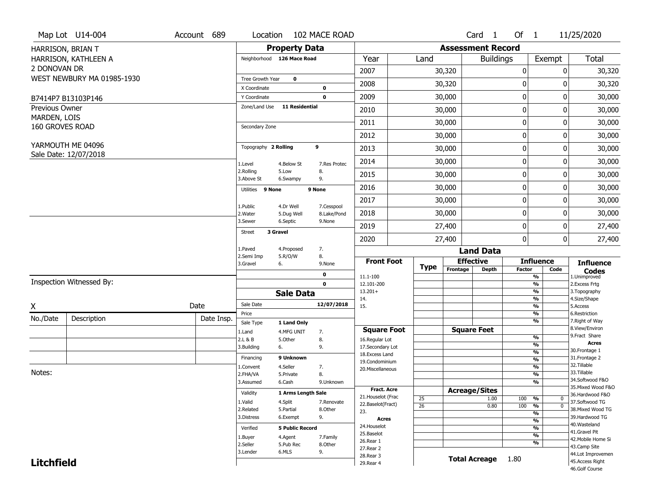|                                 | Map Lot U14-004            | Account 689 | Location                     |                         | 102 MACE ROAD             |                                    |                       |             |                          | Card <sub>1</sub> | Of $1$        |                                           | 11/25/2020                           |
|---------------------------------|----------------------------|-------------|------------------------------|-------------------------|---------------------------|------------------------------------|-----------------------|-------------|--------------------------|-------------------|---------------|-------------------------------------------|--------------------------------------|
|                                 | HARRISON, BRIAN T          |             |                              | <b>Property Data</b>    |                           |                                    |                       |             | <b>Assessment Record</b> |                   |               |                                           |                                      |
|                                 | HARRISON, KATHLEEN A       |             | Neighborhood 126 Mace Road   |                         |                           | Year                               |                       | Land        |                          | <b>Buildings</b>  |               | Exempt                                    | <b>Total</b>                         |
| 2 DONOVAN DR                    |                            |             |                              |                         |                           | 2007                               |                       |             | 30,320                   |                   | 0             | 0                                         | 30,320                               |
|                                 | WEST NEWBURY MA 01985-1930 |             | Tree Growth Year             | $\mathbf 0$             |                           |                                    |                       |             |                          |                   |               |                                           |                                      |
|                                 |                            |             | X Coordinate                 |                         | 0                         | 2008                               |                       |             | 30,320                   |                   | 0             | 0                                         | 30,320                               |
|                                 | B7414P7 B13103P146         |             | Y Coordinate                 |                         | $\mathbf 0$               | 2009                               |                       |             | 30,000                   |                   | 0             | 0                                         | 30,000                               |
| Previous Owner                  |                            |             | Zone/Land Use                | 11 Residential          |                           | 2010                               |                       |             | 30,000                   |                   | 0             | $\Omega$                                  | 30,000                               |
| MARDEN, LOIS<br>160 GROVES ROAD |                            |             | Secondary Zone               |                         |                           | 2011                               |                       |             | 30,000                   |                   | 0             | 0                                         | 30,000                               |
|                                 |                            |             |                              |                         |                           | 2012                               |                       |             | 30,000                   |                   | 0             | 0                                         | 30,000                               |
|                                 | YARMOUTH ME 04096          |             | Topography 2 Rolling         |                         | 9                         | 2013                               |                       |             | 30,000                   |                   | $\pmb{0}$     | 0                                         | 30,000                               |
|                                 | Sale Date: 12/07/2018      |             | 1.Level                      | 4.Below St              | 7.Res Protec              | 2014                               |                       |             | 30,000                   |                   | 0             | 0                                         | 30,000                               |
|                                 |                            |             | 2.Rolling<br>3.Above St      | 5.Low<br>6.Swampy       | 8.<br>9.                  | 2015                               |                       |             | 30,000                   |                   | 0             | 0                                         | 30,000                               |
|                                 |                            |             | Utilities 9 None             |                         | 9 None                    | 2016                               |                       |             | 30,000                   |                   | 0             | 0                                         | 30,000                               |
|                                 |                            |             |                              |                         |                           | 2017                               |                       |             | 30,000                   |                   | 0             | 0                                         | 30,000                               |
|                                 |                            |             | 1.Public<br>2. Water         | 4.Dr Well<br>5.Dug Well | 7.Cesspool<br>8.Lake/Pond | 2018                               |                       |             | 30,000                   |                   | 0             | 0                                         | 30,000                               |
|                                 |                            |             | 3.Sewer                      | 6.Septic                | 9.None                    | 2019                               |                       |             | 27,400                   |                   | 0             | 0                                         | 27,400                               |
|                                 |                            |             | 3 Gravel<br><b>Street</b>    |                         |                           | 2020                               |                       |             | 27,400                   |                   | 0             | 0                                         | 27,400                               |
|                                 |                            |             | 1.Paved                      | 4.Proposed              | 7.                        |                                    |                       |             |                          | <b>Land Data</b>  |               |                                           |                                      |
|                                 |                            |             | 2.Semi Imp<br>3.Gravel<br>6. | 5.R/O/W                 | 8.<br>9.None              | <b>Front Foot</b>                  |                       |             | <b>Effective</b>         |                   |               | <b>Influence</b>                          | <b>Influence</b>                     |
|                                 |                            |             |                              |                         | 0                         | 11.1-100                           |                       | <b>Type</b> | Frontage                 | <b>Depth</b>      | <b>Factor</b> | Code<br>%                                 | <b>Codes</b><br>1.Unimproved         |
|                                 | Inspection Witnessed By:   |             |                              |                         | $\mathbf 0$               | 12.101-200                         |                       |             |                          |                   |               | $\frac{9}{6}$                             | 2.Excess Frtg                        |
|                                 |                            |             |                              | <b>Sale Data</b>        |                           | $13.201+$                          |                       |             |                          |                   |               | %                                         | 3. Topography                        |
| X                               |                            | Date        | Sale Date                    |                         | 12/07/2018                | 14.<br>15.                         |                       |             |                          |                   |               | %<br>$\frac{9}{6}$                        | 4.Size/Shape<br>5.Access             |
| No./Date                        |                            | Date Insp.  | Price                        |                         |                           |                                    |                       |             |                          |                   |               | %                                         | 6.Restriction                        |
|                                 | Description                |             | Sale Type                    | 1 Land Only             |                           |                                    |                       |             |                          |                   |               | %                                         | 7. Right of Way<br>8.View/Environ    |
|                                 |                            |             | 1.Land                       | 4.MFG UNIT              | 7.                        | <b>Square Foot</b>                 |                       |             | <b>Square Feet</b>       |                   |               | $\frac{9}{6}$                             | 9. Fract Share                       |
|                                 |                            |             | 2.L & B<br>3.Building<br>6.  | 5.Other                 | 8.<br>9.                  | 16.Regular Lot<br>17.Secondary Lot |                       |             |                          |                   |               | $\frac{9}{6}$                             | <b>Acres</b>                         |
|                                 |                            |             |                              |                         |                           | 18. Excess Land                    |                       |             |                          |                   |               | $\frac{9}{6}$                             | 30. Frontage 1                       |
|                                 |                            |             | Financing                    | 9 Unknown               |                           | 19.Condominium                     |                       |             |                          |                   |               | $\frac{9}{6}$                             | 31. Frontage 2<br>32. Tillable       |
| Notes:                          |                            |             | 1.Convent                    | 4.Seller                | 7.                        | 20.Miscellaneous                   |                       |             |                          |                   |               | $\frac{9}{6}$                             | 33.Tillable                          |
|                                 |                            |             | 2.FHA/VA<br>3.Assumed        | 5.Private<br>6.Cash     | 8.<br>9.Unknown           |                                    |                       |             |                          |                   |               | $\frac{9}{6}$<br>$\overline{\frac{9}{6}}$ | 34.Softwood F&O                      |
|                                 |                            |             |                              |                         |                           | <b>Fract, Acre</b>                 |                       |             |                          |                   |               |                                           | 35. Mixed Wood F&O                   |
|                                 |                            |             | Validity                     | 1 Arms Length Sale      |                           | 21. Houselot (Frac                 |                       |             | <b>Acreage/Sites</b>     |                   |               |                                           | 36.Hardwood F&O                      |
|                                 |                            |             | 1.Valid                      | 4.Split                 | 7.Renovate                | 22.Baselot(Fract)                  | 25<br>$\overline{26}$ |             |                          | 1.00<br>0.80      | 100<br>100    | %<br>0<br>$\overline{0}$<br>%             | 37.Softwood TG                       |
|                                 |                            |             | 2.Related                    | 5.Partial               | 8.Other                   | 23.                                |                       |             |                          |                   |               | $\frac{9}{6}$                             | 38. Mixed Wood TG                    |
|                                 |                            |             | 3.Distress                   | 6.Exempt                | 9.                        | <b>Acres</b>                       |                       |             |                          |                   |               | $\frac{9}{6}$                             | 39.Hardwood TG                       |
|                                 |                            |             | Verified                     | <b>5 Public Record</b>  |                           | 24. Houselot                       |                       |             |                          |                   |               | $\frac{9}{6}$                             | 40. Wasteland                        |
|                                 |                            |             |                              |                         |                           |                                    |                       |             |                          |                   |               |                                           | 41.Gravel Pit                        |
|                                 |                            |             |                              |                         |                           | 25.Baselot                         |                       |             |                          |                   |               | $\frac{9}{6}$                             |                                      |
|                                 |                            |             | 1.Buyer                      | 4.Agent                 | 7.Family                  | 26.Rear 1                          |                       |             |                          |                   |               | $\frac{9}{6}$                             | 42. Mobile Home Si                   |
|                                 |                            |             | 2.Seller                     | 5.Pub Rec               | 8.Other                   | 27.Rear 2                          |                       |             |                          |                   |               |                                           | 43.Camp Site                         |
| <b>Litchfield</b>               |                            |             | 3.Lender                     | 6.MLS                   | 9.                        | 28. Rear 3<br>29. Rear 4           |                       |             | <b>Total Acreage</b>     |                   | 1.80          |                                           | 44.Lot Improvemen<br>45.Access Right |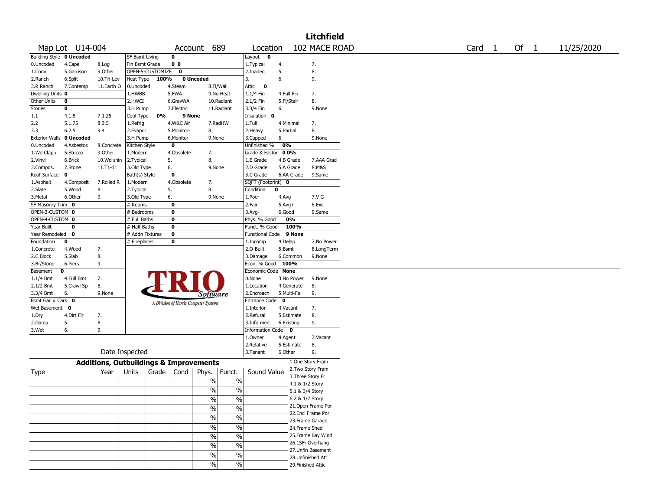|                          |                 |                                                   |                       |                    |                |                                       |               |                         |              |                 | <b>Litchfield</b>  |                   |        |            |
|--------------------------|-----------------|---------------------------------------------------|-----------------------|--------------------|----------------|---------------------------------------|---------------|-------------------------|--------------|-----------------|--------------------|-------------------|--------|------------|
|                          | Map Lot U14-004 |                                                   |                       |                    |                | Account 689                           |               | Location                |              |                 | 102 MACE ROAD      | Card <sub>1</sub> | Of $1$ | 11/25/2020 |
| Building Style 0 Uncoded |                 |                                                   | <b>SF Bsmt Living</b> |                    | 0              |                                       |               | Layout 0                |              |                 |                    |                   |        |            |
| 0.Uncoded                | 4.Cape          | 8.Log                                             | Fin Bsmt Grade        |                    | 0 <sub>0</sub> |                                       |               | 1.Typical               | 4.           |                 | 7.                 |                   |        |            |
| 1.Conv.                  | 5.Garrison      | 9.Other                                           |                       | OPEN-5-CUSTOMIZE 0 |                |                                       |               | 2.Inadeq                | 5.           |                 | 8.                 |                   |        |            |
| 2.Ranch                  | 6.Split         | 10.Tri-Lev                                        | Heat Type             | 100%               |                | 0 Uncoded                             |               | 3.                      | 6.           |                 | 9.                 |                   |        |            |
| 3.R Ranch                | 7.Contemp       | 11.Earth O                                        | 0.Uncoded             |                    | 4.Steam        | 8.Fl/Wall                             |               | Attic<br>$\bullet$      |              |                 |                    |                   |        |            |
| Dwelling Units 0         |                 |                                                   | 1.HWBB                |                    | 5.FWA          |                                       | 9.No Heat     | 1.1/4 Fin               | 4.Full Fin   |                 | 7.                 |                   |        |            |
| Other Units              | 0               |                                                   | 2.HWCI                |                    | 6.GravWA       |                                       | 10.Radiant    | 2.1/2 Fin               | 5.Fl/Stair   |                 | 8.                 |                   |        |            |
| Stories                  | 0               |                                                   | 3.H Pump              |                    | 7.Electric     |                                       | 11.Radiant    | 3.3/4 Fin               | 6.           |                 | 9.None             |                   |        |            |
| 1.1                      | 4.1.5           | 7.1.25                                            | Cool Type             | 0%                 | 9 None         |                                       |               | Insulation<br>0         |              |                 |                    |                   |        |            |
| 2.2                      | 5.1.75          | 8.3.5                                             | 1.Refrig              |                    | 4.W&C Air      |                                       | 7.RadHW       | 1.Full                  | 4.Minimal    |                 | 7.                 |                   |        |            |
| 3.3                      | 6.2.5           | 9.4                                               | 2.Evapor              |                    | 5.Monitor-     | 8.                                    |               | 2. Heavy                | 5.Partial    |                 | 8.                 |                   |        |            |
| <b>Exterior Walls</b>    | 0 Uncoded       |                                                   | 3.H Pump              |                    | 6.Monitor-     | 9.None                                |               | 3.Capped                | 6.           |                 | 9.None             |                   |        |            |
| 0.Uncoded                | 4.Asbestos      | 8.Concrete                                        | Kitchen Style         |                    | $\bf{0}$       |                                       |               | Unfinished %            | 0%           |                 |                    |                   |        |            |
| 1.Wd Clapb               | 5.Stucco        | 9.Other                                           | 1.Modern              |                    | 4.Obsolete     | 7.                                    |               | Grade & Factor          | 0 0%         |                 |                    |                   |        |            |
| 2.Vinyl                  | 6.Brick         | 10.Wd shin                                        | 2.Typical             |                    | 5.             | 8.                                    |               | 1.E Grade               |              | 4.B Grade       | 7.AAA Grad         |                   |        |            |
| 3.Compos.                | 7.Stone         | 11.T1-11                                          | 3.Old Type            |                    | 6.             | 9.None                                |               | 2.D Grade               |              | 5.A Grade       | 8.M&S              |                   |        |            |
| Roof Surface             | 0               |                                                   | Bath(s) Style         |                    | $\bf{0}$       |                                       |               | 3.C Grade               |              | 6.AA Grade      | 9.Same             |                   |        |            |
| 1.Asphalt                | 4.Composit      | 7.Rolled R                                        | 1.Modern              |                    | 4.Obsolete     | 7.                                    |               | SQFT (Footprint) 0      |              |                 |                    |                   |        |            |
| 2.Slate                  | 5.Wood          | 8.                                                | 2.Typical             |                    | 5.             | 8.                                    |               | Condition               | 0            |                 |                    |                   |        |            |
| 3.Metal                  | 6.Other         | 9.                                                | 3.Old Type            |                    | 6.             | 9.None                                |               | 1.Poor                  | 4.Avg        |                 | 7.V G              |                   |        |            |
| SF Masonry Trim 0        |                 |                                                   | # Rooms               |                    | $\bf{0}$       |                                       |               | 2.Fair                  | $5.Avg+$     |                 | 8.Exc              |                   |        |            |
| OPEN-3-CUSTOM 0          |                 |                                                   | # Bedrooms            |                    | $\bf{0}$       |                                       |               | $3.$ Avg-               | 6.Good       |                 | 9.Same             |                   |        |            |
| OPEN-4-CUSTOM 0          |                 |                                                   | # Full Baths          |                    | $\bf{0}$       |                                       |               | Phys. % Good            |              | 0%              |                    |                   |        |            |
| Year Built               | 0               |                                                   | # Half Baths          |                    | $\bf{0}$       |                                       |               | Funct. % Good           |              | 100%            |                    |                   |        |            |
| Year Remodeled           | 0               |                                                   | # Addn Fixtures       |                    | $\bf o$        |                                       |               | <b>Functional Code</b>  |              | 9 None          |                    |                   |        |            |
| Foundation               | 0               |                                                   | # Fireplaces          |                    | 0              |                                       |               | 1.Incomp                | 4.Delap      |                 | 7.No Power         |                   |        |            |
| 1.Concrete               | 4.Wood          | 7.                                                |                       |                    |                |                                       |               | 2.O-Built               | 5.Bsmt       |                 | 8.LongTerm         |                   |        |            |
| 2.C Block                | 5.Slab          | 8.                                                |                       |                    |                |                                       |               | 3.Damage                |              | 6.Common        | 9.None             |                   |        |            |
| 3.Br/Stone               | 6.Piers         | 9.                                                |                       |                    |                |                                       |               | Econ. % Good            |              | 100%            |                    |                   |        |            |
| Basement                 | 0               |                                                   |                       |                    |                |                                       |               | Economic Code None      |              |                 |                    |                   |        |            |
| 1.1/4 Bmt                | 4.Full Bmt      | 7.                                                |                       |                    |                |                                       |               | 0.None                  |              | 3.No Power      | 9.None             |                   |        |            |
| 2.1/2 Bmt                | 5.Crawl Sp      | 8.                                                |                       |                    |                |                                       |               | 1.Location              |              | 4.Generate      | 8.                 |                   |        |            |
| 3.3/4 Bmt                | 6.              | 9.None                                            |                       |                    |                | <i>Software</i>                       |               | 2.Encroach              |              | 5.Multi-Fa      | 9.                 |                   |        |            |
| Bsmt Gar # Cars 0        |                 |                                                   |                       |                    |                | A Division of Harris Computer Systems |               | <b>Entrance Code</b>    | $\mathbf{o}$ |                 |                    |                   |        |            |
| Wet Basement 0           |                 |                                                   |                       |                    |                |                                       |               | 1.Interior              | 4.Vacant     |                 | 7.                 |                   |        |            |
| 1.Dry                    | 4.Dirt Flr      | 7.                                                |                       |                    |                |                                       |               | 2.Refusal               |              | 5.Estimate      | 8.                 |                   |        |            |
| 2.Damp                   | 5.              | 8.                                                |                       |                    |                |                                       |               | 3.Informed              |              | 6.Existing      | 9.                 |                   |        |            |
| 3.Wet                    | 6.              | 9.                                                |                       |                    |                |                                       |               | <b>Information Code</b> |              | 0               |                    |                   |        |            |
|                          |                 |                                                   |                       |                    |                |                                       |               | 1.Owner                 | 4.Agent      |                 | 7.Vacant           |                   |        |            |
|                          |                 |                                                   |                       |                    |                |                                       |               | 2.Relative              |              | 5.Estimate      | 8.                 |                   |        |            |
|                          |                 |                                                   | Date Inspected        |                    |                |                                       |               | 3. Tenant               | 6.Other      |                 | 9.                 |                   |        |            |
|                          |                 | <b>Additions, Outbuildings &amp; Improvements</b> |                       |                    |                |                                       |               |                         |              |                 | 1.One Story Fram   |                   |        |            |
| Type                     |                 | Year                                              | Units                 | Grade              | Cond           | Phys.                                 | Funct.        | Sound Value             |              |                 | 2. Two Story Fram  |                   |        |            |
|                          |                 |                                                   |                       |                    |                | $\%$                                  | $\%$          |                         |              |                 | 3. Three Story Fr  |                   |        |            |
|                          |                 |                                                   |                       |                    |                |                                       |               |                         |              | 4.1 & 1/2 Story |                    |                   |        |            |
|                          |                 |                                                   |                       |                    |                | $\%$                                  | $\%$          |                         |              | 5.1 & 3/4 Story |                    |                   |        |            |
|                          |                 |                                                   |                       |                    |                | %                                     | $\sqrt{6}$    |                         |              | 6.2 & 1/2 Story |                    |                   |        |            |
|                          |                 |                                                   |                       |                    |                | $\frac{0}{0}$                         | $\frac{9}{6}$ |                         |              |                 | 21. Open Frame Por |                   |        |            |
|                          |                 |                                                   |                       |                    |                | $\%$                                  | $\%$          |                         |              |                 | 22.Encl Frame Por  |                   |        |            |
|                          |                 |                                                   |                       |                    |                |                                       |               |                         |              |                 | 23. Frame Garage   |                   |        |            |
|                          |                 |                                                   |                       |                    |                | $\%$                                  | $\frac{1}{2}$ |                         |              | 24.Frame Shed   |                    |                   |        |            |
|                          |                 |                                                   |                       |                    |                | $\sqrt{6}$                            | $\frac{1}{2}$ |                         |              |                 | 25.Frame Bay Wind  |                   |        |            |
|                          |                 |                                                   |                       |                    |                | $\%$                                  | $\frac{0}{6}$ |                         |              |                 | 26.1SFr Overhang   |                   |        |            |
|                          |                 |                                                   |                       |                    |                | $\sqrt{20}$                           | $\frac{0}{6}$ |                         |              |                 | 27.Unfin Basement  |                   |        |            |
|                          |                 |                                                   |                       |                    |                |                                       |               |                         |              |                 | 28. Unfinished Att |                   |        |            |
|                          |                 |                                                   |                       |                    |                | $\sqrt{6}$                            | $\%$          |                         |              |                 | 29. Finished Attic |                   |        |            |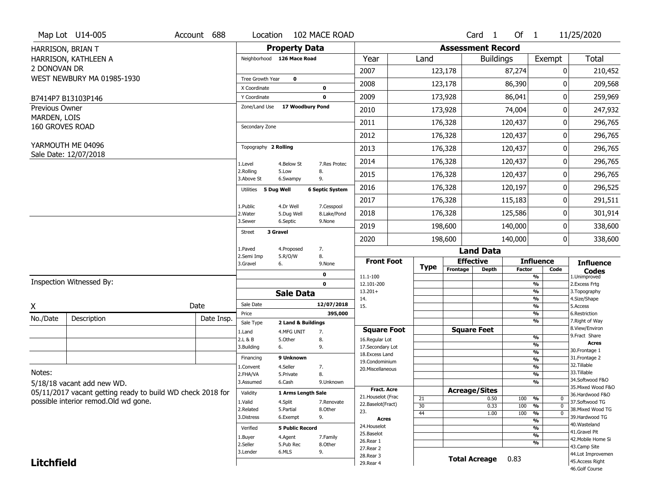|                                | Map Lot U14-005                                            | Account 688 | Location                      |                                  | 102 MACE ROAD          |                                    |             |                          | Card <sub>1</sub>    | Of $1$        |                                           | 11/25/2020                            |
|--------------------------------|------------------------------------------------------------|-------------|-------------------------------|----------------------------------|------------------------|------------------------------------|-------------|--------------------------|----------------------|---------------|-------------------------------------------|---------------------------------------|
|                                | HARRISON, BRIAN T                                          |             |                               | <b>Property Data</b>             |                        |                                    |             | <b>Assessment Record</b> |                      |               |                                           |                                       |
|                                | HARRISON, KATHLEEN A                                       |             | Neighborhood 126 Mace Road    |                                  |                        | Year                               | Land        |                          | <b>Buildings</b>     |               | Exempt                                    | Total                                 |
| 2 DONOVAN DR                   |                                                            |             |                               |                                  |                        | 2007                               |             | 123,178                  |                      | 87,274        | 0                                         | 210,452                               |
|                                | WEST NEWBURY MA 01985-1930                                 |             | Tree Growth Year              | $\mathbf 0$                      |                        | 2008                               |             | 123,178                  |                      | 86,390        | 0                                         | 209,568                               |
|                                |                                                            |             | X Coordinate                  |                                  | 0                      |                                    |             |                          |                      |               |                                           |                                       |
|                                | B7414P7 B13103P146                                         |             | Y Coordinate<br>Zone/Land Use | 17 Woodbury Pond                 | $\mathbf 0$            | 2009                               |             | 173,928                  |                      | 86,041        | 0                                         | 259,969                               |
| Previous Owner<br>MARDEN, LOIS |                                                            |             |                               |                                  |                        | 2010                               |             | 173,928                  |                      | 74,004        | 0                                         | 247,932                               |
| 160 GROVES ROAD                |                                                            |             | Secondary Zone                |                                  |                        | 2011                               |             | 176,328                  |                      | 120,437       | 0                                         | 296,765                               |
|                                |                                                            |             |                               |                                  |                        | 2012                               |             | 176,328                  |                      | 120,437       | 0                                         | 296,765                               |
|                                | YARMOUTH ME 04096                                          |             | Topography 2 Rolling          |                                  |                        | 2013                               |             | 176,328                  |                      | 120,437       | 0                                         | 296,765                               |
|                                | Sale Date: 12/07/2018                                      |             | 1.Level                       | 4.Below St                       | 7.Res Protec           | 2014                               |             | 176,328                  |                      | 120,437       | 0                                         | 296,765                               |
|                                |                                                            |             | 2.Rolling<br>3.Above St       | 5.Low<br>6.Swampy                | 8.<br>9.               | 2015                               |             | 176,328                  |                      | 120,437       | 0                                         | 296,765                               |
|                                |                                                            |             | Utilities 5 Dug Well          |                                  | <b>6 Septic System</b> | 2016                               |             | 176,328                  |                      | 120,197       | 0                                         | 296,525                               |
|                                |                                                            |             | 1.Public                      | 4.Dr Well                        | 7.Cesspool             | 2017                               |             | 176,328                  |                      | 115,183       | 0                                         | 291,511                               |
|                                |                                                            |             | 2. Water                      | 5.Dug Well                       | 8.Lake/Pond            | 2018                               |             | 176,328                  |                      | 125,586       | 0                                         | 301,914                               |
|                                |                                                            |             | 3.Sewer                       | 6.Septic                         | 9.None                 | 2019                               |             | 198,600                  |                      | 140,000       | 0                                         | 338,600                               |
|                                |                                                            |             | 3 Gravel<br><b>Street</b>     |                                  |                        | 2020                               |             | 198,600                  |                      | 140,000       | $\overline{0}$                            | 338,600                               |
|                                |                                                            |             | 1.Paved                       | 4.Proposed                       | 7.                     |                                    |             |                          | <b>Land Data</b>     |               |                                           |                                       |
|                                |                                                            |             | 2.Semi Imp<br>3.Gravel<br>6.  | 5.R/O/W                          | 8.<br>9.None           | <b>Front Foot</b>                  |             |                          | <b>Effective</b>     |               | <b>Influence</b>                          | <b>Influence</b>                      |
|                                |                                                            |             |                               |                                  | 0                      | 11.1-100                           | <b>Type</b> | Frontage                 | <b>Depth</b>         | <b>Factor</b> | Code<br>%                                 | <b>Codes</b><br>1.Unimproved          |
|                                | Inspection Witnessed By:                                   |             |                               |                                  | $\mathbf 0$            | 12.101-200                         |             |                          |                      |               | %                                         | 2. Excess Frtg                        |
|                                |                                                            |             |                               | <b>Sale Data</b>                 |                        | $13.201+$<br>14.                   |             |                          |                      |               | %<br>%                                    | 3. Topography<br>4.Size/Shape         |
| X                              |                                                            | Date        | Sale Date                     |                                  | 12/07/2018             | 15.                                |             |                          |                      |               | %                                         | 5.Access                              |
| No./Date                       | Description                                                | Date Insp.  | Price                         |                                  | 395,000                |                                    |             |                          |                      |               | %<br>%                                    | 6.Restriction<br>7. Right of Way      |
|                                |                                                            |             | Sale Type<br>1.Land           | 2 Land & Buildings<br>4.MFG UNIT | 7.                     | <b>Square Foot</b>                 |             |                          | <b>Square Feet</b>   |               |                                           | 8.View/Environ                        |
|                                |                                                            |             | 2.L & B                       | 5.Other                          | 8.                     | 16.Regular Lot                     |             |                          |                      |               | %                                         | 9.Fract Share                         |
|                                |                                                            |             | 3.Building<br>6.              |                                  | 9.                     | 17.Secondary Lot                   |             |                          |                      |               | %                                         | <b>Acres</b><br>30.Frontage 1         |
|                                |                                                            |             | Financing                     | 9 Unknown                        |                        | 18. Excess Land                    |             |                          |                      |               | $\frac{9}{6}$<br>$\overline{\frac{9}{6}}$ | 31. Frontage 2                        |
|                                |                                                            |             | 1.Convent                     | 4.Seller                         | 7.                     | 19.Condominium<br>20.Miscellaneous |             |                          |                      |               | $\frac{9}{6}$                             | 32.Tillable                           |
| Notes:                         |                                                            |             | 2.FHA/VA                      | 5.Private                        | 8.                     |                                    |             |                          |                      |               | $\overline{\frac{9}{6}}$                  | 33.Tillable                           |
|                                | 5/18/18 vacant add new WD.                                 |             | 3.Assumed                     | 6.Cash                           | 9.Unknown              |                                    |             |                          |                      |               | $\overline{\frac{9}{6}}$                  | 34.Softwood F&O                       |
|                                | 05/11/2017 vacant getting ready to build WD check 2018 for |             | Validity                      | 1 Arms Length Sale               |                        | <b>Fract. Acre</b>                 |             |                          | <b>Acreage/Sites</b> |               |                                           | 35. Mixed Wood F&O<br>36.Hardwood F&O |
|                                | possible interior remod.Old wd gone.                       |             | 1.Valid                       | 4.Split                          | 7.Renovate             | 21. Houselot (Frac                 | 21          |                          | 0.50                 | 100           | %<br>0                                    | 37.Softwood TG                        |
|                                |                                                            |             | 2.Related                     | 5.Partial                        | 8.Other                | 22.Baselot(Fract)<br>23.           | 30          |                          | 0.33                 | 100           | %<br>$\mathbf 0$                          | 38. Mixed Wood TG                     |
|                                |                                                            |             |                               |                                  | 9.                     |                                    | 44          |                          | 1.00                 | 100           | %<br>$\mathbf 0$                          | 39.Hardwood TG                        |
|                                |                                                            |             | 3.Distress                    | 6.Exempt                         |                        |                                    |             |                          |                      |               |                                           |                                       |
|                                |                                                            |             |                               |                                  |                        | <b>Acres</b><br>24. Houselot       |             |                          |                      |               | %                                         | 40.Wasteland                          |
|                                |                                                            |             | Verified                      | <b>5 Public Record</b>           |                        | 25.Baselot                         |             |                          |                      |               | %                                         | 41.Gravel Pit                         |
|                                |                                                            |             | 1.Buyer                       | 4.Agent                          | 7.Family               | 26.Rear 1                          |             |                          |                      |               | %<br>%                                    | 42. Mobile Home Si                    |
|                                |                                                            |             | 2.Seller<br>3.Lender          | 5.Pub Rec<br>6.MLS               | 8.Other<br>9.          | 27. Rear 2                         |             |                          |                      |               |                                           | 43.Camp Site                          |
| <b>Litchfield</b>              |                                                            |             |                               |                                  |                        | 28.Rear 3<br>29. Rear 4            |             |                          | <b>Total Acreage</b> | 0.83          |                                           | 44.Lot Improvemen<br>45. Access Right |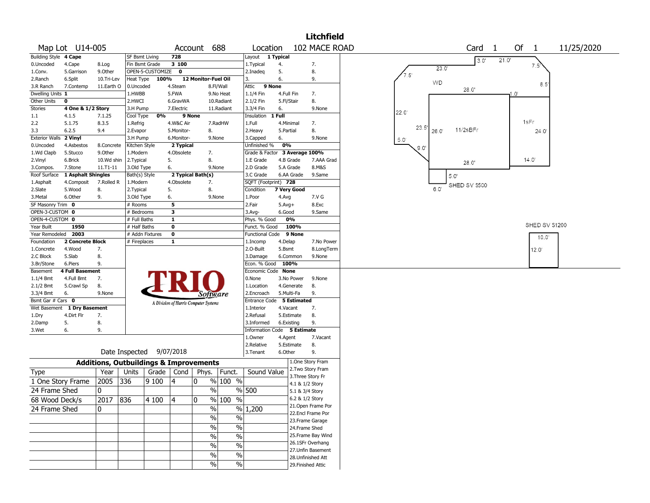|                                |                             |                 |                                                   |                  |              |                                       |                        |                                         |                          | <b>Litchfield</b>             |                                               |
|--------------------------------|-----------------------------|-----------------|---------------------------------------------------|------------------|--------------|---------------------------------------|------------------------|-----------------------------------------|--------------------------|-------------------------------|-----------------------------------------------|
|                                | Map Lot U14-005             |                 |                                                   |                  |              | Account 688                           |                        | Location                                |                          | 102 MACE ROAD                 | Of<br>Card<br>11/25/2020<br>1<br>$\mathbf{1}$ |
| Building Style 4 Cape          |                             |                 | <b>SF Bsmt Living</b>                             |                  | 728          |                                       |                        | Layout 1 Typical                        |                          |                               | 3.0'<br>21.0'                                 |
| 0.Uncoded                      | 4.Cape                      | 8.Log           | Fin Bsmt Grade                                    |                  | 3 100        |                                       |                        | 1. Typical                              | 4.                       | 7.                            | 7.5'<br>23.0'                                 |
| 1.Conv.                        | 5.Garrison                  | 9.0ther         |                                                   | OPEN-5-CUSTOMIZE | $\mathbf 0$  |                                       |                        | 2.Inadeg                                | 5.                       | 8.                            | $7.5^{\circ}$                                 |
| 2.Ranch                        | 6.Split                     | 10.Tri-Lev      | Heat Type                                         | 100%             |              | 12 Monitor-Fuel Oil                   |                        | 3.                                      | 6.                       | 9.                            | <b>WD</b><br>8.5                              |
| 3.R Ranch                      | 7.Contemp                   | 11.Earth O      | 0.Uncoded                                         |                  | 4.Steam      |                                       | 8.Fl/Wall              | $\overline{9}$ None<br>Attic            |                          |                               | 28.0'                                         |
| Dwelling Units 1               |                             |                 | 1.HWBB                                            |                  | 5.FWA        |                                       | 9.No Heat              | 1.1/4 Fin                               | 4.Full Fin               | 7.                            | $1.0^{\circ}$                                 |
| Other Units                    | 0                           |                 | 2.HWCI                                            |                  | 6.GravWA     |                                       | 10.Radiant             | 2.1/2 Fin                               | 5.Fl/Stair               | 8.                            |                                               |
| Stories                        | 4 One & 1/2 Story           |                 | 3.H Pump                                          | 0%               | 7. Electric  | 9 None                                | 11.Radiant             | 3.3/4 Fin                               | 6.<br>1 Full             | 9.None                        | 22.0                                          |
| $1.1\,$<br>2.2                 | 4.1.5<br>5.1.75             | 7.1.25<br>8.3.5 | Cool Type<br>1.Refrig                             |                  | 4.W&C Air    |                                       | 7.RadHW                | Insulation<br>1.Full                    | 4.Minimal                | 7.                            | 1sFr                                          |
| 3.3                            | 6.2.5                       | 9.4             | 2.Evapor                                          |                  | 5.Monitor-   | 8.                                    |                        | 2. Heavy                                | 5.Partial                | 8.                            | 23.5'<br>11/2sBFr<br>26.0<br>24.0             |
| <b>Exterior Walls</b>          | 2 Vinyl                     |                 | 3.H Pump                                          |                  | 6.Monitor-   | 9.None                                |                        | 3.Capped                                | 6.                       | 9.None                        |                                               |
| 0.Uncoded                      | 4.Asbestos                  | 8.Concrete      | Kitchen Style                                     |                  | 2 Typical    |                                       |                        | Unfinished %                            | 0%                       |                               | 5.0                                           |
| 1.Wd Clapb                     | 5.Stucco                    | 9.Other         | 1.Modern                                          |                  | 4.Obsolete   | 7.                                    |                        |                                         |                          | Grade & Factor 3 Average 100% | $9.0^{\circ}$                                 |
| 2.Vinyl                        | 6.Brick                     | 10.Wd shin      | 2. Typical                                        |                  | 5.           | 8.                                    |                        | 1.E Grade                               | 4.B Grade                | 7.AAA Grad                    | 14.0'                                         |
| 3.Compos.                      | 7.Stone                     | 11.T1-11        | 3.Old Type                                        |                  | 6.           | 9.None                                |                        | 2.D Grade                               | 5.A Grade                | 8.M&S                         | 28.0'                                         |
| Roof Surface                   | 1 Asphalt Shingles          |                 | Bath(s) Style                                     |                  |              | 2 Typical Bath(s)                     |                        | 3.C Grade                               | 6.AA Grade               | 9.Same                        | 5.0'                                          |
| 1.Asphalt                      | 4.Composit                  | 7.Rolled R      | 1.Modern                                          |                  | 4.Obsolete   | 7.                                    |                        | SQFT (Footprint) 728                    |                          |                               | SHED SV \$500                                 |
| 2.Slate                        | 5.Wood                      | 8.              | 2.Typical                                         |                  | 5.           | 8.                                    |                        | Condition                               | 7 Very Good              |                               | 6.0'                                          |
| 3. Metal                       | 6.Other                     | 9.              | 3.Old Type                                        |                  | 6.           | 9.None                                |                        | 1.Poor                                  | 4.Avg                    | 7.V G                         |                                               |
| SF Masonry Trim 0              |                             |                 | # Rooms                                           |                  | 5            |                                       |                        | 2.Fair                                  | $5.Avg+$                 | 8.Exc                         |                                               |
| OPEN-3-CUSTOM 0                |                             |                 | # Bedrooms                                        |                  | 3            |                                       |                        | 3.Avg-                                  | 6.Good                   | 9.Same                        |                                               |
| OPEN-4-CUSTOM 0                |                             |                 | # Full Baths                                      |                  | $\mathbf{1}$ |                                       |                        | Phys. % Good                            | 0%                       |                               |                                               |
| Year Built                     | 1950                        |                 | # Half Baths                                      |                  | 0            |                                       |                        | Funct. % Good                           | 100%                     |                               | SHED SV S1200                                 |
| Year Remodeled 2003            |                             |                 | # Addn Fixtures                                   |                  | $\mathbf 0$  |                                       |                        | <b>Functional Code</b>                  | 9 None                   |                               | 10.0'                                         |
| Foundation                     | 2 Concrete Block            |                 | # Fireplaces                                      |                  | 1            |                                       |                        | 1.Incomp                                | 4.Delap                  | 7.No Power                    |                                               |
| 1.Concrete                     | 4.Wood                      | 7.              |                                                   |                  |              |                                       |                        | 2.O-Built                               | 5.Bsmt                   | 8.LongTerm                    | $12.0^{\circ}$                                |
| 2.C Block                      | 5.Slab                      | 8.              |                                                   |                  |              |                                       |                        | 3.Damage                                | 6.Common                 | 9.None                        |                                               |
| 3.Br/Stone                     | 6.Piers                     | 9.              |                                                   |                  |              |                                       |                        | Econ. % Good 100%                       |                          |                               |                                               |
| Basement                       | <b>4 Full Basement</b>      |                 |                                                   |                  |              |                                       |                        | Economic Code None                      |                          |                               |                                               |
| $1.1/4$ Bmt                    | 4.Full Bmt                  | 7.              |                                                   |                  |              |                                       |                        | 0.None                                  | 3.No Power               | 9.None                        |                                               |
| 2.1/2 Bmt                      | 5.Crawl Sp                  | 8.              |                                                   |                  |              |                                       |                        | 1.Location                              | 4.Generate<br>5.Multi-Fa | 8.                            |                                               |
| 3.3/4 Bmt<br>Bsmt Gar # Cars 0 | 6.                          | 9.None          |                                                   |                  |              | Software                              |                        | 2.Encroach<br>Entrance Code 5 Estimated |                          | 9.                            |                                               |
|                                | Wet Basement 1 Dry Basement |                 |                                                   |                  |              | A Division of Harris Computer Systems |                        | 1.Interior                              | 4.Vacant                 | 7.                            |                                               |
| 1.Dry                          | 4.Dirt Flr                  | 7.              |                                                   |                  |              |                                       |                        | 2.Refusal                               | 5.Estimate               | 8.                            |                                               |
| 2.Damp                         | 5.                          | 8.              |                                                   |                  |              |                                       |                        | 3.Informed                              | 6.Existing               | 9.                            |                                               |
| 3.Wet                          | 6.                          | 9.              |                                                   |                  |              |                                       |                        | Information Code 5 Estimate             |                          |                               |                                               |
|                                |                             |                 |                                                   |                  |              |                                       |                        | 1.Owner                                 | 4.Agent                  | 7.Vacant                      |                                               |
|                                |                             |                 |                                                   |                  |              |                                       |                        | 2.Relative                              | 5.Estimate               | 8.                            |                                               |
|                                |                             |                 | Date Inspected 9/07/2018                          |                  |              |                                       |                        | 3.Tenant                                | 6.Other                  | 9.                            |                                               |
|                                |                             |                 | <b>Additions, Outbuildings &amp; Improvements</b> |                  |              |                                       |                        |                                         |                          | 1.One Story Fram              |                                               |
| Type                           |                             | Year            | Units                                             | Grade   Cond     |              | Phys.                                 | Funct.                 | Sound Value                             |                          | 2. Two Story Fram             |                                               |
| 1 One Story Frame              |                             | 2005            | 336                                               | 9 1 0 0          | 14           | 0                                     | $%100$ %               |                                         |                          | 3. Three Story Fr             |                                               |
|                                |                             |                 |                                                   |                  |              |                                       |                        |                                         |                          | 4.1 & 1/2 Story               |                                               |
| 24 Frame Shed                  |                             | 0               |                                                   |                  |              | $\%$                                  |                        | % 500                                   |                          | 5.1 & 3/4 Story               |                                               |
| 68 Wood Deck/s                 |                             | 2017 836        |                                                   | 4 100            | 14           | $\Omega$                              | $\frac{1}{2}$<br>% 100 |                                         |                          | 6.2 & 1/2 Story               |                                               |
| 24 Frame Shed                  |                             | 0               |                                                   |                  |              | $\%$                                  |                        | $\frac{9}{6}$ 1,200                     |                          | 21.Open Frame Por             |                                               |
|                                |                             |                 |                                                   |                  |              | $\frac{0}{0}$                         | $\%$                   |                                         |                          | 22.Encl Frame Por             |                                               |
|                                |                             |                 |                                                   |                  |              |                                       |                        |                                         |                          | 23. Frame Garage              |                                               |
|                                |                             |                 |                                                   |                  |              | %                                     | $\%$                   |                                         |                          | 24.Frame Shed                 |                                               |
|                                |                             |                 |                                                   |                  |              | $\frac{0}{0}$                         | $\%$                   |                                         |                          | 25.Frame Bay Wind             |                                               |
|                                |                             |                 |                                                   |                  |              | %                                     | $\%$                   |                                         |                          | 26.1SFr Overhang              |                                               |
|                                |                             |                 |                                                   |                  |              | $\frac{0}{0}$                         | $\%$                   |                                         |                          | 27.Unfin Basement             |                                               |
|                                |                             |                 |                                                   |                  |              | $\frac{0}{0}$                         | $\%$                   |                                         |                          | 28. Unfinished Att            |                                               |
|                                |                             |                 |                                                   |                  |              |                                       |                        |                                         |                          | 29. Finished Attic            |                                               |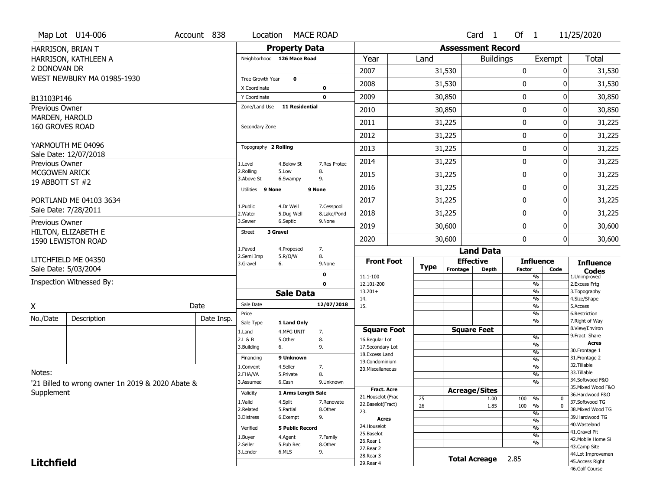|                                         | Map Lot U14-006                                  | Account 838 | Location                |                            | <b>MACE ROAD</b>          |                                    |                 |                          | Card <sub>1</sub>            | Of $1$        |                                | 11/25/2020                           |
|-----------------------------------------|--------------------------------------------------|-------------|-------------------------|----------------------------|---------------------------|------------------------------------|-----------------|--------------------------|------------------------------|---------------|--------------------------------|--------------------------------------|
|                                         | HARRISON, BRIAN T                                |             |                         | <b>Property Data</b>       |                           |                                    |                 | <b>Assessment Record</b> |                              |               |                                |                                      |
|                                         | HARRISON, KATHLEEN A                             |             |                         | Neighborhood 126 Mace Road |                           | Year                               | Land            |                          | <b>Buildings</b>             |               | Exempt                         | <b>Total</b>                         |
| 2 DONOVAN DR                            |                                                  |             |                         |                            |                           | 2007                               |                 | 31,530                   |                              | 0             | 0                              | 31,530                               |
|                                         | WEST NEWBURY MA 01985-1930                       |             | Tree Growth Year        | $\mathbf 0$                |                           | 2008                               |                 | 31,530                   |                              | 0             | 0                              | 31,530                               |
|                                         |                                                  |             | X Coordinate            |                            | 0                         |                                    |                 |                          |                              |               |                                |                                      |
| B13103P146                              |                                                  |             | Y Coordinate            | 11 Residential             | $\mathbf 0$               | 2009                               |                 | 30,850                   |                              | $\mathbf 0$   | 0                              | 30,850                               |
| <b>Previous Owner</b><br>MARDEN, HAROLD |                                                  |             | Zone/Land Use           |                            |                           | 2010                               |                 | 30,850                   |                              | 0             | 0                              | 30,850                               |
| 160 GROVES ROAD                         |                                                  |             | Secondary Zone          |                            |                           | 2011                               |                 | 31,225                   |                              | $\mathbf 0$   | 0                              | 31,225                               |
|                                         |                                                  |             |                         |                            |                           | 2012                               |                 | 31,225                   |                              | $\mathbf 0$   | 0                              | 31,225                               |
|                                         | YARMOUTH ME 04096                                |             | Topography 2 Rolling    |                            |                           | 2013                               |                 | 31,225                   |                              | $\mathbf 0$   | 0                              | 31,225                               |
| Previous Owner                          | Sale Date: 12/07/2018                            |             | 1.Level                 | 4.Below St                 | 7.Res Protec              | 2014                               |                 | 31,225                   |                              | $\mathbf 0$   | 0                              | 31,225                               |
| MCGOWEN ARICK                           |                                                  |             | 2.Rolling<br>3.Above St | 5.Low<br>6.Swampy          | 8.<br>9.                  | 2015                               |                 | 31,225                   |                              | 0             | 0                              | 31,225                               |
| 19 ABBOTT ST #2                         |                                                  |             | Utilities 9 None        |                            | 9 None                    | 2016                               |                 | 31,225                   |                              | 0             | 0                              | 31,225                               |
|                                         | PORTLAND ME 04103 3634                           |             |                         |                            |                           | 2017                               |                 | 31,225                   |                              | $\mathbf 0$   | 0                              | 31,225                               |
|                                         | Sale Date: 7/28/2011                             |             | 1.Public<br>2. Water    | 4.Dr Well<br>5.Dug Well    | 7.Cesspool<br>8.Lake/Pond | 2018                               |                 | 31,225                   |                              | 0             | 0                              | 31,225                               |
| Previous Owner                          |                                                  |             | 3.Sewer                 | 6.Septic                   | 9.None                    | 2019                               |                 | 30,600                   |                              | $\mathbf 0$   | 0                              | 30,600                               |
|                                         | HILTON, ELIZABETH E<br>1590 LEWISTON ROAD        |             | Street                  | 3 Gravel                   |                           | 2020                               |                 | 30,600                   |                              | $\mathbf 0$   | 0                              | 30,600                               |
|                                         |                                                  |             | 1.Paved                 | 4.Proposed                 | 7.                        |                                    |                 |                          | <b>Land Data</b>             |               |                                |                                      |
|                                         | LITCHFIELD ME 04350                              |             | 2.Semi Imp<br>3.Gravel  | 5.R/O/W<br>6.              | 8.<br>9.None              | <b>Front Foot</b>                  |                 |                          | <b>Effective</b>             |               | <b>Influence</b>               | <b>Influence</b>                     |
|                                         |                                                  |             |                         |                            |                           |                                    |                 |                          |                              |               |                                |                                      |
|                                         | Sale Date: 5/03/2004                             |             |                         |                            |                           |                                    | <b>Type</b>     | Frontage                 | <b>Depth</b>                 | <b>Factor</b> | Code                           | <b>Codes</b>                         |
|                                         |                                                  |             |                         |                            | 0                         | 11.1-100                           |                 |                          |                              |               | %                              | 1.Unimproved                         |
|                                         | Inspection Witnessed By:                         |             |                         |                            | $\mathbf 0$               | 12.101-200<br>$13.201+$            |                 |                          |                              |               | $\frac{9}{6}$<br>%             | 2.Excess Frtg<br>3. Topography       |
|                                         |                                                  |             | Sale Date               | <b>Sale Data</b>           | 12/07/2018                | 14.                                |                 |                          |                              |               | %                              | 4.Size/Shape                         |
| X                                       |                                                  | Date        | Price                   |                            |                           | 15.                                |                 |                          |                              |               | %<br>$\frac{9}{6}$             | 5.Access<br>6.Restriction            |
| No./Date                                | Description                                      | Date Insp.  | Sale Type               | 1 Land Only                |                           |                                    |                 |                          |                              |               | %                              | 7. Right of Way                      |
|                                         |                                                  |             | 1.Land                  | 4.MFG UNIT                 | 7.                        | <b>Square Foot</b>                 |                 |                          | <b>Square Feet</b>           |               |                                | 8.View/Environ<br>9. Fract Share     |
|                                         |                                                  |             | 2.L & B                 | 5.Other                    | 8.                        | 16.Regular Lot                     |                 |                          |                              |               | $\frac{9}{6}$<br>$\frac{9}{6}$ | <b>Acres</b>                         |
|                                         |                                                  |             | 3.Building              | 6.                         | 9.                        | 17.Secondary Lot<br>18.Excess Land |                 |                          |                              |               | $\frac{9}{6}$                  | 30. Frontage 1                       |
|                                         |                                                  |             | Financing               | 9 Unknown                  |                           | 19.Condominium                     |                 |                          |                              |               | $\frac{9}{6}$                  | 31. Frontage 2                       |
| Notes:                                  |                                                  |             | 1.Convent               | 4.Seller                   | 7.                        | 20.Miscellaneous                   |                 |                          |                              |               | $\frac{9}{6}$                  | 32. Tillable<br>33.Tillable          |
|                                         |                                                  |             | 2.FHA/VA<br>3.Assumed   | 5.Private<br>6.Cash        | 8.<br>9.Unknown           |                                    |                 |                          |                              |               | $\frac{9}{6}$<br>$\frac{9}{6}$ | 34.Softwood F&O                      |
|                                         | '21 Billed to wrong owner 1n 2019 & 2020 Abate & |             |                         |                            |                           | <b>Fract. Acre</b>                 |                 |                          |                              |               |                                | 35. Mixed Wood F&O                   |
| Supplement                              |                                                  |             | Validity                | 1 Arms Length Sale         |                           | 21. Houselot (Frac                 | 25              |                          | <b>Acreage/Sites</b><br>1.00 | 100           | %<br>0                         | 36.Hardwood F&O                      |
|                                         |                                                  |             | 1.Valid                 | 4.Split                    | 7.Renovate                | 22.Baselot(Fract)                  | $\overline{26}$ |                          | 1.85                         | 100           | $\overline{0}$<br>%            | 37.Softwood TG                       |
|                                         |                                                  |             | 2.Related<br>3.Distress | 5.Partial<br>6.Exempt      | 8.Other                   | 23.                                |                 |                          |                              |               | %                              | 38. Mixed Wood TG<br>39.Hardwood TG  |
|                                         |                                                  |             |                         |                            | 9.                        | <b>Acres</b>                       |                 |                          |                              |               | $\frac{9}{6}$                  | 40. Wasteland                        |
|                                         |                                                  |             | Verified                | <b>5 Public Record</b>     |                           | 24. Houselot<br>25.Baselot         |                 |                          |                              |               | $\frac{9}{6}$                  | 41.Gravel Pit                        |
|                                         |                                                  |             | 1.Buyer                 | 4.Agent                    | 7.Family                  | 26.Rear 1                          |                 |                          |                              |               | %<br>%                         | 42. Mobile Home Si                   |
|                                         |                                                  |             | 2.Seller                | 5.Pub Rec                  | 8.0ther                   | 27.Rear 2                          |                 |                          |                              |               |                                | 43.Camp Site                         |
| <b>Litchfield</b>                       |                                                  |             | 3.Lender                | 6.MLS                      | 9.                        | 28. Rear 3<br>29. Rear 4           |                 |                          | <b>Total Acreage</b>         | 2.85          |                                | 44.Lot Improvemen<br>45.Access Right |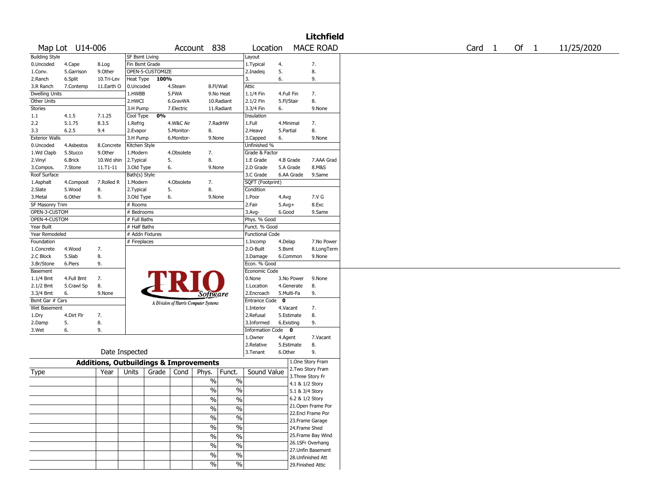|                       |                 |                                                   |                       |                  |            |                                       |               |                        |                      | Litchfield         |                   |        |            |
|-----------------------|-----------------|---------------------------------------------------|-----------------------|------------------|------------|---------------------------------------|---------------|------------------------|----------------------|--------------------|-------------------|--------|------------|
|                       | Map Lot U14-006 |                                                   |                       |                  |            | Account 838                           |               | Location               |                      | <b>MACE ROAD</b>   | Card <sub>1</sub> | Of $1$ | 11/25/2020 |
| <b>Building Style</b> |                 |                                                   | <b>SF Bsmt Living</b> |                  |            |                                       |               | Layout                 |                      |                    |                   |        |            |
| 0.Uncoded             | 4.Cape          | 8.Log                                             | Fin Bsmt Grade        |                  |            |                                       |               | 1. Typical             | 4.                   | 7.                 |                   |        |            |
| 1.Conv.               | 5.Garrison      | 9.Other                                           |                       | OPEN-5-CUSTOMIZE |            |                                       |               | 2.Inadeq               | 5.                   | 8.                 |                   |        |            |
| 2.Ranch               | 6.Split         | 10.Tri-Lev                                        | Heat Type             | 100%             |            |                                       |               | 3.                     | 6.                   | 9.                 |                   |        |            |
| 3.R Ranch             | 7.Contemp       | 11.Earth O                                        | 0.Uncoded             |                  | 4.Steam    | 8.Fl/Wall                             |               | Attic                  |                      |                    |                   |        |            |
| <b>Dwelling Units</b> |                 |                                                   | 1.HWBB                |                  | 5.FWA      |                                       | 9.No Heat     | 1.1/4 Fin              | 4.Full Fin           | 7.                 |                   |        |            |
| <b>Other Units</b>    |                 |                                                   | 2.HWCI                |                  | 6.GravWA   |                                       | 10.Radiant    | 2.1/2 Fin              | 5.Fl/Stair           | 8.                 |                   |        |            |
| <b>Stories</b>        |                 |                                                   | 3.H Pump              |                  | 7.Electric |                                       | 11.Radiant    | 3.3/4 Fin              | 6.                   | 9.None             |                   |        |            |
| 1.1                   | 4.1.5           | 7.1.25                                            | Cool Type             | 0%               |            |                                       |               | Insulation             |                      |                    |                   |        |            |
| 2.2                   | 5.1.75          | 8.3.5                                             | 1.Refrig              |                  | 4.W&C Air  |                                       | 7.RadHW       | 1.Full                 | 4.Minimal            | 7.                 |                   |        |            |
| 3.3                   | 6.2.5           | 9.4                                               | 2.Evapor              |                  | 5.Monitor- | 8.                                    |               | 2. Heavy               | 5.Partial            | 8.                 |                   |        |            |
| <b>Exterior Walls</b> |                 |                                                   | 3.H Pump              |                  | 6.Monitor- | 9.None                                |               | 3.Capped               | 6.                   | 9.None             |                   |        |            |
| 0.Uncoded             | 4.Asbestos      | 8.Concrete                                        | Kitchen Style         |                  |            |                                       |               | Unfinished %           |                      |                    |                   |        |            |
| 1.Wd Clapb            | 5.Stucco        | 9.0ther                                           | 1.Modern              |                  | 4.Obsolete | 7.                                    |               | Grade & Factor         |                      |                    |                   |        |            |
| 2.Vinyl               | 6.Brick         | 10.Wd shin                                        | 2.Typical             |                  | 5.         | 8.                                    |               | 1.E Grade              | 4.B Grade            | 7.AAA Grad         |                   |        |            |
| 3.Compos.             | 7.Stone         | 11.T1-11                                          | 3.Old Type            |                  | 6.         | 9.None                                |               | 2.D Grade              | 5.A Grade            | 8.M&S              |                   |        |            |
| Roof Surface          |                 |                                                   | Bath(s) Style         |                  |            |                                       |               | 3.C Grade              | 6.AA Grade           | 9.Same             |                   |        |            |
| 1.Asphalt             | 4.Composit      | 7.Rolled R                                        | 1.Modern              |                  | 4.Obsolete | 7.                                    |               | SQFT (Footprint)       |                      |                    |                   |        |            |
| 2.Slate               | 5.Wood          | 8.                                                | 2. Typical            |                  | 5.         | 8.                                    |               | Condition              |                      |                    |                   |        |            |
| 3. Metal              | 6.Other         | 9.                                                | 3.Old Type            |                  | 6.         | 9.None                                |               | 1.Poor                 | 4.Avg                | 7.V G              |                   |        |            |
| SF Masonry Trim       |                 |                                                   | # Rooms               |                  |            |                                       |               | 2.Fair                 | $5.$ Avg $+$         | 8.Exc              |                   |        |            |
| OPEN-3-CUSTOM         |                 |                                                   | # Bedrooms            |                  |            |                                       |               | $3.$ Avg-              | 6.Good               | 9.Same             |                   |        |            |
| OPEN-4-CUSTOM         |                 |                                                   | # Full Baths          |                  |            |                                       |               | Phys. % Good           |                      |                    |                   |        |            |
| Year Built            |                 |                                                   | # Half Baths          |                  |            |                                       |               | Funct. % Good          |                      |                    |                   |        |            |
| Year Remodeled        |                 |                                                   | # Addn Fixtures       |                  |            |                                       |               | <b>Functional Code</b> |                      |                    |                   |        |            |
| Foundation            |                 |                                                   | # Fireplaces          |                  |            |                                       |               | 1.Incomp               | 4.Delap              | 7.No Power         |                   |        |            |
| 1.Concrete            | 4.Wood          | 7.                                                |                       |                  |            |                                       |               | 2.0-Built              | 5.Bsmt               | 8.LongTerm         |                   |        |            |
| 2.C Block             | 5.Slab          | 8.                                                |                       |                  |            |                                       |               | 3.Damage               | 6.Common             | 9.None             |                   |        |            |
| 3.Br/Stone            | 6.Piers         | 9.                                                |                       |                  |            |                                       |               | Econ. % Good           |                      |                    |                   |        |            |
| Basement              |                 |                                                   |                       |                  |            |                                       |               | Economic Code          |                      |                    |                   |        |            |
| 1.1/4 Bmt             | 4.Full Bmt      | 7.                                                |                       |                  |            |                                       |               | 0.None                 | 3.No Power           | 9.None             |                   |        |            |
| 2.1/2 Bmt             | 5.Crawl Sp      | 8.                                                |                       |                  |            |                                       |               | 1.Location             | 4.Generate           | 8.                 |                   |        |            |
| 3.3/4 Bmt             | 6.              | 9.None                                            |                       |                  |            |                                       |               | 2.Encroach             | 5.Multi-Fa           | 9.                 |                   |        |            |
| Bsmt Gar # Cars       |                 |                                                   |                       |                  |            | Software                              |               | <b>Entrance Code</b>   | $\mathbf{o}$         |                    |                   |        |            |
| Wet Basement          |                 |                                                   |                       |                  |            | A Division of Harris Computer Systems |               | 1.Interior             | 4.Vacant             | 7.                 |                   |        |            |
| 1.Dry                 | 4.Dirt Flr      | 7.                                                |                       |                  |            |                                       |               | 2.Refusal              | 5.Estimate           | 8.                 |                   |        |            |
| 2.Damp                | 5.              | 8.                                                |                       |                  |            |                                       |               | 3.Informed             | 6.Existing           | 9.                 |                   |        |            |
| 3.Wet                 | 6.              | 9.                                                |                       |                  |            |                                       |               | Information            | Code<br>$\mathbf{0}$ |                    |                   |        |            |
|                       |                 |                                                   |                       |                  |            |                                       |               | 1.Owner                | 4.Agent              | 7.Vacant           |                   |        |            |
|                       |                 |                                                   |                       |                  |            |                                       |               | 2.Relative             | 5.Estimate           | 8.                 |                   |        |            |
|                       |                 | Date Inspected                                    |                       |                  |            |                                       |               | 3. Tenant              | 6.Other              | 9.                 |                   |        |            |
|                       |                 |                                                   |                       |                  |            |                                       |               |                        |                      |                    |                   |        |            |
|                       |                 | <b>Additions, Outbuildings &amp; Improvements</b> |                       |                  |            |                                       |               |                        |                      | 1.One Story Fram   |                   |        |            |
| Type                  |                 | Year                                              | Units                 | Grade            | Cond       | Phys.                                 | Funct.        | Sound Value            |                      | 2. Two Story Fram  |                   |        |            |
|                       |                 |                                                   |                       |                  |            | $\%$                                  | $\%$          |                        |                      | 3. Three Story Fr  |                   |        |            |
|                       |                 |                                                   |                       |                  |            |                                       |               |                        |                      | 4.1 & 1/2 Story    |                   |        |            |
|                       |                 |                                                   |                       |                  |            | $\%$                                  | %             |                        |                      | 5.1 & 3/4 Story    |                   |        |            |
|                       |                 |                                                   |                       |                  |            | $\frac{1}{2}$                         | $\%$          |                        |                      | 6.2 & 1/2 Story    |                   |        |            |
|                       |                 |                                                   |                       |                  |            | $\frac{1}{2}$                         | $\frac{1}{2}$ |                        |                      | 21.Open Frame Por  |                   |        |            |
|                       |                 |                                                   |                       |                  |            | $\frac{1}{2}$                         | $\frac{0}{6}$ |                        |                      | 22.Encl Frame Por  |                   |        |            |
|                       |                 |                                                   |                       |                  |            |                                       |               |                        |                      | 23. Frame Garage   |                   |        |            |
|                       |                 |                                                   |                       |                  |            | $\frac{1}{2}$                         | $\frac{0}{6}$ |                        |                      | 24.Frame Shed      |                   |        |            |
|                       |                 |                                                   |                       |                  |            | $\frac{1}{2}$                         | $\frac{0}{6}$ |                        |                      | 25.Frame Bay Wind  |                   |        |            |
|                       |                 |                                                   |                       |                  |            | $\%$                                  | $\frac{1}{2}$ |                        |                      | 26.1SFr Overhang   |                   |        |            |
|                       |                 |                                                   |                       |                  |            |                                       |               |                        |                      | 27.Unfin Basement  |                   |        |            |
|                       |                 |                                                   |                       |                  |            | $\%$                                  | $\frac{1}{2}$ |                        |                      | 28.Unfinished Att  |                   |        |            |
|                       |                 |                                                   |                       |                  |            | $\frac{1}{2}$                         | $\frac{1}{2}$ |                        |                      | 29. Finished Attic |                   |        |            |
|                       |                 |                                                   |                       |                  |            |                                       |               |                        |                      |                    |                   |        |            |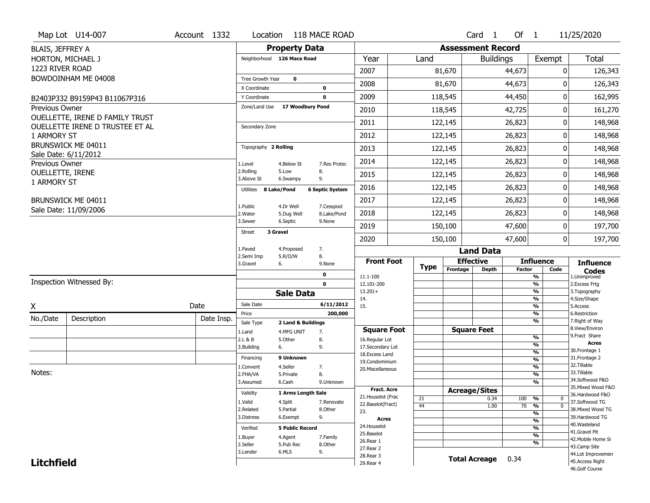|                         | Map Lot U14-007                                                    | Account 1332 |            | Location                   |                         | 118 MACE ROAD             |                                      |             |                          | Card <sub>1</sub>    | Of 1          |                                 | 11/25/2020                          |
|-------------------------|--------------------------------------------------------------------|--------------|------------|----------------------------|-------------------------|---------------------------|--------------------------------------|-------------|--------------------------|----------------------|---------------|---------------------------------|-------------------------------------|
| BLAIS, JEFFREY A        |                                                                    |              |            |                            | <b>Property Data</b>    |                           |                                      |             | <b>Assessment Record</b> |                      |               |                                 |                                     |
|                         | HORTON, MICHAEL J                                                  |              |            | Neighborhood 126 Mace Road |                         |                           | Year                                 | Land        |                          | <b>Buildings</b>     |               | Exempt                          | <b>Total</b>                        |
| 1223 RIVER ROAD         |                                                                    |              |            |                            |                         |                           | 2007                                 |             | 81,670                   |                      | 44,673        | 0                               | 126,343                             |
|                         | BOWDOINHAM ME 04008                                                |              |            | Tree Growth Year           | $\mathbf 0$             |                           |                                      |             |                          |                      |               |                                 |                                     |
|                         |                                                                    |              |            | X Coordinate               |                         | $\mathbf 0$               | 2008                                 |             | 81,670                   |                      | 44,673        | 0                               | 126,343                             |
|                         | B2403P332 B9159P43 B11067P316                                      |              |            | Y Coordinate               |                         | $\mathbf 0$               | 2009                                 |             | 118,545                  |                      | 44,450        | 0                               | 162,995                             |
| Previous Owner          |                                                                    |              |            | Zone/Land Use              | 17 Woodbury Pond        |                           | 2010                                 |             | 118,545                  |                      | 42,725        | 0                               | 161,270                             |
|                         | OUELLETTE, IRENE D FAMILY TRUST<br>OUELLETTE IRENE D TRUSTEE ET AL |              |            | Secondary Zone             |                         |                           | 2011                                 |             | 122,145                  |                      | 26,823        | 0                               | 148,968                             |
| 1 ARMORY ST             |                                                                    |              |            |                            |                         |                           | 2012                                 |             | 122,145                  |                      | 26,823        | 0                               | 148,968                             |
|                         | BRUNSWICK ME 04011                                                 |              |            | Topography 2 Rolling       |                         |                           | 2013                                 |             | 122,145                  |                      | 26,823        | 0                               | 148,968                             |
| Previous Owner          | Sale Date: 6/11/2012                                               |              |            | 1.Level                    | 4.Below St              | 7.Res Protec              | 2014                                 |             | 122,145                  |                      | 26,823        | 0                               | 148,968                             |
| <b>OUELLETTE, IRENE</b> |                                                                    |              |            | 2.Rolling<br>3.Above St    | 5.Low<br>6.Swampy       | 8.<br>9.                  | 2015                                 |             | 122,145                  |                      | 26,823        | 0                               | 148,968                             |
| 1 ARMORY ST             |                                                                    |              |            | 8 Lake/Pond<br>Utilities   |                         | <b>6 Septic System</b>    | 2016                                 |             | 122,145                  |                      | 26,823        | 0                               | 148,968                             |
|                         | BRUNSWICK ME 04011                                                 |              |            |                            |                         |                           | 2017                                 |             | 122,145                  |                      | 26,823        | 0                               | 148,968                             |
|                         | Sale Date: 11/09/2006                                              |              |            | 1.Public<br>2. Water       | 4.Dr Well<br>5.Dug Well | 7.Cesspool<br>8.Lake/Pond | 2018                                 |             | 122,145                  |                      | 26,823        | 0                               | 148,968                             |
|                         |                                                                    |              |            | 3.Sewer                    | 6.Septic                | 9.None                    | 2019                                 |             | 150,100                  |                      | 47,600        | 0                               | 197,700                             |
|                         |                                                                    |              |            | 3 Gravel<br><b>Street</b>  |                         |                           | 2020                                 |             | 150,100                  |                      | 47,600        | 0                               | 197,700                             |
|                         |                                                                    |              |            | 1.Paved                    | 4.Proposed              | 7.                        |                                      |             |                          | <b>Land Data</b>     |               |                                 |                                     |
|                         |                                                                    |              |            | 2.Semi Imp<br>3.Gravel     | 5.R/O/W<br>6.           | 8.<br>9.None              | <b>Front Foot</b>                    |             | <b>Effective</b>         |                      |               | <b>Influence</b>                | <b>Influence</b>                    |
|                         |                                                                    |              |            |                            |                         | $\mathbf 0$               | 11.1-100                             | <b>Type</b> | Frontage                 | <b>Depth</b>         | <b>Factor</b> | Code<br>%                       | <b>Codes</b><br>1.Unimproved        |
|                         | Inspection Witnessed By:                                           |              |            |                            |                         | $\mathbf 0$               | 12.101-200                           |             |                          |                      |               | $\frac{9}{6}$                   | 2.Excess Frtg                       |
|                         |                                                                    |              |            |                            | <b>Sale Data</b>        |                           | $13.201+$                            |             |                          |                      |               | %                               | 3. Topography                       |
| Χ                       |                                                                    | Date         |            | Sale Date                  |                         | 6/11/2012                 | 14.<br>15.                           |             |                          |                      |               | %<br>%                          | 4.Size/Shape<br>5.Access            |
| No./Date                | Description                                                        |              | Date Insp. | Price                      |                         | 200,000                   |                                      |             |                          |                      |               | %                               | 6.Restriction                       |
|                         |                                                                    |              |            | Sale Type                  | 2 Land & Buildings      |                           |                                      |             |                          |                      |               | %                               | 7. Right of Way<br>8.View/Environ   |
|                         |                                                                    |              |            | 1.Land<br>2.L & B          | 4.MFG UNIT<br>5.Other   | 7.<br>8.                  | <b>Square Foot</b><br>16.Regular Lot |             |                          | <b>Square Feet</b>   |               | $\frac{9}{6}$                   | 9. Fract Share                      |
|                         |                                                                    |              |            | 3.Building                 | 6.                      | 9.                        | 17.Secondary Lot                     |             |                          |                      |               | %                               | Acres                               |
|                         |                                                                    |              |            | Financing                  | 9 Unknown               |                           | 18.Excess Land                       |             |                          |                      |               | $\frac{9}{6}$                   | 30. Frontage 1<br>31. Frontage 2    |
|                         |                                                                    |              |            |                            | 4.Seller                |                           | 19.Condominium                       |             |                          |                      |               | $\frac{9}{6}$<br>$\frac{9}{6}$  | 32.Tillable                         |
| Notes:                  |                                                                    |              |            | 1.Convent<br>2.FHA/VA      | 5.Private               | 7.<br>8.                  | 20.Miscellaneous                     |             |                          |                      |               | $\frac{9}{6}$                   | 33.Tillable                         |
|                         |                                                                    |              |            | 3.Assumed                  | 6.Cash                  | 9.Unknown                 |                                      |             |                          |                      |               | %                               | 34.Softwood F&O                     |
|                         |                                                                    |              |            | Validity                   |                         |                           | <b>Fract. Acre</b>                   |             | <b>Acreage/Sites</b>     |                      |               |                                 | 35. Mixed Wood F&O                  |
|                         |                                                                    |              |            |                            | 1 Arms Length Sale      |                           | 21. Houselot (Frac                   | 21          |                          | 0.34                 | 100           | %<br>0                          | 36.Hardwood F&O                     |
|                         |                                                                    |              |            | 1.Valid<br>2.Related       | 4.Split<br>5.Partial    | 7.Renovate<br>8.Other     | 22.Baselot(Fract)                    | 44          |                          | 1.00                 | 70            | $\overline{0}$<br>$\frac{9}{6}$ | 37.Softwood TG<br>38. Mixed Wood TG |
|                         |                                                                    |              |            | 3.Distress                 | 6.Exempt                | 9.                        | 23.                                  |             |                          |                      |               | %                               | 39.Hardwood TG                      |
|                         |                                                                    |              |            |                            |                         |                           | <b>Acres</b><br>24. Houselot         |             |                          |                      |               | %                               | 40. Wasteland                       |
|                         |                                                                    |              |            | Verified                   | <b>5 Public Record</b>  |                           | 25.Baselot                           |             |                          |                      |               | %                               | 41.Gravel Pit                       |
|                         |                                                                    |              |            | 1.Buyer                    | 4.Agent                 | 7.Family                  | 26.Rear 1                            |             |                          |                      |               | %<br>%                          | 42. Mobile Home Si                  |
|                         |                                                                    |              |            | 2.Seller                   | 5.Pub Rec               | 8.Other                   | 27. Rear 2                           |             |                          |                      |               |                                 | 43.Camp Site                        |
|                         |                                                                    |              |            | 3.Lender                   | 6.MLS                   | 9.                        | 28. Rear 3                           |             |                          | <b>Total Acreage</b> | 0.34          |                                 | 44.Lot Improvemen                   |
| <b>Litchfield</b>       |                                                                    |              |            |                            |                         |                           | 29. Rear 4                           |             |                          |                      |               |                                 | 45.Access Right<br>46.Golf Course   |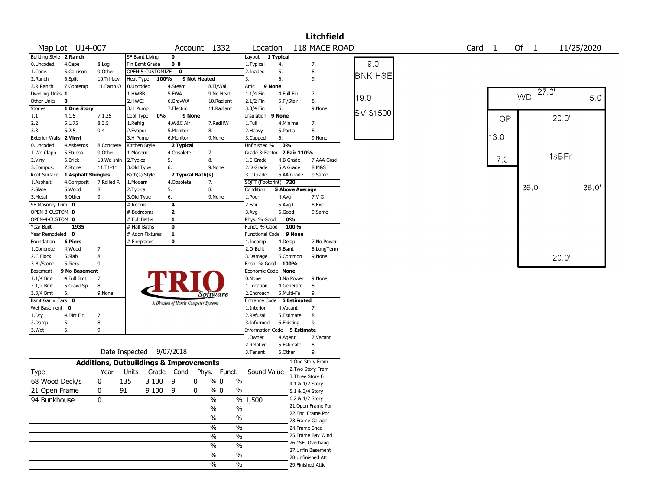|                       |                    |              |                                                   |                  |                |                                       |                          |                             |            |                    | <b>Litchfield</b>  |                |                   |       |                   |            |       |
|-----------------------|--------------------|--------------|---------------------------------------------------|------------------|----------------|---------------------------------------|--------------------------|-----------------------------|------------|--------------------|--------------------|----------------|-------------------|-------|-------------------|------------|-------|
|                       | Map Lot U14-007    |              |                                                   |                  |                | Account 1332                          |                          | Location                    |            |                    | 118 MACE ROAD      |                | Card <sub>1</sub> |       | Of $1$            | 11/25/2020 |       |
| <b>Building Style</b> | 2 Ranch            |              | SF Bsmt Living                                    |                  | 0              |                                       |                          | Layout                      | 1 Typical  |                    |                    |                |                   |       |                   |            |       |
| 0.Uncoded             | 4.Cape             | 8.Log        | Fin Bsmt Grade                                    |                  | 0 <sub>0</sub> |                                       |                          | 1. Typical                  | 4.         |                    | 7.                 | 9.0'           |                   |       |                   |            |       |
| 1.Conv.               | 5.Garrison         | 9.0ther      |                                                   | OPEN-5-CUSTOMIZE | $\mathbf 0$    |                                       |                          | 2.Inadeq                    | 5.         |                    | 8.                 | <b>BNK HSE</b> |                   |       |                   |            |       |
| 2.Ranch               | 6.Split            | 10.Tri-Lev   | Heat Type                                         | 100%             |                | 9 Not Heated                          |                          | 3.                          | 6.         |                    | 9.                 |                |                   |       |                   |            |       |
| 3.R Ranch             | 7.Contemp          | 11.Earth O   | 0.Uncoded                                         |                  | 4.Steam        |                                       | 8.Fl/Wall                | 9 None<br>Attic             |            |                    |                    |                |                   |       |                   |            |       |
| Dwelling Units 1      |                    |              | 1.HWBB                                            |                  | 5.FWA          |                                       | 9.No Heat                | 1.1/4 Fin                   |            | 4.Full Fin         | 7.                 | 19.0           |                   |       | 27.0<br><b>WD</b> |            | 5.0'  |
| Other Units           | $\mathbf 0$        |              | 2.HWCI                                            |                  | 6.GravWA       |                                       | 10.Radiant               | 2.1/2 Fin                   | 5.Fl/Stair |                    | 8.                 |                |                   |       |                   |            |       |
| Stories               | 1 One Story        |              | 3.H Pump                                          |                  | 7.Electric     |                                       | 11.Radiant               | 3.3/4 Fin                   | 6.         |                    | 9.None             | SV \$1500      |                   |       |                   |            |       |
| $1.1\,$               | 4.1.5              | 7.1.25       | Cool Type                                         | 0%               |                | 9 None                                |                          | Insulation                  | 9 None     |                    |                    |                |                   | OP    |                   | 20.0'      |       |
| 2.2                   | 5.1.75             | 8.3.5        | 1.Refrig                                          |                  | 4.W&C Air      |                                       | 7.RadHW                  | 1.Full                      |            | 4.Minimal          | 7.                 |                |                   |       |                   |            |       |
| 3.3                   | 6.2.5              | 9.4          | 2.Evapor                                          |                  | 5.Monitor-     | 8.                                    |                          | 2.Heavy                     | 5.Partial  |                    | 8.                 |                |                   |       |                   |            |       |
| <b>Exterior Walls</b> | 2 Vinyl            |              | 3.H Pump                                          |                  | 6.Monitor-     |                                       | 9.None                   | 3.Capped                    | 6.         |                    | 9.None             |                |                   | 13.0' |                   |            |       |
| 0.Uncoded             | 4.Asbestos         | 8.Concrete   | Kitchen Style                                     |                  | 2 Typical      |                                       |                          | Unfinished %                | 0%         |                    |                    |                |                   |       |                   |            |       |
| 1.Wd Clapb            | 5.Stucco           | 9.0ther      | 1.Modern                                          |                  | 4.Obsolete     | 7.                                    |                          | Grade & Factor              |            | 2 Fair 110%        |                    |                |                   |       |                   | 1sBFr      |       |
| 2.Vinyl               | 6.Brick            | 10.Wd shin   | 2. Typical                                        |                  | 5.             | 8.                                    |                          | 1.E Grade                   |            | 4.B Grade          | 7.AAA Grad         |                |                   | 7.0'  |                   |            |       |
| 3.Compos.             | 7.Stone            | 11.T1-11     | 3.Old Type                                        |                  | 6.             |                                       | 9.None                   | 2.D Grade                   |            | 5.A Grade          | 8.M&S              |                |                   |       |                   |            |       |
| Roof Surface          | 1 Asphalt Shingles |              | Bath(s) Style                                     |                  |                | 2 Typical Bath(s)                     |                          | 3.C Grade                   |            | 6.AA Grade         | 9.Same             |                |                   |       |                   |            |       |
| 1.Asphalt             | 4.Composit         | 7.Rolled R   | 1.Modern                                          |                  | 4.Obsolete     | 7.                                    |                          | SQFT (Footprint) 720        |            |                    |                    |                |                   |       |                   |            |       |
| 2.Slate               | 5.Wood             | 8.           | 2. Typical                                        |                  | 5.             | 8.                                    |                          | Condition                   |            | 5 Above Average    |                    |                |                   |       | 36.0              |            | 36.0' |
| 3.Metal               | 6.Other            | 9.           | 3.Old Type                                        |                  | 6.             |                                       | 9.None                   | 1.Poor                      | 4.Avg      |                    | 7.V G              |                |                   |       |                   |            |       |
| SF Masonry Trim 0     |                    |              | # Rooms                                           |                  | 4              |                                       |                          | 2.Fair                      | $5.Avg+$   |                    | 8.Exc              |                |                   |       |                   |            |       |
| OPEN-3-CUSTOM 0       |                    |              | # Bedrooms                                        |                  | $\mathbf{z}$   |                                       |                          | 3.Avg-                      | 6.Good     |                    | 9.Same             |                |                   |       |                   |            |       |
| OPEN-4-CUSTOM 0       |                    |              | # Full Baths                                      |                  | $\mathbf{1}$   |                                       |                          | Phys. % Good                |            | 0%                 |                    |                |                   |       |                   |            |       |
| Year Built            | 1935               |              | # Half Baths                                      |                  | $\bf{0}$       |                                       |                          | Funct. % Good               |            | 100%               |                    |                |                   |       |                   |            |       |
| Year Remodeled        | 0                  |              | # Addn Fixtures                                   |                  | $\mathbf{1}$   |                                       |                          | <b>Functional Code</b>      |            | 9 None             |                    |                |                   |       |                   |            |       |
| Foundation            | <b>6 Piers</b>     |              | # Fireplaces                                      |                  | 0              |                                       |                          | 1.Incomp                    | 4.Delap    |                    | 7.No Power         |                |                   |       |                   |            |       |
| 1.Concrete            | 4.Wood             | 7.           |                                                   |                  |                |                                       |                          | 2.0-Built                   | 5.Bsmt     |                    | 8.LongTerm         |                |                   |       |                   |            |       |
| 2.C Block             | 5.Slab             | 8.           |                                                   |                  |                |                                       |                          | 3.Damage                    |            | 6.Common           | 9.None             |                |                   |       |                   | 20.0'      |       |
| 3.Br/Stone            | 6.Piers            | 9.           |                                                   |                  |                |                                       |                          | Econ. % Good                | 100%       |                    |                    |                |                   |       |                   |            |       |
| Basement              | 9 No Basement      |              |                                                   |                  |                |                                       |                          | Economic Code None          |            |                    |                    |                |                   |       |                   |            |       |
| 1.1/4 Bmt             | 4.Full Bmt         | 7.           |                                                   |                  |                |                                       |                          | 0.None                      |            | 3.No Power         | 9.None             |                |                   |       |                   |            |       |
| 2.1/2 Bmt             | 5.Crawl Sp         | 8.           |                                                   |                  |                |                                       |                          | 1.Location                  |            | 4.Generate         | 8.                 |                |                   |       |                   |            |       |
| 3.3/4 Bmt             | 6.                 | 9.None       |                                                   |                  |                | Software                              |                          | 2.Encroach                  |            | 5.Multi-Fa         | 9.                 |                |                   |       |                   |            |       |
| Bsmt Gar # Cars 0     |                    |              |                                                   |                  |                | A Division of Harris Computer Systems |                          | Entrance Code               |            | <b>5 Estimated</b> |                    |                |                   |       |                   |            |       |
| Wet Basement          | $\mathbf 0$        |              |                                                   |                  |                |                                       |                          | 1.Interior                  | 4.Vacant   |                    | 7.                 |                |                   |       |                   |            |       |
| 1.Dry                 | 4.Dirt Flr         | 7.           |                                                   |                  |                |                                       |                          | 2.Refusal                   |            | 5.Estimate         | 8.                 |                |                   |       |                   |            |       |
| 2.Damp                | 5.                 | 8.           |                                                   |                  |                |                                       |                          | 3.Informed                  |            | 6.Existing         | 9.                 |                |                   |       |                   |            |       |
| 3.Wet                 | 6.                 | 9.           |                                                   |                  |                |                                       |                          | Information Code 5 Estimate |            |                    |                    |                |                   |       |                   |            |       |
|                       |                    |              |                                                   |                  |                |                                       |                          | 1.Owner                     | 4.Agent    |                    | 7.Vacant           |                |                   |       |                   |            |       |
|                       |                    |              |                                                   |                  |                |                                       |                          | 2.Relative                  |            | 5.Estimate         | 8.                 |                |                   |       |                   |            |       |
|                       |                    |              | Date Inspected                                    |                  | 9/07/2018      |                                       |                          | 3. Tenant                   | 6.Other    |                    | 9.                 |                |                   |       |                   |            |       |
|                       |                    |              | <b>Additions, Outbuildings &amp; Improvements</b> |                  |                |                                       |                          |                             |            |                    | 1.One Story Fram   |                |                   |       |                   |            |       |
| Type                  |                    | Year         | Units                                             | Grade $ $ Cond   |                | Phys.                                 | Funct.                   | Sound Value                 |            |                    | 2. Two Story Fram  |                |                   |       |                   |            |       |
|                       |                    |              |                                                   |                  |                |                                       |                          |                             |            | 3. Three Story Fr  |                    |                |                   |       |                   |            |       |
| 68 Wood Deck/s        |                    | 0            | 135                                               | 3 100            | 9              | 0                                     | $\frac{9}{0}$ 0<br>$\%$  |                             |            | 4.1 & 1/2 Story    |                    |                |                   |       |                   |            |       |
| 21 Open Frame         |                    | 0            | 91                                                | 9 100            | 19             | 0                                     | $\%$<br>% 0              |                             |            | 5.1 & 3/4 Story    |                    |                |                   |       |                   |            |       |
| 94 Bunkhouse          |                    | $\mathbf{0}$ |                                                   |                  |                | $\%$                                  |                          | % 1,500                     |            | 6.2 & 1/2 Story    |                    |                |                   |       |                   |            |       |
|                       |                    |              |                                                   |                  |                | $\overline{\frac{0}{0}}$              | $\frac{0}{0}$            |                             |            |                    | 21. Open Frame Por |                |                   |       |                   |            |       |
|                       |                    |              |                                                   |                  |                |                                       |                          |                             |            |                    | 22.Encl Frame Por  |                |                   |       |                   |            |       |
|                       |                    |              |                                                   |                  |                | $\sqrt{6}$                            | $\overline{\frac{0}{0}}$ |                             |            |                    | 23. Frame Garage   |                |                   |       |                   |            |       |
|                       |                    |              |                                                   |                  |                | $\overline{\frac{0}{0}}$              | $\overline{\frac{0}{0}}$ |                             |            | 24.Frame Shed      |                    |                |                   |       |                   |            |       |
|                       |                    |              |                                                   |                  |                | $\%$                                  | $\overline{\frac{0}{0}}$ |                             |            |                    | 25. Frame Bay Wind |                |                   |       |                   |            |       |
|                       |                    |              |                                                   |                  |                | $\%$                                  | $\%$                     |                             |            |                    | 26.1SFr Overhang   |                |                   |       |                   |            |       |
|                       |                    |              |                                                   |                  |                |                                       |                          |                             |            |                    | 27. Unfin Basement |                |                   |       |                   |            |       |
|                       |                    |              |                                                   |                  |                | $\%$                                  | $\%$                     |                             |            |                    | 28. Unfinished Att |                |                   |       |                   |            |       |
|                       |                    |              |                                                   |                  |                | $\%$                                  | $\frac{1}{2}$            |                             |            | 29. Finished Attic |                    |                |                   |       |                   |            |       |
|                       |                    |              |                                                   |                  |                |                                       |                          |                             |            |                    |                    |                |                   |       |                   |            |       |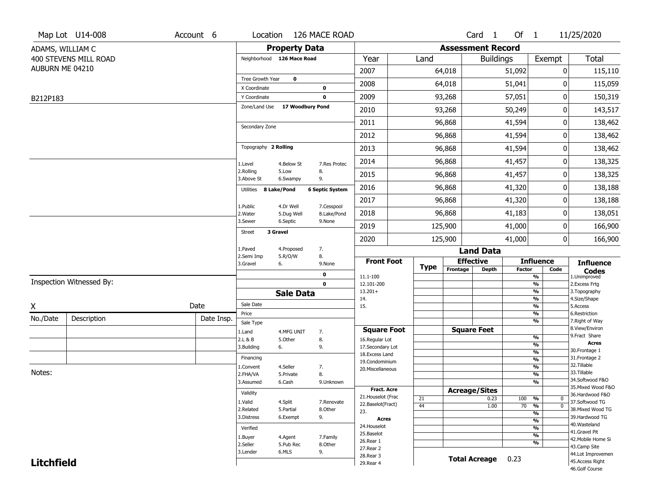|                   | Map Lot U14-008          | Account 6  |                               |                       | Location 126 MACE ROAD          |                                    |                 |                          | Card 1               | Of 1            |                                | 11/25/2020                          |
|-------------------|--------------------------|------------|-------------------------------|-----------------------|---------------------------------|------------------------------------|-----------------|--------------------------|----------------------|-----------------|--------------------------------|-------------------------------------|
|                   | ADAMS, WILLIAM C         |            |                               | <b>Property Data</b>  |                                 |                                    |                 | <b>Assessment Record</b> |                      |                 |                                |                                     |
|                   | 400 STEVENS MILL ROAD    |            | Neighborhood 126 Mace Road    |                       |                                 | Year                               | Land            |                          | <b>Buildings</b>     |                 | Exempt                         | <b>Total</b>                        |
| AUBURN ME 04210   |                          |            |                               |                       |                                 | 2007                               |                 | 64,018                   |                      | 51,092          | 0                              | 115,110                             |
|                   |                          |            | Tree Growth Year              | $\mathbf 0$           |                                 | 2008                               |                 | 64,018                   |                      | 51,041          | 0                              | 115,059                             |
|                   |                          |            | X Coordinate                  |                       | $\mathbf 0$                     |                                    |                 |                          |                      |                 |                                |                                     |
| B212P183          |                          |            | Y Coordinate<br>Zone/Land Use |                       | $\mathbf 0$<br>17 Woodbury Pond | 2009                               |                 | 93,268                   |                      | 57,051          | $\pmb{0}$                      | 150,319                             |
|                   |                          |            |                               |                       |                                 | 2010                               |                 | 93,268                   |                      | 50,249          | 0                              | 143,517                             |
|                   |                          |            | Secondary Zone                |                       |                                 | 2011                               |                 | 96,868                   |                      | 41,594          | 0                              | 138,462                             |
|                   |                          |            |                               |                       |                                 | 2012                               |                 | 96,868                   |                      | 41,594          | 0                              | 138,462                             |
|                   |                          |            | Topography 2 Rolling          |                       |                                 | 2013                               |                 | 96,868                   |                      | 41,594          | 0                              | 138,462                             |
|                   |                          |            | 1.Level                       | 4.Below St            | 7.Res Protec                    | 2014                               |                 | 96,868                   |                      | 41,457          | 0                              | 138,325                             |
|                   |                          |            | 2.Rolling<br>3.Above St       | 5.Low<br>6.Swampy     | 8.<br>9.                        | 2015                               |                 | 96,868                   |                      | 41,457          | 0                              | 138,325                             |
|                   |                          |            | Utilities                     | 8 Lake/Pond           | <b>6 Septic System</b>          | 2016                               |                 | 96,868                   |                      | 41,320          | 0                              | 138,188                             |
|                   |                          |            | 1.Public                      | 4.Dr Well             | 7.Cesspool                      | 2017                               |                 | 96,868                   |                      | 41,320          | 0                              | 138,188                             |
|                   |                          |            | 2. Water                      | 5.Dug Well            | 8.Lake/Pond                     | 2018                               |                 | 96,868                   |                      | 41,183          | 0                              | 138,051                             |
|                   |                          |            | 3.Sewer<br><b>Street</b>      | 6.Septic<br>3 Gravel  | 9.None                          | 2019                               |                 | 125,900                  |                      | 41,000          | 0                              | 166,900                             |
|                   |                          |            |                               |                       |                                 | 2020                               |                 | 125,900                  |                      | 41,000          | 0                              | 166,900                             |
|                   |                          |            | 1.Paved<br>2.Semi Imp         | 4.Proposed<br>5.R/O/W | 7.<br>8.                        |                                    |                 |                          | <b>Land Data</b>     |                 |                                |                                     |
|                   |                          |            | 3.Gravel                      | 6.                    | 9.None                          | <b>Front Foot</b>                  | <b>Type</b>     |                          | <b>Effective</b>     |                 | <b>Influence</b>               | <b>Influence</b>                    |
|                   |                          |            |                               |                       | 0                               | 11.1-100                           |                 | Frontage                 | Depth                | <b>Factor</b>   | Code<br>$\frac{9}{6}$          | <b>Codes</b><br>1.Unimproved        |
|                   | Inspection Witnessed By: |            |                               |                       | $\mathbf 0$                     | 12.101-200                         |                 |                          |                      |                 | $\frac{9}{6}$                  | 2.Excess Frtg                       |
|                   |                          |            |                               | <b>Sale Data</b>      |                                 | $13.201+$<br>14.                   |                 |                          |                      |                 | $\frac{9}{6}$<br>$\frac{9}{6}$ | 3. Topography<br>4.Size/Shape       |
| X                 |                          | Date       | Sale Date                     |                       |                                 | 15.                                |                 |                          |                      |                 | $\frac{9}{6}$                  | 5.Access                            |
| No./Date          | Description              | Date Insp. | Price<br>Sale Type            |                       |                                 |                                    |                 |                          |                      |                 | %<br>%                         | 6.Restriction<br>7. Right of Way    |
|                   |                          |            | 1.Land                        | 4.MFG UNIT            | 7.                              | <b>Square Foot</b>                 |                 |                          | <b>Square Feet</b>   |                 |                                | 8.View/Environ                      |
|                   |                          |            | 2.L & B                       | 5.0ther               | 8.                              | 16.Regular Lot                     |                 |                          |                      |                 | %                              | 9.Fract Share<br><b>Acres</b>       |
|                   |                          |            | 3.Building                    | 6.                    | 9.                              | 17.Secondary Lot<br>18.Excess Land |                 |                          |                      |                 | %<br>$\frac{9}{6}$             | 30. Frontage 1                      |
|                   |                          |            | Financing                     |                       |                                 | 19.Condominium                     |                 |                          |                      |                 | $\frac{9}{6}$                  | 31. Frontage 2                      |
| Notes:            |                          |            | 1.Convent                     | 4.Seller              | 7.                              | 20.Miscellaneous                   |                 |                          |                      |                 | $\frac{9}{6}$                  | 32.Tillable<br>33.Tillable          |
|                   |                          |            | 2.FHA/VA                      | 5.Private             | 8.                              |                                    |                 |                          |                      |                 | $\frac{9}{6}$<br>$\frac{9}{6}$ | 34.Softwood F&O                     |
|                   |                          |            | 3.Assumed                     | 6.Cash                | 9.Unknown                       | <b>Fract. Acre</b>                 |                 | <b>Acreage/Sites</b>     |                      |                 |                                | 35. Mixed Wood F&O                  |
|                   |                          |            | Validity                      |                       |                                 | 21. Houselot (Frac                 | 21              |                          | 0.23                 | 100             | %<br>0                         | 36.Hardwood F&O                     |
|                   |                          |            | 1.Valid                       | 4.Split               | 7.Renovate                      | 22.Baselot(Fract)                  | $\overline{44}$ |                          | 1.00                 | $\overline{70}$ | $\overline{0}$<br>%            | 37.Softwood TG                      |
|                   |                          |            | 2.Related                     | 5.Partial             | 8.Other<br>9.                   | 23.                                |                 |                          |                      |                 | $\frac{9}{6}$                  | 38. Mixed Wood TG<br>39.Hardwood TG |
|                   |                          |            | 3.Distress                    | 6.Exempt              |                                 | Acres                              |                 |                          |                      |                 | $\frac{9}{6}$                  | 40. Wasteland                       |
|                   |                          |            | Verified                      |                       |                                 | 24. Houselot<br>25.Baselot         |                 |                          |                      |                 | $\frac{9}{6}$                  | 41.Gravel Pit                       |
|                   |                          |            | 1.Buyer                       | 4.Agent               | 7.Family                        | 26.Rear 1                          |                 |                          |                      |                 | $\frac{9}{6}$<br>$\frac{9}{6}$ | 42. Mobile Home Si                  |
|                   |                          |            | 2.Seller                      | 5.Pub Rec             | 8.Other                         | 27. Rear 2                         |                 |                          |                      |                 |                                | 43.Camp Site                        |
|                   |                          |            | 3.Lender                      | 6.MLS                 | 9.                              | 28. Rear 3                         |                 |                          | <b>Total Acreage</b> | 0.23            |                                | 44.Lot Improvemen                   |
| <b>Litchfield</b> |                          |            |                               |                       |                                 | 29. Rear 4                         |                 |                          |                      |                 |                                | 45.Access Right<br>46.Golf Course   |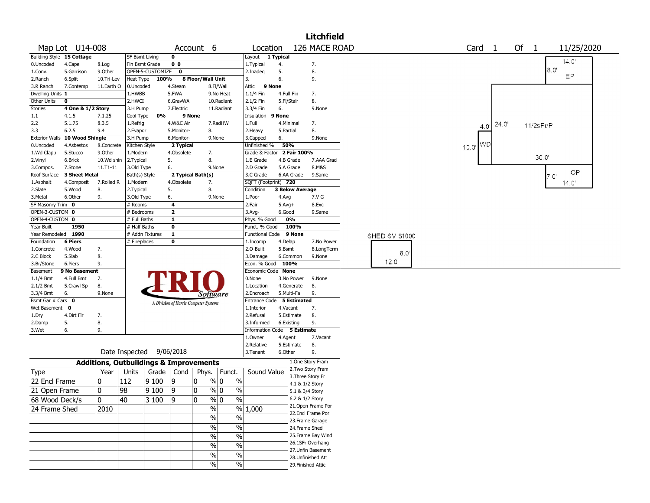|                        |                           |                 |                                                   |                  |                         |                                       |                         |                            |                          |               | <b>Litchfield</b>                  |               |                   |                       |      |           |                |  |
|------------------------|---------------------------|-----------------|---------------------------------------------------|------------------|-------------------------|---------------------------------------|-------------------------|----------------------------|--------------------------|---------------|------------------------------------|---------------|-------------------|-----------------------|------|-----------|----------------|--|
|                        | Map Lot U14-008           |                 |                                                   |                  |                         | Account 6                             |                         | Location                   |                          |               | 126 MACE ROAD                      |               | Card <sub>1</sub> |                       | Of 1 |           | 11/25/2020     |  |
|                        | Building Style 15 Cottage |                 | <b>SF Bsmt Living</b>                             |                  | 0                       |                                       |                         | Layout                     | 1 Typical                |               |                                    |               |                   |                       |      |           | 14.0           |  |
| 0.Uncoded              | 4.Cape                    | 8.Log           | Fin Bsmt Grade                                    |                  | 0 <sub>0</sub>          |                                       |                         | 1. Typical                 | 4.                       |               | 7.                                 |               |                   |                       |      |           |                |  |
| 1.Conv.                | 5.Garrison                | 9.Other         |                                                   | OPEN-5-CUSTOMIZE | $\mathbf 0$             |                                       |                         | 2.Inadeg                   | 5.                       |               | 8.                                 |               |                   |                       |      | 8.0       | EP             |  |
| 2.Ranch                | 6.Split                   | 10.Tri-Lev      | Heat Type                                         | 100%             |                         | 8 Floor/Wall Unit                     |                         | 3.                         | 6.                       |               | 9.                                 |               |                   |                       |      |           |                |  |
| 3.R Ranch              | 7.Contemp                 | 11.Earth O      | 0.Uncoded                                         |                  | 4.Steam                 |                                       | 8.Fl/Wall               | Attic                      | 9 None                   |               |                                    |               |                   |                       |      |           |                |  |
| Dwelling Units 1       |                           |                 | 1.HWBB                                            |                  | 5.FWA                   |                                       | 9.No Heat               | 1.1/4 Fin                  | 4.Full Fin               |               | 7.                                 |               |                   |                       |      |           |                |  |
| Other Units            | 0                         |                 | 2.HWCI                                            |                  | 6.GravWA                |                                       | 10.Radiant              | 2.1/2 Fin                  | 5.Fl/Stair               |               | 8.                                 |               |                   |                       |      |           |                |  |
| Stories                | 4 One & 1/2 Story         |                 | 3.H Pump                                          |                  | 7.Electric              | 9 None                                | 11.Radiant              | 3.3/4 Fin                  | 6.                       |               | 9.None                             |               |                   |                       |      |           |                |  |
| $1.1\,$<br>2.2         | 4.1.5<br>5.1.75           | 7.1.25<br>8.3.5 | Cool Type                                         | 0%               |                         |                                       | 7.RadHW                 | Insulation<br>1.Full       | 9 None<br>4.Minimal      |               | 7.                                 |               |                   |                       |      |           |                |  |
| 3.3                    | 6.2.5                     | 9.4             | 1.Refrig<br>2.Evapor                              |                  | 4.W&C Air<br>5.Monitor- | 8.                                    |                         | 2.Heavy                    | 5.Partial                |               | 8.                                 |               |                   | $4.0$ <sup>24.0</sup> |      | 11/2sFr/P |                |  |
| <b>Exterior Walls</b>  | 10 Wood Shingle           |                 | 3.H Pump                                          |                  | 6.Monitor-              |                                       | 9.None                  | 3.Capped                   | 6.                       |               | 9.None                             |               |                   |                       |      |           |                |  |
| 0.Uncoded              | 4.Asbestos                | 8.Concrete      | Kitchen Style                                     |                  | 2 Typical               |                                       |                         | Unfinished %               | 50%                      |               |                                    |               |                   | WD                    |      |           |                |  |
| 1.Wd Clapb             | 5.Stucco                  | 9.Other         | 1.Modern                                          |                  | 4.Obsolete              | 7.                                    |                         | Grade & Factor 2 Fair 100% |                          |               |                                    |               | 10.0'             |                       |      |           |                |  |
| 2.Vinyl                | 6.Brick                   | 10.Wd shin      | 2.Typical                                         |                  | 5.                      | 8.                                    |                         | 1.E Grade                  | 4.B Grade                |               | 7.AAA Grad                         |               |                   |                       |      | 30.0'     |                |  |
| 3.Compos.              | 7.Stone                   | 11.T1-11        | 3.Old Type                                        |                  | 6.                      |                                       | 9.None                  | 2.D Grade                  | 5.A Grade                |               | 8.M&S                              |               |                   |                       |      |           |                |  |
| Roof Surface           | 3 Sheet Metal             |                 | Bath(s) Style                                     |                  |                         | 2 Typical Bath(s)                     |                         | 3.C Grade                  | 6.AA Grade               |               | 9.Same                             |               |                   |                       |      | 7.0'      | <b>OP</b>      |  |
| 1.Asphalt              | 4.Composit                | 7.Rolled R      | 1.Modern                                          |                  | 4.Obsolete              | 7.                                    |                         | SQFT (Footprint) 720       |                          |               |                                    |               |                   |                       |      |           | $14.0^{\circ}$ |  |
| 2.Slate                | 5.Wood                    | 8.              | 2. Typical                                        |                  | 5.                      | 8.                                    |                         | Condition                  | <b>3 Below Average</b>   |               |                                    |               |                   |                       |      |           |                |  |
| 3.Metal                | 6.Other                   | 9.              | 3.Old Type                                        |                  | 6.                      |                                       | 9.None                  | 1.Poor                     | 4.Avg                    |               | 7.V G                              |               |                   |                       |      |           |                |  |
| SF Masonry Trim 0      |                           |                 | # Rooms                                           |                  | 4                       |                                       |                         | 2.Fair                     | $5.$ Avg $+$             |               | 8.Exc                              |               |                   |                       |      |           |                |  |
| OPEN-3-CUSTOM 0        |                           |                 | # Bedrooms                                        |                  | $\overline{\mathbf{2}}$ |                                       |                         | 3.Avg-                     | 6.Good                   |               | 9.Same                             |               |                   |                       |      |           |                |  |
| OPEN-4-CUSTOM 0        |                           |                 | # Full Baths                                      |                  | $\mathbf{1}$            |                                       |                         | Phys. % Good               | 0%                       |               |                                    |               |                   |                       |      |           |                |  |
| Year Built             | 1950                      |                 | # Half Baths                                      |                  | 0                       |                                       |                         | Funct. % Good              |                          | 100%          |                                    |               |                   |                       |      |           |                |  |
| Year Remodeled         | 1990                      |                 | # Addn Fixtures                                   |                  | 1                       |                                       |                         | <b>Functional Code</b>     |                          | 9 None        |                                    | SHED SV S1000 |                   |                       |      |           |                |  |
| Foundation             | <b>6 Piers</b>            |                 | # Fireplaces                                      |                  | $\mathbf 0$             |                                       |                         | 1.Incomp                   | 4.Delap                  |               | 7.No Power                         |               |                   |                       |      |           |                |  |
| 1.Concrete             | 4.Wood                    | 7.              |                                                   |                  |                         |                                       |                         | 2.O-Built                  | 5.Bsmt                   |               | 8.LongTerm                         | 8.0           |                   |                       |      |           |                |  |
| 2.C Block              | 5.Slab                    | 8.              |                                                   |                  |                         |                                       |                         | 3.Damage                   | 6.Common                 |               | 9.None                             | 12.0'         |                   |                       |      |           |                |  |
| 3.Br/Stone             | 6.Piers                   | 9.              |                                                   |                  |                         |                                       |                         | Econ. % Good               | 100%                     |               |                                    |               |                   |                       |      |           |                |  |
| Basement               | 9 No Basement             |                 |                                                   |                  |                         |                                       |                         | Economic Code None         |                          |               |                                    |               |                   |                       |      |           |                |  |
| $1.1/4$ Bmt            | 4.Full Bmt                | 7.              |                                                   |                  |                         |                                       |                         | 0.None                     |                          | 3.No Power    | 9.None                             |               |                   |                       |      |           |                |  |
| 2.1/2 Bmt<br>3.3/4 Bmt | 5.Crawl Sp<br>6.          | 8.<br>9.None    |                                                   |                  |                         |                                       |                         | 1.Location<br>2.Encroach   | 4.Generate<br>5.Multi-Fa |               | 8.<br>9.                           |               |                   |                       |      |           |                |  |
| Bsmt Gar # Cars 0      |                           |                 |                                                   |                  |                         | <i>Software</i>                       |                         | Entrance Code 5 Estimated  |                          |               |                                    |               |                   |                       |      |           |                |  |
| Wet Basement           | $\mathbf 0$               |                 |                                                   |                  |                         | A Division of Harris Computer Systems |                         | 1.Interior                 | 4.Vacant                 |               | 7.                                 |               |                   |                       |      |           |                |  |
| 1.Dry                  | 4.Dirt Flr                | 7.              |                                                   |                  |                         |                                       |                         | 2.Refusal                  | 5.Estimate               |               | 8.                                 |               |                   |                       |      |           |                |  |
| 2.Damp                 | 5.                        | 8.              |                                                   |                  |                         |                                       |                         | 3.Informed                 | 6.Existing               |               | 9.                                 |               |                   |                       |      |           |                |  |
| 3.Wet                  | 6.                        | 9.              |                                                   |                  |                         |                                       |                         | Information                | Code 5 Estimate          |               |                                    |               |                   |                       |      |           |                |  |
|                        |                           |                 |                                                   |                  |                         |                                       |                         | 1.Owner                    | 4.Agent                  |               | 7.Vacant                           |               |                   |                       |      |           |                |  |
|                        |                           |                 |                                                   |                  |                         |                                       |                         | 2.Relative                 | 5.Estimate               |               | 8.                                 |               |                   |                       |      |           |                |  |
|                        |                           |                 | Date Inspected                                    |                  | 9/06/2018               |                                       |                         | 3.Tenant                   | 6.Other                  |               | 9.                                 |               |                   |                       |      |           |                |  |
|                        |                           |                 | <b>Additions, Outbuildings &amp; Improvements</b> |                  |                         |                                       |                         |                            |                          |               | 1.One Story Fram                   |               |                   |                       |      |           |                |  |
| Type                   |                           | Year            | Units                                             | Grade            | Cond                    | Phys.                                 | Funct.                  | Sound Value                |                          |               | 2.Two Story Fram                   |               |                   |                       |      |           |                |  |
| 22 Encl Frame          |                           | 0               | 112                                               | 9100             | 19                      | 10                                    | $\frac{9}{6}$ 0<br>$\%$ |                            |                          |               | 3. Three Story Fr                  |               |                   |                       |      |           |                |  |
| 21 Open Frame          |                           | 0               | 98                                                | 9100             | 19                      | 10                                    | %<br>% 0                |                            |                          |               | 4.1 & 1/2 Story<br>5.1 & 3/4 Story |               |                   |                       |      |           |                |  |
|                        |                           |                 |                                                   |                  |                         |                                       | $\sqrt[6]{0}$           |                            |                          |               | 6.2 & 1/2 Story                    |               |                   |                       |      |           |                |  |
| 68 Wood Deck/s         |                           | $\pmb{0}$       | 40                                                | 3 100            | $ 9\rangle$             | 0                                     | $\%$                    |                            |                          |               | 21.Open Frame Por                  |               |                   |                       |      |           |                |  |
| 24 Frame Shed          |                           | 2010            |                                                   |                  |                         | $\frac{0}{0}$                         |                         | $\sqrt{96}$ 1,000          |                          |               | 22.Encl Frame Por                  |               |                   |                       |      |           |                |  |
|                        |                           |                 |                                                   |                  |                         | $\%$                                  | $\sqrt{6}$              |                            |                          |               | 23. Frame Garage                   |               |                   |                       |      |           |                |  |
|                        |                           |                 |                                                   |                  |                         | $\%$                                  | $\frac{0}{6}$           |                            |                          | 24.Frame Shed |                                    |               |                   |                       |      |           |                |  |
|                        |                           |                 |                                                   |                  |                         | $\%$                                  | $\frac{0}{6}$           |                            |                          |               | 25. Frame Bay Wind                 |               |                   |                       |      |           |                |  |
|                        |                           |                 |                                                   |                  |                         |                                       | $\frac{1}{2}$           |                            |                          |               | 26.1SFr Overhang                   |               |                   |                       |      |           |                |  |
|                        |                           |                 |                                                   |                  |                         | $\%$                                  |                         |                            |                          |               | 27.Unfin Basement                  |               |                   |                       |      |           |                |  |
|                        |                           |                 |                                                   |                  |                         | $\%$                                  | $\%$                    |                            |                          |               | 28.Unfinished Att                  |               |                   |                       |      |           |                |  |
|                        |                           |                 |                                                   |                  |                         | $\%$                                  | $\frac{9}{6}$           |                            |                          |               | 29. Finished Attic                 |               |                   |                       |      |           |                |  |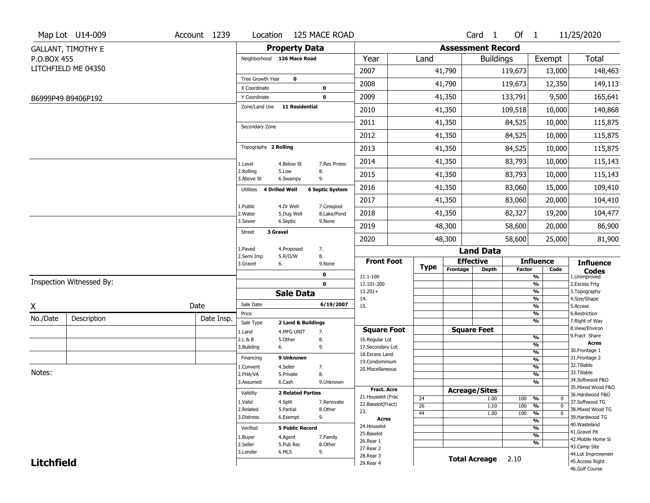|                   | Map Lot U14-009           | Account 1239 | Location                     |                          | 125 MACE ROAD          |                                      |             |                          | Card <sub>1</sub> | Of $1$        |                                | 11/25/2020                        |
|-------------------|---------------------------|--------------|------------------------------|--------------------------|------------------------|--------------------------------------|-------------|--------------------------|-------------------|---------------|--------------------------------|-----------------------------------|
|                   | <b>GALLANT, TIMOTHY E</b> |              |                              | <b>Property Data</b>     |                        |                                      |             | <b>Assessment Record</b> |                   |               |                                |                                   |
| P.O.BOX 455       |                           |              | Neighborhood 126 Mace Road   |                          |                        | Year                                 | Land        |                          | <b>Buildings</b>  |               | Exempt                         | <b>Total</b>                      |
|                   | LITCHFIELD ME 04350       |              |                              |                          |                        | 2007                                 |             | 41,790                   |                   | 119,673       | 13,000                         | 148,463                           |
|                   |                           |              | Tree Growth Year             | $\mathbf 0$              |                        | 2008                                 |             | 41,790                   |                   | 119,673       | 12,350                         | 149,113                           |
|                   |                           |              | X Coordinate                 |                          | $\bf{0}$               |                                      |             |                          |                   |               |                                |                                   |
|                   | B6999P49 B9406P192        |              | Y Coordinate                 |                          | 0                      | 2009                                 |             | 41,350                   |                   | 133,791       | 9,500                          | 165,641                           |
|                   |                           |              | Zone/Land Use                | 11 Residential           |                        | 2010                                 |             | 41,350                   |                   | 109,518       | 10,000                         | 140,868                           |
|                   |                           |              | Secondary Zone               |                          |                        | 2011                                 |             | 41,350                   |                   | 84,525        | 10,000                         | 115,875                           |
|                   |                           |              |                              |                          |                        | 2012                                 |             | 41,350                   |                   | 84,525        | 10,000                         | 115,875                           |
|                   |                           |              | Topography 2 Rolling         |                          |                        | 2013                                 |             | 41,350                   |                   | 84,525        | 10,000                         | 115,875                           |
|                   |                           |              | 1.Level                      | 4.Below St               | 7.Res Protec           | 2014                                 |             | 41,350                   |                   | 83,793        | 10,000                         | 115,143                           |
|                   |                           |              | 2.Rolling<br>3.Above St      | 5.Low<br>6.Swampy        | 8.<br>9.               | 2015                                 |             | 41,350                   |                   | 83,793        | 10,000                         | 115,143                           |
|                   |                           |              | 4 Drilled Well<br>Utilities  |                          | <b>6 Septic System</b> | 2016                                 |             | 41,350                   |                   | 83,060        | 15,000                         | 109,410                           |
|                   |                           |              |                              | 4.Dr Well                | 7.Cesspool             | 2017                                 |             | 41,350                   |                   | 83,060        | 20,000                         | 104,410                           |
|                   |                           |              | 1.Public<br>2. Water         | 5.Dug Well               | 8.Lake/Pond            | 2018                                 |             | 41,350                   |                   | 82,327        | 19,200                         | 104,477                           |
|                   |                           |              | 3.Sewer                      | 6.Septic                 | 9.None                 | 2019                                 |             | 48,300                   |                   | 58,600        | 20,000                         | 86,900                            |
|                   |                           |              | 3 Gravel<br>Street           |                          |                        | 2020                                 |             | 48,300                   |                   | 58,600        | 25,000                         | 81,900                            |
|                   |                           |              | 1.Paved                      | 4.Proposed               | 7.                     |                                      |             |                          | <b>Land Data</b>  |               |                                |                                   |
|                   |                           |              | 2.Semi Imp<br>3.Gravel<br>6. | 5.R/O/W                  | 8.<br>9.None           | <b>Front Foot</b>                    |             | <b>Effective</b>         |                   |               | <b>Influence</b>               | <b>Influence</b>                  |
|                   |                           |              |                              |                          | 0                      | 11.1-100                             | <b>Type</b> | Frontage                 | <b>Depth</b>      | <b>Factor</b> | Code<br>%                      | <b>Codes</b><br>1.Unimproved      |
|                   | Inspection Witnessed By:  |              |                              |                          | $\mathbf 0$            | 12.101-200                           |             |                          |                   |               | $\frac{9}{6}$                  | 2. Excess Frtg                    |
|                   |                           |              |                              | <b>Sale Data</b>         |                        | $13.201+$                            |             |                          |                   |               | %<br>%                         | 3. Topography                     |
| X                 |                           | Date         | Sale Date                    |                          | 6/19/2007              | 14.<br>15.                           |             |                          |                   |               | $\frac{9}{6}$                  | 4.Size/Shape<br>5.Access          |
| No./Date          | Description               | Date Insp.   | Price                        |                          |                        |                                      |             |                          |                   |               | $\frac{9}{6}$                  | 6.Restriction                     |
|                   |                           |              | Sale Type                    | 2 Land & Buildings       |                        |                                      |             | <b>Square Feet</b>       |                   |               | %                              | 7. Right of Way<br>8.View/Environ |
|                   |                           |              | 1.Land<br>2.L & B            | 4.MFG UNIT<br>5.Other    | 7.<br>8.               | <b>Square Foot</b><br>16.Regular Lot |             |                          |                   |               | $\frac{9}{6}$                  | 9.Fract Share                     |
|                   |                           |              | 3.Building<br>6.             |                          | 9.                     | 17.Secondary Lot                     |             |                          |                   |               | $\overline{\frac{9}{6}}$       | <b>Acres</b>                      |
|                   |                           |              | Financing                    | 9 Unknown                |                        | 18.Excess Land                       |             |                          |                   |               | $\frac{9}{6}$                  | 30. Frontage 1<br>31. Frontage 2  |
|                   |                           |              |                              | 4.Seller                 |                        | 19.Condominium                       |             |                          |                   |               | $\frac{9}{6}$<br>$\frac{9}{6}$ | 32. Tillable                      |
| Notes:            |                           |              | 1.Convent<br>2.FHA/VA        | 5.Private                | 7.<br>8.               | 20.Miscellaneous                     |             |                          |                   |               | $\frac{9}{6}$                  | 33.Tillable                       |
|                   |                           |              | 3.Assumed                    | 6.Cash                   | 9.Unknown              |                                      |             |                          |                   |               | $\frac{9}{6}$                  | 34.Softwood F&O                   |
|                   |                           |              |                              |                          |                        | <b>Fract. Acre</b>                   |             | <b>Acreage/Sites</b>     |                   |               |                                | 35. Mixed Wood F&O                |
|                   |                           |              | Validity                     | <b>2 Related Parties</b> |                        | 21. Houselot (Frac                   | 24          |                          | 1.00              | 100           | %<br>0                         | 36.Hardwood F&O                   |
|                   |                           |              | 1.Valid                      | 4.Split                  | 7.Renovate             | 22.Baselot(Fract)                    | 26          |                          | 1.10              | 100           | %<br>$\mathbf 0$               | 37.Softwood TG                    |
|                   |                           |              | 2.Related                    | 5.Partial                | 8.Other                | 23.                                  | 44          |                          | 1.00              | 100           | %<br>$\mathbf 0$               | 38. Mixed Wood TG                 |
|                   |                           |              | 3.Distress                   | 6.Exempt                 | 9.                     | <b>Acres</b>                         |             |                          |                   |               | $\frac{9}{6}$                  | 39.Hardwood TG<br>40. Wasteland   |
|                   |                           |              | Verified                     | <b>5 Public Record</b>   |                        | 24. Houselot                         |             |                          |                   |               | $\frac{9}{6}$                  | 41.Gravel Pit                     |
|                   |                           |              |                              | 4.Agent                  | 7.Family               | 25.Baselot                           |             |                          |                   |               | $\frac{9}{6}$                  | 42. Mobile Home Si                |
|                   |                           |              | 1.Buyer                      |                          |                        |                                      |             |                          |                   |               |                                |                                   |
|                   |                           |              | 2.Seller                     | 5.Pub Rec                | 8.Other                | 26.Rear 1                            |             |                          |                   |               | %                              | 43.Camp Site                      |
|                   |                           |              | 3.Lender                     | 6.MLS                    | 9.                     | 27.Rear 2                            |             |                          |                   |               |                                | 44.Lot Improvemen                 |
| <b>Litchfield</b> |                           |              |                              |                          |                        | 28. Rear 3<br>29. Rear 4             |             | <b>Total Acreage</b>     |                   | 2.10          |                                | 45.Access Right<br>46.Golf Course |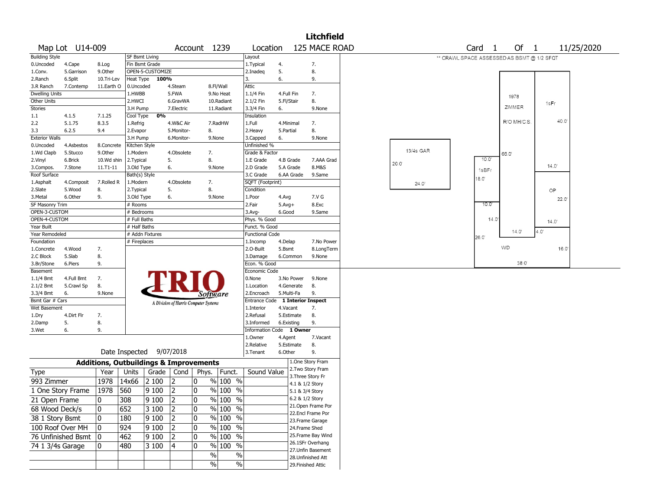|                       |                        |            |                          |                                                   |                  |                                       |            |                          |            |            | <b>Litchfield</b>                     |           |                                            |                   |             |       |            |
|-----------------------|------------------------|------------|--------------------------|---------------------------------------------------|------------------|---------------------------------------|------------|--------------------------|------------|------------|---------------------------------------|-----------|--------------------------------------------|-------------------|-------------|-------|------------|
|                       | Map Lot U14-009        |            |                          |                                                   |                  | Account 1239                          |            | Location                 |            |            | 125 MACE ROAD                         |           |                                            | Card <sub>1</sub> | Of 1        |       | 11/25/2020 |
| <b>Building Style</b> |                        |            |                          | <b>SF Bsmt Living</b>                             |                  |                                       |            | Layout                   |            |            |                                       |           | ** CRAWL SPACE ASSESSED AS BSMT @ 1/2 SFQT |                   |             |       |            |
| 0.Uncoded             | 4.Cape                 | 8.Log      |                          | Fin Bsmt Grade                                    |                  |                                       |            | 1. Typical               | 4.         |            | 7.                                    |           |                                            |                   |             |       |            |
| 1.Conv.               | 5.Garrison             | 9.0ther    |                          | OPEN-5-CUSTOMIZE                                  |                  |                                       |            | 2.Inadeg                 | 5.         |            | 8.                                    |           |                                            |                   |             |       |            |
| 2.Ranch               | 6.Split                | 10.Tri-Lev | Heat Type                | 100%                                              |                  |                                       |            | 3.                       | 6.         |            | 9.                                    |           |                                            |                   |             |       |            |
| 3.R Ranch             | 7.Contemp              | 11.Earth O | 0.Uncoded                |                                                   | 4.Steam          |                                       | 8.Fl/Wall  | Attic                    |            |            |                                       |           |                                            |                   |             |       |            |
| <b>Dwelling Units</b> |                        |            | 1.HWBB                   |                                                   | 5.FWA            |                                       | 9.No Heat  | $1.1/4$ Fin              | 4.Full Fin |            | 7.                                    |           |                                            |                   | 1978        |       |            |
| Other Units           |                        |            | 2.HWCI                   |                                                   | 6.GravWA         |                                       | 10.Radiant | 2.1/2 Fin                | 5.Fl/Stair |            | 8.                                    |           |                                            |                   |             | 1sFr  |            |
| Stories               |                        |            | 3.H Pump                 |                                                   | 7.Electric       |                                       | 11.Radiant | 3.3/4 Fin                | 6.         |            | 9.None                                |           |                                            |                   | ZIMMER      |       |            |
| 1.1                   | 4.1.5                  | 7.1.25     | Cool Type                | 0%                                                |                  |                                       |            | Insulation               |            |            |                                       |           |                                            |                   |             | 40.0  |            |
| 2.2                   | 5.1.75                 | 8.3.5      | 1.Refrig                 |                                                   | 4.W&C Air        |                                       | 7.RadHW    | 1.Full                   | 4.Minimal  |            | 7.                                    |           |                                            |                   | R/O MH/C.S. |       |            |
| 3.3                   | 6.2.5                  | 9.4        | 2.Evapor                 |                                                   | 5.Monitor-       | 8.                                    |            | 2.Heavy                  | 5.Partial  |            | 8.                                    |           |                                            |                   |             |       |            |
| <b>Exterior Walls</b> |                        |            | 3.H Pump                 |                                                   | 6.Monitor-       |                                       | 9.None     | 3.Capped                 | 6.         |            | 9.None                                |           |                                            |                   |             |       |            |
| 0.Uncoded             | 4.Asbestos             | 8.Concrete | Kitchen Style            |                                                   |                  |                                       |            | Unfinished %             |            |            |                                       | 13/4s GAR |                                            |                   |             |       |            |
| 1.Wd Clapb            | 5.Stucco               | 9.0ther    | 1.Modern                 |                                                   | 4.Obsolete       | 7.                                    |            | Grade & Factor           |            |            |                                       |           |                                            |                   | 66.0        |       |            |
| 2.Vinyl               | 6.Brick                | 10.Wd shin | 2. Typical               |                                                   | 5.               | 8.                                    |            | 1.E Grade                | 4.B Grade  |            | 7.AAA Grad                            | 20.0      |                                            | 10.0              |             | 14.0' |            |
| 3.Compos.             | 7.Stone                | 11.T1-11   | 3.Old Type               |                                                   | 6.               |                                       | 9.None     | 2.D Grade                | 5.A Grade  |            | 8.M&S                                 |           |                                            | 1sBFr             |             |       |            |
| Roof Surface          |                        |            | Bath(s) Style            |                                                   |                  |                                       |            | 3.C Grade                |            | 6.AA Grade | 9.Same                                |           |                                            | $8.0^{\circ}$     |             |       |            |
| 1.Asphalt             | 4.Composit<br>5.Wood   | 7.Rolled R | 1.Modern                 |                                                   | 4.Obsolete<br>5. | 7.<br>8.                              |            | SQFT (Footprint)         |            |            |                                       | 24.0'     |                                            |                   |             |       |            |
| 2.Slate<br>3.Metal    | 6.Other                | 8.<br>9.   | 2. Typical<br>3.Old Type |                                                   | 6.               |                                       | 9.None     | Condition<br>1.Poor      | 4.Avg      |            | 7.V G                                 |           |                                            |                   |             | OP    |            |
| SF Masonry Trim       |                        |            | # Rooms                  |                                                   |                  |                                       |            | 2.Fair                   | $5.Avg+$   |            | 8.Exc                                 |           |                                            | $10.0^{\circ}$    |             | 22.0  |            |
| OPEN-3-CUSTOM         |                        |            | # Bedrooms               |                                                   |                  |                                       |            | 3.Avg-                   | 6.Good     |            | 9.Same                                |           |                                            |                   |             |       |            |
| OPEN-4-CUSTOM         |                        |            | # Full Baths             |                                                   |                  |                                       |            | Phys. % Good             |            |            |                                       |           |                                            | 14.0              |             | 14.0' |            |
| Year Built            |                        |            | # Half Baths             |                                                   |                  |                                       |            | Funct. % Good            |            |            |                                       |           |                                            |                   |             |       |            |
| Year Remodeled        |                        |            |                          | # Addn Fixtures                                   |                  |                                       |            | <b>Functional Code</b>   |            |            |                                       |           |                                            |                   | 14.0'       | 4.0   |            |
| Foundation            |                        |            | # Fireplaces             |                                                   |                  |                                       |            | 1.Incomp                 | 4.Delap    |            | 7.No Power                            |           |                                            | 26.0              |             |       |            |
| 1.Concrete            | 4.Wood                 | 7.         |                          |                                                   |                  |                                       |            | 2.0-Built                | 5.Bsmt     |            | 8.LongTerm                            |           |                                            |                   | WD          | 16.0  |            |
| 2.C Block             | 5.Slab                 | 8.         |                          |                                                   |                  |                                       |            | 3.Damage                 |            | 6.Common   | 9.None                                |           |                                            |                   |             |       |            |
| 3.Br/Stone            | 6.Piers                | 9.         |                          |                                                   |                  |                                       |            | Econ. % Good             |            |            |                                       |           |                                            |                   | 38.0'       |       |            |
| Basement              |                        |            |                          |                                                   |                  |                                       |            | Economic Code            |            |            |                                       |           |                                            |                   |             |       |            |
| $1.1/4$ Bmt           | 4.Full Bmt             | 7.         |                          |                                                   |                  |                                       |            | 0.None                   |            | 3.No Power | 9.None                                |           |                                            |                   |             |       |            |
| 2.1/2 Bmt             | 5.Crawl Sp             | 8.         |                          |                                                   |                  |                                       |            | 1.Location               |            | 4.Generate | 8.                                    |           |                                            |                   |             |       |            |
| 3.3/4 Bmt             | 6.                     | 9.None     |                          |                                                   |                  | Software                              |            | 2.Encroach               | 5.Multi-Fa |            | 9.                                    |           |                                            |                   |             |       |            |
| Bsmt Gar # Cars       |                        |            |                          |                                                   |                  | A Division of Harris Computer Systems |            | <b>Entrance Code</b>     |            |            | <b>1 Interior Inspect</b>             |           |                                            |                   |             |       |            |
| Wet Basement          |                        |            |                          |                                                   |                  |                                       |            | 1.Interior               | 4.Vacant   |            | 7.                                    |           |                                            |                   |             |       |            |
| 1.Dry<br>2.Damp       | 4.Dirt Flr<br>5.       | 7.<br>8.   |                          |                                                   |                  |                                       |            | 2.Refusal<br>3.Informed  | 6.Existing | 5.Estimate | 8.<br>9.                              |           |                                            |                   |             |       |            |
| 3.Wet                 | 6.                     | 9.         |                          |                                                   |                  |                                       |            | Information Code 1 Owner |            |            |                                       |           |                                            |                   |             |       |            |
|                       |                        |            |                          |                                                   |                  |                                       |            | 1.Owner                  | 4.Agent    |            | 7.Vacant                              |           |                                            |                   |             |       |            |
|                       |                        |            |                          |                                                   |                  |                                       |            | 2.Relative               |            | 5.Estimate | 8.                                    |           |                                            |                   |             |       |            |
|                       |                        |            | Date Inspected           |                                                   | 9/07/2018        |                                       |            | 3.Tenant                 | 6.Other    |            | 9.                                    |           |                                            |                   |             |       |            |
|                       |                        |            |                          | <b>Additions, Outbuildings &amp; Improvements</b> |                  |                                       |            |                          |            |            | 1.One Story Fram                      |           |                                            |                   |             |       |            |
| Type                  |                        | Year       | Units                    | Grade                                             | Cond             | Phys.                                 | Funct.     | Sound Value              |            |            | 2. Two Story Fram                     |           |                                            |                   |             |       |            |
| 993 Zimmer            |                        | 1978       | 14x66                    | 2 100                                             | 2                | 10                                    | % 100 %    |                          |            |            | 3. Three Story Fr                     |           |                                            |                   |             |       |            |
|                       | 1 One Story Frame      | 1978       | 560                      | 9100                                              | $\overline{2}$   | 0                                     | $%100$ %   |                          |            |            | 4.1 & 1/2 Story<br>5.1 & 3/4 Story    |           |                                            |                   |             |       |            |
|                       |                        | 0          | 308                      | 9100                                              | 12               | 0                                     | % 100 %    |                          |            |            | 6.2 & 1/2 Story                       |           |                                            |                   |             |       |            |
| 21 Open Frame         |                        |            | 652                      | 3100                                              |                  | 0                                     | $% 100$ %  |                          |            |            | 21. Open Frame Por                    |           |                                            |                   |             |       |            |
| 68 Wood Deck/s        |                        | 10         |                          |                                                   | 2                |                                       |            |                          |            |            | 22.Encl Frame Por                     |           |                                            |                   |             |       |            |
| 38 1 Story Bsmt       |                        | 10         | 180                      | $\sqrt{9}100$                                     | 2                | 0                                     | % 100 %    |                          |            |            | 23. Frame Garage                      |           |                                            |                   |             |       |            |
| 100 Roof Over MH      |                        | 10         | 924                      | 9100                                              | 2                | 0                                     | $%100$ %   |                          |            |            | 24.Frame Shed                         |           |                                            |                   |             |       |            |
|                       | 76 Unfinished Bsmt   0 |            | 462                      | 9100                                              | 2                | 0                                     | $%100$ %   |                          |            |            | 25. Frame Bay Wind                    |           |                                            |                   |             |       |            |
| 74 1 3/4s Garage      |                        | 10.        | 480                      | $ 3100\rangle$                                    | 4                | 0                                     | % 100 %    |                          |            |            | 26.1SFr Overhang<br>27.Unfin Basement |           |                                            |                   |             |       |            |
|                       |                        |            |                          |                                                   |                  | $\%$                                  | $\%$       |                          |            |            | 28. Unfinished Att                    |           |                                            |                   |             |       |            |
|                       |                        |            |                          |                                                   |                  | $\%$                                  | %          |                          |            |            | 29. Finished Attic                    |           |                                            |                   |             |       |            |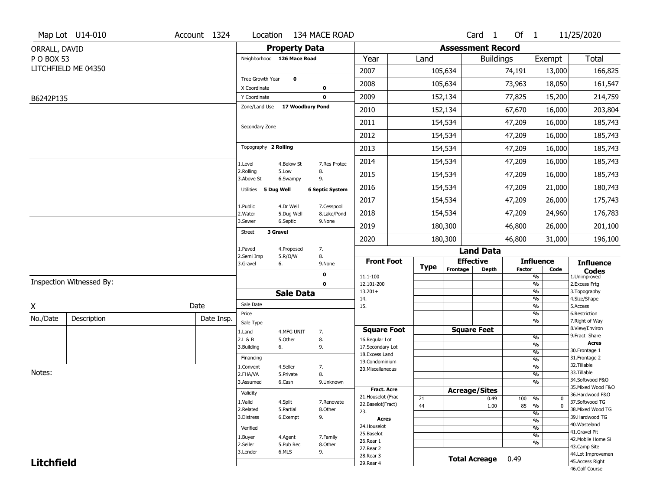|                   | Map Lot U14-010          | Account 1324 |                               |                       | Location 134 MACE ROAD |                                    |             |                          | Card <sub>1</sub>    | Of $1$        |                                | 11/25/2020                           |
|-------------------|--------------------------|--------------|-------------------------------|-----------------------|------------------------|------------------------------------|-------------|--------------------------|----------------------|---------------|--------------------------------|--------------------------------------|
| ORRALL, DAVID     |                          |              |                               | <b>Property Data</b>  |                        |                                    |             | <b>Assessment Record</b> |                      |               |                                |                                      |
| P O BOX 53        |                          |              | Neighborhood 126 Mace Road    |                       |                        | Year                               | Land        |                          | <b>Buildings</b>     |               | Exempt                         | <b>Total</b>                         |
|                   | LITCHFIELD ME 04350      |              |                               |                       |                        | 2007                               |             | 105,634                  |                      | 74,191        | 13,000                         | 166,825                              |
|                   |                          |              | Tree Growth Year              | $\mathbf 0$           |                        | 2008                               |             | 105,634                  |                      | 73,963        | 18,050                         | 161,547                              |
|                   |                          |              | X Coordinate                  |                       | $\mathbf 0$            |                                    |             |                          |                      |               |                                |                                      |
| B6242P135         |                          |              | Y Coordinate<br>Zone/Land Use | 17 Woodbury Pond      | $\mathbf 0$            | 2009                               |             | 152,134                  |                      | 77,825        | 15,200                         | 214,759                              |
|                   |                          |              |                               |                       |                        | 2010                               |             | 152,134                  |                      | 67,670        | 16,000                         | 203,804                              |
|                   |                          |              | Secondary Zone                |                       |                        | 2011                               |             | 154,534                  |                      | 47,209        | 16,000                         | 185,743                              |
|                   |                          |              |                               |                       |                        | 2012                               |             | 154,534                  |                      | 47,209        | 16,000                         | 185,743                              |
|                   |                          |              | Topography 2 Rolling          |                       |                        | 2013                               |             | 154,534                  |                      | 47,209        | 16,000                         | 185,743                              |
|                   |                          |              | 1.Level                       | 4.Below St            | 7.Res Protec           | 2014                               |             | 154,534                  |                      | 47,209        | 16,000                         | 185,743                              |
|                   |                          |              | 2.Rolling<br>3.Above St       | 5.Low<br>6.Swampy     | 8.<br>9.               | 2015                               |             | 154,534                  |                      | 47,209        | 16,000                         | 185,743                              |
|                   |                          |              | Utilities 5 Dug Well          |                       | <b>6 Septic System</b> | 2016                               |             | 154,534                  |                      | 47,209        | 21,000                         | 180,743                              |
|                   |                          |              | 1.Public                      | 4.Dr Well             | 7.Cesspool             | 2017                               |             | 154,534                  |                      | 47,209        | 26,000                         | 175,743                              |
|                   |                          |              | 2. Water                      | 5.Dug Well            | 8.Lake/Pond            | 2018                               |             | 154,534                  |                      | 47,209        | 24,960                         | 176,783                              |
|                   |                          |              | 3.Sewer                       | 6.Septic<br>3 Gravel  | 9.None                 | 2019                               |             | 180,300                  |                      | 46,800        | 26,000                         | 201,100                              |
|                   |                          |              | <b>Street</b>                 |                       |                        | 2020                               |             | 180,300                  |                      | 46,800        | 31,000                         | 196,100                              |
|                   |                          |              | 1.Paved<br>2.Semi Imp         | 4.Proposed<br>5.R/O/W | 7.<br>8.               |                                    |             |                          | <b>Land Data</b>     |               |                                |                                      |
|                   |                          |              | 3.Gravel                      | 6.                    | 9.None                 | <b>Front Foot</b>                  | <b>Type</b> |                          | <b>Effective</b>     |               | <b>Influence</b>               | <b>Influence</b>                     |
|                   |                          |              |                               |                       | 0                      | 11.1-100                           |             | Frontage                 | Depth                | <b>Factor</b> | Code<br>%                      | <b>Codes</b><br>1.Unimproved         |
|                   | Inspection Witnessed By: |              |                               |                       | $\mathbf 0$            | 12.101-200                         |             |                          |                      |               | $\frac{9}{6}$                  | 2. Excess Frtg                       |
|                   |                          |              |                               | <b>Sale Data</b>      |                        | $13.201+$<br>14.                   |             |                          |                      |               | %<br>%                         | 3. Topography<br>4.Size/Shape        |
| X                 |                          | Date         | Sale Date                     |                       |                        | 15.                                |             |                          |                      |               | $\frac{9}{6}$                  | 5.Access                             |
| No./Date          | Description              | Date Insp.   | Price<br>Sale Type            |                       |                        |                                    |             |                          |                      |               | %<br>%                         | 6.Restriction<br>7. Right of Way     |
|                   |                          |              | 1.Land                        | 4.MFG UNIT            | 7.                     | <b>Square Foot</b>                 |             |                          | <b>Square Feet</b>   |               |                                | 8.View/Environ                       |
|                   |                          |              | 2.L & B                       | 5.Other               | 8.                     | 16.Regular Lot                     |             |                          |                      |               | $\frac{9}{6}$                  | 9.Fract Share<br><b>Acres</b>        |
|                   |                          |              | 3.Building                    | 6.                    | 9.                     | 17.Secondary Lot<br>18.Excess Land |             |                          |                      |               | $\frac{9}{6}$<br>$\frac{9}{6}$ | 30. Frontage 1                       |
|                   |                          |              | Financing                     |                       |                        | 19.Condominium                     |             |                          |                      |               | $\frac{9}{6}$                  | 31. Frontage 2                       |
| Notes:            |                          |              | 1.Convent                     | 4.Seller              | 7.                     | 20.Miscellaneous                   |             |                          |                      |               | $\frac{9}{6}$                  | 32.Tillable<br>33.Tillable           |
|                   |                          |              | 2.FHA/VA<br>3.Assumed         | 5.Private<br>6.Cash   | 8.                     |                                    |             |                          |                      |               | $\frac{9}{6}$<br>$\frac{9}{6}$ | 34.Softwood F&O                      |
|                   |                          |              |                               |                       | 9.Unknown              | <b>Fract. Acre</b>                 |             |                          | <b>Acreage/Sites</b> |               |                                | 35. Mixed Wood F&O                   |
|                   |                          |              | Validity                      |                       |                        | 21. Houselot (Frac                 | 21          |                          | 0.49                 | 100           | %<br>0                         | 36.Hardwood F&O                      |
|                   |                          |              | 1.Valid                       | 4.Split               | 7.Renovate             | 22.Baselot(Fract)                  | 44          |                          | 1.00                 | 85            | $\overline{0}$<br>%            | 37.Softwood TG                       |
|                   |                          |              | 2.Related<br>3.Distress       | 5.Partial<br>6.Exempt | 8.Other<br>9.          | 23.                                |             |                          |                      |               | $\frac{9}{6}$                  | 38. Mixed Wood TG<br>39.Hardwood TG  |
|                   |                          |              |                               |                       |                        | <b>Acres</b>                       |             |                          |                      |               | $\frac{9}{6}$                  | 40. Wasteland                        |
|                   |                          |              | Verified                      |                       |                        | 24. Houselot<br>25.Baselot         |             |                          |                      |               | $\frac{9}{6}$<br>$\frac{9}{6}$ | 41.Gravel Pit                        |
|                   |                          |              | 1.Buyer                       | 4.Agent               | 7.Family               | 26.Rear 1                          |             |                          |                      |               | $\frac{9}{6}$                  | 42. Mobile Home Si                   |
|                   |                          |              | 2.Seller<br>3.Lender          | 5.Pub Rec<br>6.MLS    | 8.0ther<br>9.          | 27.Rear 2                          |             |                          |                      |               |                                | 43.Camp Site                         |
| <b>Litchfield</b> |                          |              |                               |                       |                        | 28. Rear 3                         |             |                          | <b>Total Acreage</b> | 0.49          |                                | 44.Lot Improvemen<br>45.Access Right |
|                   |                          |              |                               |                       |                        | 29. Rear 4                         |             |                          |                      |               |                                | 46.Golf Course                       |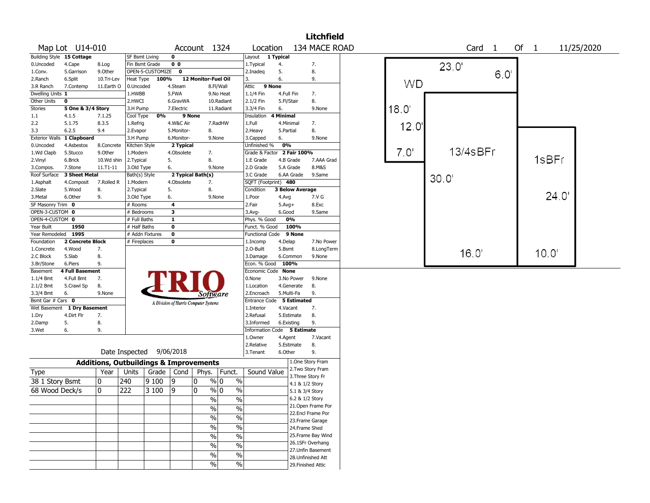|                       |                           |                                                   |                       |                  |                                       |                     |                               |                        |                        | <b>Litchfield</b>  |                  |                   |                |            |
|-----------------------|---------------------------|---------------------------------------------------|-----------------------|------------------|---------------------------------------|---------------------|-------------------------------|------------------------|------------------------|--------------------|------------------|-------------------|----------------|------------|
|                       | Map Lot U14-010           |                                                   |                       |                  |                                       |                     | Account 1324                  | Location               |                        | 134 MACE ROAD      |                  | Card <sub>1</sub> | Of $1$         | 11/25/2020 |
|                       | Building Style 15 Cottage |                                                   | <b>SF Bsmt Living</b> |                  | $\mathbf 0$                           |                     |                               | Layout                 | 1 Typical              |                    |                  |                   |                |            |
| 0.Uncoded             | 4.Cape                    | 8.Log                                             | Fin Bsmt Grade        |                  | 0 <sub>0</sub>                        |                     |                               | 1.Typical              | 4.                     | 7.                 |                  | 23.0'             |                |            |
| 1.Conv.               | 5.Garrison                | 9.Other                                           |                       | OPEN-5-CUSTOMIZE | $\bf{0}$                              |                     |                               | 2.Inadeg               | 5.                     | 8.                 |                  | $6.0^{\circ}$     |                |            |
| 2.Ranch               | 6.Split                   | 10.Tri-Lev                                        | Heat Type             | 100%             |                                       | 12 Monitor-Fuel Oil |                               | 3.                     | 6.                     | 9.                 |                  |                   |                |            |
| 3.R Ranch             | 7.Contemp                 | 11.Earth O                                        | 0.Uncoded             |                  | 4.Steam                               |                     | 8.Fl/Wall                     | Attic                  | 9 None                 |                    | <b>WD</b>        |                   |                |            |
| Dwelling Units 1      |                           |                                                   | 1.HWBB                |                  | 5.FWA                                 |                     | 9.No Heat                     | 1.1/4 Fin              | 4.Full Fin             | 7.                 |                  |                   |                |            |
| Other Units           | $\bf o$                   |                                                   | 2.HWCI                |                  | 6.GravWA                              |                     | 10.Radiant                    | 2.1/2 Fin              | 5.Fl/Stair             | 8.                 |                  |                   |                |            |
| <b>Stories</b>        | 5 One & 3/4 Story         |                                                   | 3.H Pump              |                  | 7.Electric                            |                     | 11.Radiant                    | 3.3/4 Fin              | 6.                     | 9.None             | $18.0^{\circ}$   |                   |                |            |
| 1.1                   | 4.1.5                     | 7.1.25                                            | Cool Type             | 0%               |                                       | 9 None              |                               | Insulation             | <b>4 Minimal</b>       |                    |                  |                   |                |            |
| 2.2                   | 5.1.75                    | 8.3.5                                             | 1.Refrig              |                  | 4.W&C Air                             |                     | 7.RadHW                       | 1.Full                 | 4.Minimal              | 7.                 | 12.0             |                   |                |            |
| 3.3                   | 6.2.5                     | 9.4                                               | 2.Evapor              |                  | 5.Monitor-                            |                     | 8.                            | 2.Heavy                | 5.Partial              | 8.                 |                  |                   |                |            |
| <b>Exterior Walls</b> | 1 Clapboard               |                                                   | 3.H Pump              |                  | 6.Monitor-                            |                     | 9.None                        | 3.Capped               | 6.                     | 9.None             |                  |                   |                |            |
| 0.Uncoded             | 4.Asbestos                | 8.Concrete                                        | Kitchen Style         |                  | 2 Typical                             |                     |                               | Unfinished %           | 0%                     |                    |                  |                   |                |            |
| 1.Wd Clapb            | 5.Stucco                  | 9.0ther                                           | 1.Modern              |                  | 4.Obsolete                            |                     | 7.                            | Grade & Factor         | 2 Fair 100%            |                    | 7.0 <sup>°</sup> | 13/4sBFr          |                |            |
| 2.Vinyl               | 6.Brick                   | 10.Wd shin                                        | 2. Typical            |                  | 5.                                    | 8.                  |                               | 1.E Grade              | 4.B Grade              | 7.AAA Grad         |                  |                   | 1sBFr          |            |
| 3.Compos.             | 7.Stone                   | 11.T1-11                                          | 3.Old Type            |                  | 6.                                    |                     | 9.None                        | 2.D Grade              | 5.A Grade              | 8.M&S              |                  |                   |                |            |
| Roof Surface          | 3 Sheet Metal             |                                                   | Bath(s) Style         |                  | 2 Typical Bath(s)                     |                     |                               | 3.C Grade              | 6.AA Grade             | 9.Same             |                  | 30.0'             |                |            |
| 1.Asphalt             | 4.Composit                | 7.Rolled R                                        | 1.Modern              |                  | 4.Obsolete                            | 7.                  |                               | SQFT (Footprint) 480   |                        |                    |                  |                   |                |            |
| 2.Slate               | 5.Wood                    | 8.                                                | 2. Typical            |                  | 5.                                    | 8.                  |                               | Condition              | <b>3 Below Average</b> |                    |                  |                   |                |            |
| 3.Metal               | 6.Other                   | 9.                                                | 3.Old Type            |                  | 6.                                    |                     | 9.None                        | 1.Poor                 | 4.Avg                  | 7.V G              |                  |                   | 24.0'          |            |
| SF Masonry Trim 0     |                           |                                                   | # Rooms               |                  | $\overline{4}$                        |                     |                               | 2.Fair                 | $5.Avg+$               | 8.Exc              |                  |                   |                |            |
| OPEN-3-CUSTOM 0       |                           |                                                   | # Bedrooms            |                  | 3                                     |                     |                               | 3.Avg-                 | 6.Good                 | 9.Same             |                  |                   |                |            |
| OPEN-4-CUSTOM 0       |                           |                                                   | # Full Baths          |                  | $\overline{1}$                        |                     |                               | Phys. % Good           | 0%                     |                    |                  |                   |                |            |
| Year Built            | 1950                      |                                                   | # Half Baths          |                  | $\overline{\mathbf{0}}$               |                     |                               | Funct. % Good          | 100%                   |                    |                  |                   |                |            |
| Year Remodeled 1995   |                           |                                                   |                       | # Addn Fixtures  | $\overline{\mathbf{0}}$               |                     |                               | <b>Functional Code</b> | 9 None                 |                    |                  |                   |                |            |
| Foundation            | 2 Concrete Block          |                                                   | # Fireplaces          |                  | $\bf{0}$                              |                     |                               | 1.Incomp               | 4.Delap                | 7.No Power         |                  |                   |                |            |
| 1.Concrete            | 4.Wood                    | 7.                                                |                       |                  |                                       |                     |                               | 2.O-Built              | 5.Bsmt                 | 8.LongTerm         |                  |                   |                |            |
| 2.C Block             | 5.Slab                    | 8.                                                |                       |                  |                                       |                     |                               | 3.Damage               | 6.Common               | 9.None             |                  | 16.0'             | $10.0^{\circ}$ |            |
| 3.Br/Stone            | 6.Piers                   | 9.                                                |                       |                  |                                       |                     |                               | Econ. % Good 100%      |                        |                    |                  |                   |                |            |
| Basement              | 4 Full Basement           |                                                   |                       |                  |                                       |                     |                               | Economic Code None     |                        |                    |                  |                   |                |            |
| 1.1/4 Bmt             | 4.Full Bmt                | 7.                                                |                       |                  |                                       |                     |                               | 0.None                 | 3.No Power             | 9.None             |                  |                   |                |            |
| 2.1/2 Bmt             | 5.Crawl Sp                | 8.                                                |                       |                  |                                       |                     |                               | 1.Location             | 4.Generate             | 8.                 |                  |                   |                |            |
| 3.3/4 Bmt             | 6.                        | 9.None                                            |                       |                  |                                       |                     | Software                      | 2.Encroach             | 5.Multi-Fa             | 9.                 |                  |                   |                |            |
| Bsmt Gar # Cars 0     |                           |                                                   |                       |                  |                                       |                     |                               | <b>Entrance Code</b>   | 5 Estimated            |                    |                  |                   |                |            |
| Wet Basement          | 1 Dry Basement            |                                                   |                       |                  | A Division of Harris Computer Systems |                     |                               | 1.Interior             | 4.Vacant               | 7.                 |                  |                   |                |            |
| 1.Dry                 | 4.Dirt Flr                | 7.                                                |                       |                  |                                       |                     |                               | 2.Refusal              | 5.Estimate             | 8.                 |                  |                   |                |            |
| 2.Damp                | 5.                        | 8.                                                |                       |                  |                                       |                     |                               | 3.Informed             | 6.Existing             | 9.                 |                  |                   |                |            |
| 3.Wet                 | 6.                        | 9.                                                |                       |                  |                                       |                     |                               | Information Code       | 5 Estimate             |                    |                  |                   |                |            |
|                       |                           |                                                   |                       |                  |                                       |                     |                               | 1.Owner                | 4.Agent                | 7.Vacant           |                  |                   |                |            |
|                       |                           |                                                   |                       |                  |                                       |                     |                               | 2.Relative             | 5.Estimate             | 8.                 |                  |                   |                |            |
|                       |                           |                                                   | Date Inspected        |                  | 9/06/2018                             |                     |                               | 3. Tenant              | 6.Other                | 9.                 |                  |                   |                |            |
|                       |                           |                                                   |                       |                  |                                       |                     |                               |                        |                        | 1.One Story Fram   |                  |                   |                |            |
|                       |                           | <b>Additions, Outbuildings &amp; Improvements</b> |                       |                  |                                       |                     |                               |                        |                        | 2. Two Story Fram  |                  |                   |                |            |
| Type                  |                           | Year                                              | Units                 |                  | Grade   Cond                          | Phys.               | Funct.                        | Sound Value            |                        | 3. Three Story Fr  |                  |                   |                |            |
| 38 1 Story Bsmt       |                           | 10                                                | 240                   | 9100             | 9                                     | 0                   | $\%$ 0<br>$\%$                |                        |                        | 4.1 & 1/2 Story    |                  |                   |                |            |
| 68 Wood Deck/s        |                           | 0                                                 | 222                   | 3 100            | 9                                     | 0                   | $\%$<br>% 0                   |                        |                        | 5.1 & 3/4 Story    |                  |                   |                |            |
|                       |                           |                                                   |                       |                  |                                       |                     | $\sqrt{6}$<br>$\%$            |                        |                        | 6.2 & 1/2 Story    |                  |                   |                |            |
|                       |                           |                                                   |                       |                  |                                       |                     |                               |                        |                        | 21. Open Frame Por |                  |                   |                |            |
|                       |                           |                                                   |                       |                  |                                       |                     | $\%$<br>$\frac{0}{0}$         |                        |                        | 22.Encl Frame Por  |                  |                   |                |            |
|                       |                           |                                                   |                       |                  |                                       |                     | $\overline{\frac{0}{6}}$<br>% |                        |                        | 23. Frame Garage   |                  |                   |                |            |
|                       |                           |                                                   |                       |                  |                                       |                     | $\overline{\frac{0}{6}}$<br>% |                        |                        | 24.Frame Shed      |                  |                   |                |            |
|                       |                           |                                                   |                       |                  |                                       |                     | $\%$                          |                        |                        | 25. Frame Bay Wind |                  |                   |                |            |
|                       |                           |                                                   |                       |                  |                                       |                     | $\%$                          |                        |                        | 26.1SFr Overhang   |                  |                   |                |            |
|                       |                           |                                                   |                       |                  |                                       |                     | $\%$<br>%                     |                        |                        | 27. Unfin Basement |                  |                   |                |            |
|                       |                           |                                                   |                       |                  |                                       |                     | $\%$<br>$\%$                  |                        |                        | 28. Unfinished Att |                  |                   |                |            |
|                       |                           |                                                   |                       |                  |                                       |                     | $\%$<br>$\%$                  |                        |                        | 29. Finished Attic |                  |                   |                |            |
|                       |                           |                                                   |                       |                  |                                       |                     |                               |                        |                        |                    |                  |                   |                |            |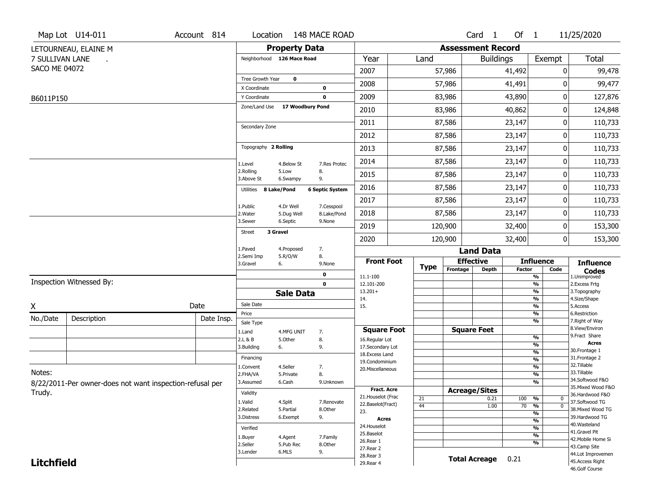|                      | Map Lot U14-011                                          | Account 814 | Location                               |                         | 148 MACE ROAD                |                                    |             |                          | Card <sub>1</sub>    | Of $1$        |                                           | 11/25/2020                           |
|----------------------|----------------------------------------------------------|-------------|----------------------------------------|-------------------------|------------------------------|------------------------------------|-------------|--------------------------|----------------------|---------------|-------------------------------------------|--------------------------------------|
|                      | LETOURNEAU, ELAINE M                                     |             |                                        | <b>Property Data</b>    |                              |                                    |             | <b>Assessment Record</b> |                      |               |                                           |                                      |
| 7 SULLIVAN LANE      |                                                          |             | Neighborhood 126 Mace Road             |                         |                              | Year                               | Land        |                          | <b>Buildings</b>     |               | Exempt                                    | Total                                |
| <b>SACO ME 04072</b> |                                                          |             |                                        |                         |                              | 2007                               |             | 57,986                   |                      | 41,492        | 0                                         | 99,478                               |
|                      |                                                          |             | Tree Growth Year                       | $\mathbf 0$             |                              | 2008                               |             | 57,986                   |                      | 41,491        | ŋ                                         | 99,477                               |
| B6011P150            |                                                          |             | X Coordinate<br>Y Coordinate           |                         | 0<br>$\mathbf 0$             | 2009                               |             | 83,986                   |                      | 43,890        | 0                                         | 127,876                              |
|                      |                                                          |             | Zone/Land Use                          | 17 Woodbury Pond        |                              | 2010                               |             | 83,986                   |                      | 40,862        | 0                                         | 124,848                              |
|                      |                                                          |             |                                        |                         |                              | 2011                               |             | 87,586                   |                      | 23,147        | 0                                         | 110,733                              |
|                      |                                                          |             | Secondary Zone                         |                         |                              | 2012                               |             | 87,586                   |                      | 23,147        | 0                                         | 110,733                              |
|                      |                                                          |             | Topography 2 Rolling                   |                         |                              | 2013                               |             | 87,586                   |                      | 23,147        | 0                                         | 110,733                              |
|                      |                                                          |             |                                        |                         |                              | 2014                               |             | 87,586                   |                      | 23,147        | 0                                         | 110,733                              |
|                      |                                                          |             | 1.Level<br>2.Rolling                   | 4.Below St<br>5.Low     | 7.Res Protec<br>8.           | 2015                               |             | 87,586                   |                      | 23,147        | 0                                         | 110,733                              |
|                      |                                                          |             | 3.Above St<br>8 Lake/Pond<br>Utilities | 6.Swampy                | 9.<br><b>6 Septic System</b> | 2016                               |             | 87,586                   |                      | 23,147        | 0                                         | 110,733                              |
|                      |                                                          |             |                                        |                         |                              | 2017                               |             | 87,586                   |                      | 23,147        | 0                                         | 110,733                              |
|                      |                                                          |             | 1.Public<br>2. Water                   | 4.Dr Well<br>5.Dug Well | 7.Cesspool<br>8.Lake/Pond    | 2018                               |             | 87,586                   |                      | 23,147        | 0                                         | 110,733                              |
|                      |                                                          |             | 3.Sewer                                | 6.Septic                | 9.None                       | 2019                               |             | 120,900                  |                      | 32,400        | 0                                         | 153,300                              |
|                      |                                                          |             | 3 Gravel<br>Street                     |                         |                              | 2020                               |             | 120,900                  |                      | 32,400        | 0                                         | 153,300                              |
|                      |                                                          |             | 1.Paved                                | 4.Proposed              | 7.                           |                                    |             |                          | <b>Land Data</b>     |               |                                           |                                      |
|                      |                                                          |             | 2.Semi Imp<br>3.Gravel                 | 5.R/O/W<br>6.           | 8.<br>9.None                 | <b>Front Foot</b>                  | <b>Type</b> | <b>Effective</b>         |                      |               | <b>Influence</b>                          | <b>Influence</b>                     |
|                      |                                                          |             |                                        |                         | 0                            | 11.1-100                           |             | Frontage                 | <b>Depth</b>         | <b>Factor</b> | Code<br>$\overline{\frac{9}{6}}$          | <b>Codes</b><br>1.Unimproved         |
|                      | Inspection Witnessed By:                                 |             |                                        |                         | $\mathbf{0}$                 | 12.101-200<br>$13.201+$            |             |                          |                      |               | $\frac{9}{6}$<br>$\overline{\frac{9}{6}}$ | 2. Excess Frtg<br>3. Topography      |
|                      |                                                          |             |                                        | <b>Sale Data</b>        |                              | 14.                                |             |                          |                      |               | %                                         | 4.Size/Shape                         |
| X                    |                                                          | Date        | Sale Date<br>Price                     |                         |                              | 15.                                |             |                          |                      |               | $\overline{\frac{9}{6}}$<br>%             | 5.Access<br>6.Restriction            |
| No./Date             | Description                                              | Date Insp.  | Sale Type                              |                         |                              |                                    |             |                          |                      |               | %                                         | 7. Right of Way                      |
|                      |                                                          |             | 1.Land                                 | 4.MFG UNIT              | 7.                           | <b>Square Foot</b>                 |             | <b>Square Feet</b>       |                      |               |                                           | 8.View/Environ<br>9.Fract Share      |
|                      |                                                          |             | 2.L & B                                | 5.0ther                 | 8.                           | 16.Regular Lot                     |             |                          |                      |               | $\frac{9}{6}$<br>%                        | <b>Acres</b>                         |
|                      |                                                          |             | 3.Building                             | 6.                      | 9.                           | 17.Secondary Lot<br>18.Excess Land |             |                          |                      |               | %                                         | 30. Frontage 1                       |
|                      |                                                          |             | Financing                              |                         |                              | 19.Condominium                     |             |                          |                      |               | %                                         | 31. Frontage 2<br>32.Tillable        |
| Notes:               |                                                          |             | 1.Convent<br>2.FHA/VA                  | 4.Seller<br>5.Private   | 7.<br>8.                     | 20.Miscellaneous                   |             |                          |                      |               | %<br>%                                    | 33.Tillable                          |
|                      | 8/22/2011-Per owner-does not want inspection-refusal per |             | 3.Assumed                              | 6.Cash                  | 9.Unknown                    |                                    |             |                          |                      |               | %                                         | 34.Softwood F&O                      |
| Trudy.               |                                                          |             | Validity                               |                         |                              | <b>Fract. Acre</b>                 |             | <b>Acreage/Sites</b>     |                      |               |                                           | 35. Mixed Wood F&O                   |
|                      |                                                          |             |                                        |                         |                              | 21. Houselot (Frac                 | 21          |                          | 0.21                 | 100           | %<br>0                                    | 36.Hardwood F&O                      |
|                      |                                                          |             | 1.Valid<br>2.Related                   | 4.Split<br>5.Partial    | 7.Renovate<br>8.Other        | 22.Baselot(Fract)                  | 44          |                          | 1.00                 | $70 - 9/6$    | $\overline{\mathfrak{o}}$                 | 37.Softwood TG<br>38. Mixed Wood TG  |
|                      |                                                          |             | 3.Distress                             | 6.Exempt                | 9.                           | 23.<br>Acres                       |             |                          |                      |               | $\overline{\frac{9}{6}}$                  | 39.Hardwood TG                       |
|                      |                                                          |             | Verified                               |                         |                              | 24. Houselot                       |             |                          |                      |               | $\frac{9}{6}$<br>$\frac{9}{6}$            | 40. Wasteland                        |
|                      |                                                          |             | 1.Buyer                                | 4.Agent                 | 7.Family                     | 25.Baselot                         |             |                          |                      |               | $\overline{\frac{9}{6}}$                  | 41.Gravel Pit                        |
|                      |                                                          |             | 2.Seller                               | 5.Pub Rec               | 8.Other                      | 26.Rear 1                          |             |                          |                      |               | %                                         | 42. Mobile Home Si<br>43.Camp Site   |
|                      |                                                          |             |                                        |                         |                              |                                    |             |                          |                      |               |                                           |                                      |
|                      |                                                          |             | 3.Lender                               | 6.MLS                   | 9.                           | 27. Rear 2                         |             |                          |                      |               |                                           |                                      |
| <b>Litchfield</b>    |                                                          |             |                                        |                         |                              | 28. Rear 3<br>29. Rear 4           |             |                          | <b>Total Acreage</b> | 0.21          |                                           | 44.Lot Improvemen<br>45.Access Right |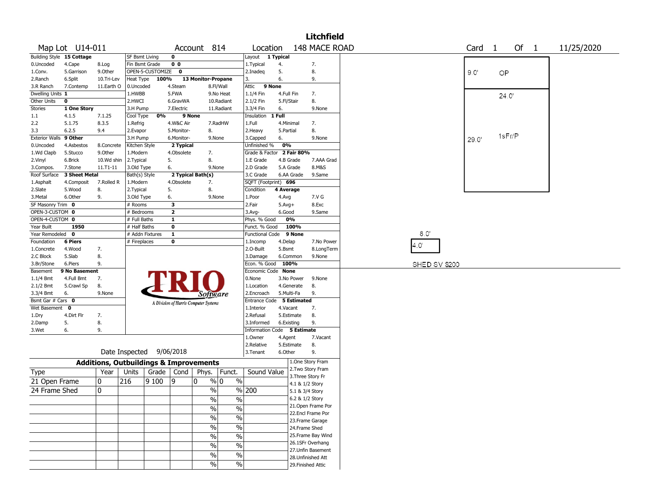|                        |                 |                                                   |                |                  |                |                                       |                          |                             |            |                    | <b>Litchfield</b>  |               |                   |       |        |            |
|------------------------|-----------------|---------------------------------------------------|----------------|------------------|----------------|---------------------------------------|--------------------------|-----------------------------|------------|--------------------|--------------------|---------------|-------------------|-------|--------|------------|
|                        | Map Lot U14-011 |                                                   |                |                  |                | Account 814                           |                          | Location                    |            |                    | 148 MACE ROAD      |               | Card <sub>1</sub> |       | Of 1   | 11/25/2020 |
| <b>Building Style</b>  | 15 Cottage      |                                                   | SF Bsmt Living |                  | 0              |                                       |                          | Layout 1 Typical            |            |                    |                    |               |                   |       |        |            |
| 0.Uncoded              | 4.Cape          | 8.Log                                             | Fin Bsmt Grade |                  | 0 <sub>0</sub> |                                       |                          | 1. Typical                  | 4.         |                    | 7.                 |               |                   |       |        |            |
| 1.Conv.                | 5.Garrison      | 9.Other                                           |                | OPEN-5-CUSTOMIZE | $\mathbf 0$    |                                       |                          | 2.Inadeg                    | 5.         |                    | 8.                 |               | 9.0               | OP    |        |            |
| 2.Ranch                | 6.Split         | 10.Tri-Lev                                        | Heat Type      | 100%             |                | 13 Monitor-Propane                    |                          | 3.                          | 6.         |                    | 9.                 |               |                   |       |        |            |
| 3.R Ranch              | 7.Contemp       | 11.Earth O                                        | 0.Uncoded      |                  | 4.Steam        |                                       | 8.Fl/Wall                | 9 None<br>Attic             |            |                    |                    |               |                   |       |        |            |
| Dwelling Units 1       |                 |                                                   | 1.HWBB         |                  | 5.FWA          |                                       | 9.No Heat                | 1.1/4 Fin                   |            | 4.Full Fin         | 7.                 |               |                   | 24.0' |        |            |
| Other Units            | 0               |                                                   | 2.HWCI         |                  | 6.GravWA       |                                       | 10.Radiant               | 2.1/2 Fin                   | 5.Fl/Stair |                    | 8.                 |               |                   |       |        |            |
| <b>Stories</b>         | 1 One Story     |                                                   | 3.H Pump       |                  | 7.Electric     |                                       | 11.Radiant               | 3.3/4 Fin                   | 6.         |                    | 9.None             |               |                   |       |        |            |
| 1.1                    | 4.1.5           | 7.1.25                                            | Cool Type      | 0%               | 9 None         |                                       |                          | Insulation                  | 1 Full     |                    |                    |               |                   |       |        |            |
| 2.2                    | 5.1.75          | 8.3.5                                             | 1.Refrig       |                  | 4.W&C Air      |                                       | 7.RadHW                  | 1.Full                      |            | 4.Minimal          | 7.                 |               |                   |       |        |            |
| 3.3                    | 6.2.5           | 9.4                                               | 2.Evapor       |                  | 5.Monitor-     | 8.                                    |                          | 2. Heavy                    | 5.Partial  |                    | 8.                 |               |                   |       |        |            |
| Exterior Walls 9 Other |                 |                                                   | 3.H Pump       |                  | 6.Monitor-     | 9.None                                |                          | 3.Capped                    | 6.         |                    | 9.None             |               | 29.0'             |       | 1sFr/P |            |
| 0.Uncoded              | 4.Asbestos      | 8.Concrete                                        | Kitchen Style  |                  | 2 Typical      |                                       |                          | Unfinished %                | 0%         |                    |                    |               |                   |       |        |            |
| 1.Wd Clapb             | 5.Stucco        | 9.0ther                                           | 1.Modern       |                  | 4.Obsolete     | 7.                                    |                          | Grade & Factor 2 Fair 80%   |            |                    |                    |               |                   |       |        |            |
| 2.Vinyl                | 6.Brick         | 10.Wd shin                                        | 2.Typical      |                  | 5.             | 8.                                    |                          | 1.E Grade                   |            | 4.B Grade          | 7.AAA Grad         |               |                   |       |        |            |
| 3.Compos.              | 7.Stone         | 11.T1-11                                          | 3.Old Type     |                  | 6.             | 9.None                                |                          | 2.D Grade                   |            | 5.A Grade          | 8.M&S              |               |                   |       |        |            |
| Roof Surface           | 3 Sheet Metal   |                                                   | Bath(s) Style  |                  |                | 2 Typical Bath(s)                     |                          | 3.C Grade                   |            | 6.AA Grade         | 9.Same             |               |                   |       |        |            |
| 1.Asphalt              | 4.Composit      | 7.Rolled R                                        | 1.Modern       |                  | 4.Obsolete     | 7.                                    |                          | SQFT (Footprint) 696        |            |                    |                    |               |                   |       |        |            |
| 2.Slate                | 5.Wood          | 8.                                                | 2. Typical     |                  | 5.             | 8.                                    |                          | Condition                   | 4 Average  |                    |                    |               |                   |       |        |            |
| 3. Metal               | 6.Other         | 9.                                                | 3.Old Type     |                  | 6.             | 9.None                                |                          | 1.Poor                      | 4.Avg      |                    | 7.V G              |               |                   |       |        |            |
| SF Masonry Trim 0      |                 |                                                   | # Rooms        |                  | 3              |                                       |                          | 2.Fair                      | $5.Avg+$   |                    | 8.Exc              |               |                   |       |        |            |
| OPEN-3-CUSTOM 0        |                 |                                                   | # Bedrooms     |                  | $\mathbf{z}$   |                                       |                          | 3.Avg-                      | 6.Good     |                    | 9.Same             |               |                   |       |        |            |
| OPEN-4-CUSTOM 0        |                 |                                                   | # Full Baths   |                  | 1              |                                       |                          | Phys. % Good                |            | 0%                 |                    |               |                   |       |        |            |
| Year Built             | 1950            |                                                   | $#$ Half Baths |                  | 0              |                                       |                          | Funct. % Good               |            | 100%               |                    |               |                   |       |        |            |
| Year Remodeled         | 0               |                                                   |                | # Addn Fixtures  | $\mathbf{1}$   |                                       |                          | Functional Code             |            | 9 None             |                    | 8.0'          |                   |       |        |            |
| Foundation             | <b>6 Piers</b>  |                                                   | # Fireplaces   |                  | 0              |                                       |                          | 1.Incomp                    | 4.Delap    |                    | 7.No Power         | $4.0^\circ$   |                   |       |        |            |
| 1.Concrete             | 4.Wood          | 7.                                                |                |                  |                |                                       |                          | 2.0-Built                   | 5.Bsmt     |                    | 8.LongTerm         |               |                   |       |        |            |
| 2.C Block              | 5.Slab          | 8.                                                |                |                  |                |                                       |                          | 3.Damage                    |            | 6.Common           | 9.None             |               |                   |       |        |            |
| 3.Br/Stone             | 6.Piers         | 9.                                                |                |                  |                |                                       |                          | Econ. % Good                |            | 100%               |                    | SHED SV \$200 |                   |       |        |            |
| Basement               | 9 No Basement   |                                                   |                |                  |                |                                       |                          | Economic Code None          |            |                    |                    |               |                   |       |        |            |
| 1.1/4 Bmt              | 4.Full Bmt      | 7.                                                |                |                  |                |                                       |                          | 0.None                      |            | 3.No Power         | 9.None             |               |                   |       |        |            |
| 2.1/2 Bmt              | 5.Crawl Sp      | 8.                                                |                |                  |                |                                       |                          | 1.Location                  |            | 4.Generate         | 8.                 |               |                   |       |        |            |
| 3.3/4 Bmt              | 6.              | 9.None                                            |                |                  |                | Software                              |                          | 2.Encroach                  |            | 5.Multi-Fa         | 9.                 |               |                   |       |        |            |
| Bsmt Gar # Cars 0      |                 |                                                   |                |                  |                | A Division of Harris Computer Systems |                          | <b>Entrance Code</b>        |            | <b>5 Estimated</b> |                    |               |                   |       |        |            |
| Wet Basement           | 0               |                                                   |                |                  |                |                                       |                          | 1.Interior                  |            | 4.Vacant           | 7.                 |               |                   |       |        |            |
| 1.Dry                  | 4.Dirt Flr      | 7.                                                |                |                  |                |                                       |                          | 2.Refusal                   |            | 5.Estimate         | 8.                 |               |                   |       |        |            |
| 2.Damp                 | 5.              | 8.                                                |                |                  |                |                                       |                          | 3.Informed                  |            | 6.Existing         | 9.                 |               |                   |       |        |            |
| 3.Wet                  | 6.              | 9.                                                |                |                  |                |                                       |                          | Information Code 5 Estimate |            |                    |                    |               |                   |       |        |            |
|                        |                 |                                                   |                |                  |                |                                       |                          | 1.0wner                     | 4.Agent    |                    | 7.Vacant           |               |                   |       |        |            |
|                        |                 |                                                   |                |                  |                |                                       |                          | 2.Relative                  |            | 5.Estimate         | 8.                 |               |                   |       |        |            |
|                        |                 |                                                   | Date Inspected |                  | 9/06/2018      |                                       |                          | 3. Tenant                   | 6.Other    |                    | 9.                 |               |                   |       |        |            |
|                        |                 | <b>Additions, Outbuildings &amp; Improvements</b> |                |                  |                |                                       |                          |                             |            |                    | 1.One Story Fram   |               |                   |       |        |            |
| Type                   |                 | Year                                              | Units          |                  | Grade   Cond   | Phys.                                 | Funct.                   | Sound Value                 |            |                    | 2. Two Story Fram  |               |                   |       |        |            |
| 21 Open Frame          |                 | 0                                                 | 216            | 9100             | 19             | $\%$ 0<br>0                           | $\%$                     |                             |            |                    | 3. Three Story Fr  |               |                   |       |        |            |
|                        |                 |                                                   |                |                  |                |                                       |                          |                             |            |                    | 4.1 & 1/2 Story    |               |                   |       |        |            |
| 24 Frame Shed          |                 | 0                                                 |                |                  |                | $\%$                                  | %                        | 200                         |            |                    | 5.1 & 3/4 Story    |               |                   |       |        |            |
|                        |                 |                                                   |                |                  |                | $\sqrt{2}$                            | $\%$                     |                             |            |                    | 6.2 & 1/2 Story    |               |                   |       |        |            |
|                        |                 |                                                   |                |                  |                | $\overline{\frac{0}{0}}$              | $\frac{0}{0}$            |                             |            |                    | 21. Open Frame Por |               |                   |       |        |            |
|                        |                 |                                                   |                |                  |                | $\frac{0}{6}$                         | $\overline{\frac{0}{0}}$ |                             |            |                    | 22.Encl Frame Por  |               |                   |       |        |            |
|                        |                 |                                                   |                |                  |                |                                       |                          |                             |            |                    | 23. Frame Garage   |               |                   |       |        |            |
|                        |                 |                                                   |                |                  |                | $\overline{\frac{0}{0}}$              | $\overline{\frac{0}{0}}$ |                             |            |                    | 24.Frame Shed      |               |                   |       |        |            |
|                        |                 |                                                   |                |                  |                | %                                     | $\overline{\frac{0}{0}}$ |                             |            |                    | 25. Frame Bay Wind |               |                   |       |        |            |
|                        |                 |                                                   |                |                  |                | $\overline{\frac{0}{0}}$              | $\overline{\frac{0}{0}}$ |                             |            |                    | 26.1SFr Overhang   |               |                   |       |        |            |
|                        |                 |                                                   |                |                  |                | $\%$                                  | $\frac{0}{0}$            |                             |            |                    | 27. Unfin Basement |               |                   |       |        |            |
|                        |                 |                                                   |                |                  |                |                                       |                          |                             |            |                    | 28. Unfinished Att |               |                   |       |        |            |
|                        |                 |                                                   |                |                  |                | %                                     | $\%$                     |                             |            |                    | 29. Finished Attic |               |                   |       |        |            |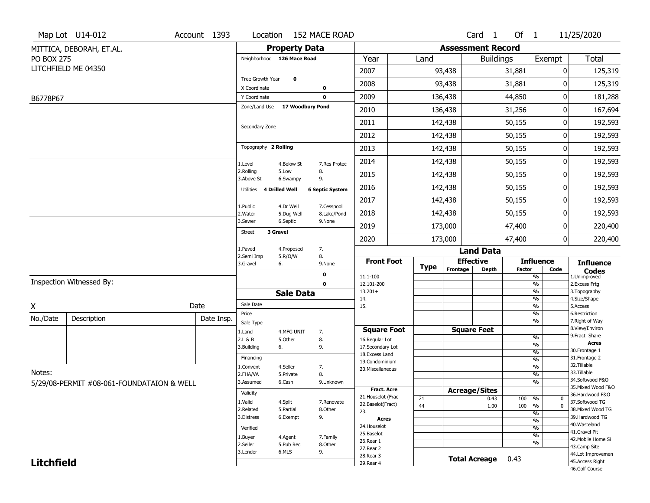|                   | Map Lot U14-012                           | Account 1393 | Location                                       |                      | 152 MACE ROAD          |                                   |             |                          | Card <sub>1</sub>    | Of 1          |                                           | 11/25/2020                         |
|-------------------|-------------------------------------------|--------------|------------------------------------------------|----------------------|------------------------|-----------------------------------|-------------|--------------------------|----------------------|---------------|-------------------------------------------|------------------------------------|
|                   | MITTICA, DEBORAH, ET.AL.                  |              |                                                | <b>Property Data</b> |                        |                                   |             | <b>Assessment Record</b> |                      |               |                                           |                                    |
| <b>PO BOX 275</b> |                                           |              | Neighborhood 126 Mace Road                     |                      |                        | Year                              | Land        |                          | <b>Buildings</b>     |               | Exempt                                    | <b>Total</b>                       |
|                   | LITCHFIELD ME 04350                       |              |                                                |                      |                        | 2007                              |             | 93,438                   |                      | 31,881        | 0                                         | 125,319                            |
|                   |                                           |              | Tree Growth Year                               | $\mathbf 0$          |                        | 2008                              |             | 93,438                   |                      | 31,881        | 0                                         | 125,319                            |
|                   |                                           |              | X Coordinate                                   |                      | 0                      | 2009                              |             | 136,438                  |                      | 44,850        | 0                                         |                                    |
| B6778P67          |                                           |              | Y Coordinate<br>Zone/Land Use 17 Woodbury Pond |                      | 0                      |                                   |             |                          |                      |               |                                           | 181,288                            |
|                   |                                           |              |                                                |                      |                        | 2010                              |             | 136,438                  |                      | 31,256        | 0                                         | 167,694                            |
|                   |                                           |              | Secondary Zone                                 |                      |                        | 2011                              |             | 142,438                  |                      | 50,155        | 0                                         | 192,593                            |
|                   |                                           |              |                                                |                      |                        | 2012                              |             | 142,438                  |                      | 50,155        | 0                                         | 192,593                            |
|                   |                                           |              | Topography 2 Rolling                           |                      |                        | 2013                              |             | 142,438                  |                      | 50,155        | 0                                         | 192,593                            |
|                   |                                           |              | 1.Level                                        | 4.Below St           | 7.Res Protec           | 2014                              |             | 142,438                  |                      | 50,155        | 0                                         | 192,593                            |
|                   |                                           |              | 2.Rolling<br>3.Above St                        | 5.Low<br>6.Swampy    | 8.<br>9.               | 2015                              |             | 142,438                  |                      | 50,155        | 0                                         | 192,593                            |
|                   |                                           |              | Utilities                                      | 4 Drilled Well       | <b>6 Septic System</b> | 2016                              |             | 142,438                  |                      | 50,155        | 0                                         | 192,593                            |
|                   |                                           |              | 1.Public                                       | 4.Dr Well            | 7.Cesspool             | 2017                              |             | 142,438                  |                      | 50,155        | 0                                         | 192,593                            |
|                   |                                           |              | 2. Water                                       | 5.Dug Well           | 8.Lake/Pond            | 2018                              |             | 142,438                  |                      | 50,155        | 0                                         | 192,593                            |
|                   |                                           |              | 3.Sewer                                        | 6.Septic             | 9.None                 | 2019                              |             | 173,000                  |                      | 47,400        | 0                                         | 220,400                            |
|                   |                                           |              | <b>Street</b>                                  | 3 Gravel             |                        | 2020                              |             | 173,000                  |                      | 47,400        | 0                                         | 220,400                            |
|                   |                                           |              | 1.Paved                                        | 4.Proposed           | 7.                     |                                   |             |                          | <b>Land Data</b>     |               |                                           |                                    |
|                   |                                           |              | 2.Semi Imp<br>3.Gravel                         | 5.R/O/W<br>6.        | 8.<br>9.None           | <b>Front Foot</b>                 | <b>Type</b> |                          | <b>Effective</b>     |               | <b>Influence</b>                          | <b>Influence</b>                   |
|                   |                                           |              |                                                |                      | 0                      | 11.1-100                          |             | Frontage                 | <b>Depth</b>         | <b>Factor</b> | Code<br>%                                 | <b>Codes</b><br>1.Unimproved       |
|                   | Inspection Witnessed By:                  |              |                                                |                      | $\mathbf 0$            | 12.101-200                        |             |                          |                      |               | $\overline{\frac{9}{6}}$                  | 2. Excess Frtg                     |
|                   |                                           |              |                                                | <b>Sale Data</b>     |                        | $13.201+$<br>14.                  |             |                          |                      |               | %<br>%                                    | 3. Topography<br>4.Size/Shape      |
| X                 |                                           | Date         | Sale Date                                      |                      |                        | 15.                               |             |                          |                      |               | $\frac{9}{6}$                             | 5.Access                           |
| No./Date          | Description                               | Date Insp.   | Price                                          |                      |                        |                                   |             |                          |                      |               | %<br>%                                    | 6.Restriction<br>7. Right of Way   |
|                   |                                           |              | Sale Type<br>1.Land                            | 4.MFG UNIT           | 7.                     | <b>Square Foot</b>                |             |                          | <b>Square Feet</b>   |               |                                           | 8.View/Environ                     |
|                   |                                           |              | 2.L & B                                        | 5.Other              | 8.                     | 16.Regular Lot                    |             |                          |                      |               | $\frac{9}{6}$                             | 9. Fract Share<br><b>Acres</b>     |
|                   |                                           |              | 3.Building                                     | 6.                   | 9.                     | 17.Secondary Lot                  |             |                          |                      |               | $\overline{\frac{9}{6}}$<br>$\frac{9}{6}$ | 30. Frontage 1                     |
|                   |                                           |              | Financing                                      |                      |                        | 18. Excess Land<br>19.Condominium |             |                          |                      |               | $\overline{\frac{9}{6}}$                  | 31. Frontage 2                     |
|                   |                                           |              | 1.Convent                                      | 4.Seller             | 7.                     | 20.Miscellaneous                  |             |                          |                      |               | $\frac{9}{6}$                             | 32.Tillable                        |
| Notes:            |                                           |              | 2.FHA/VA                                       | 5.Private            | 8.                     |                                   |             |                          |                      |               | $\overline{\frac{9}{6}}$                  | 33.Tillable<br>34.Softwood F&O     |
|                   | 5/29/08-PERMIT #08-061-FOUNDATAION & WELL |              | 3.Assumed                                      | 6.Cash               | 9.Unknown              |                                   |             |                          |                      |               | %                                         | 35. Mixed Wood F&O                 |
|                   |                                           |              | Validity                                       |                      |                        | Fract. Acre<br>21. Houselot (Frac |             |                          | <b>Acreage/Sites</b> |               |                                           | 36.Hardwood F&O                    |
|                   |                                           |              | 1.Valid                                        | 4.Split              | 7.Renovate             | 22.Baselot(Fract)                 | 21          |                          | 0.43                 | 100           | %<br>0<br>$\overline{0}$                  | 37.Softwood TG                     |
|                   |                                           |              | 2.Related                                      | 5.Partial            | 8.Other                | 23.                               | 44          |                          | 1.00                 | 100           | $\frac{9}{6}$<br>$\frac{9}{6}$            | 38. Mixed Wood TG                  |
|                   |                                           |              | 3.Distress                                     | 6.Exempt             | 9.                     | <b>Acres</b>                      |             |                          |                      |               | $\frac{9}{6}$                             | 39.Hardwood TG                     |
|                   |                                           |              | Verified                                       |                      |                        | 24. Houselot                      |             |                          |                      |               | $\frac{9}{6}$                             | 40. Wasteland                      |
|                   |                                           |              | 1.Buyer                                        | 4.Agent              | 7.Family               | 25.Baselot                        |             |                          |                      |               | $\frac{9}{6}$                             | 41.Gravel Pit                      |
|                   |                                           |              | 2.Seller                                       | 5.Pub Rec            | 8.Other                | 26.Rear 1                         |             |                          |                      |               | %                                         | 42. Mobile Home Si<br>43.Camp Site |
|                   |                                           |              | 3.Lender                                       | 6.MLS                | 9.                     | 27.Rear 2<br>28.Rear 3            |             |                          |                      |               |                                           | 44.Lot Improvemen                  |
|                   |                                           |              |                                                |                      |                        |                                   |             |                          |                      |               |                                           |                                    |
| <b>Litchfield</b> |                                           |              |                                                |                      |                        | 29. Rear 4                        |             |                          | <b>Total Acreage</b> | 0.43          |                                           | 45.Access Right                    |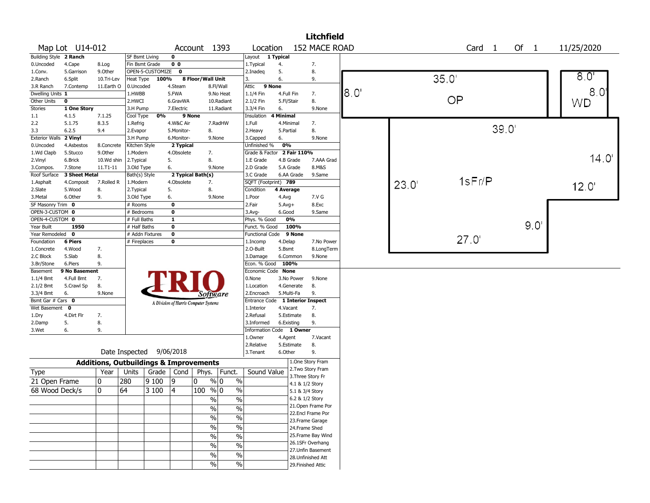|                        | <b>Litchfield</b><br>152 MACE ROAD<br>Map Lot U14-012<br>11/25/2020<br>Account 1393<br>Location<br>Card 1 |                                                   |                          |                  |                         |                                       |               |                                  |            |                    |                    |       |       |        |       |                      |                  |
|------------------------|-----------------------------------------------------------------------------------------------------------|---------------------------------------------------|--------------------------|------------------|-------------------------|---------------------------------------|---------------|----------------------------------|------------|--------------------|--------------------|-------|-------|--------|-------|----------------------|------------------|
|                        |                                                                                                           |                                                   |                          |                  |                         |                                       |               |                                  |            |                    |                    |       |       |        |       | Of<br>$\overline{1}$ |                  |
| Building Style 2 Ranch |                                                                                                           |                                                   | SF Bsmt Living           |                  | $\mathbf{o}$            |                                       |               | Layout                           | 1 Typical  |                    |                    |       |       |        |       |                      |                  |
| 0.Uncoded              | 4.Cape                                                                                                    | 8.Log                                             | Fin Bsmt Grade           |                  | 0 <sub>0</sub>          |                                       |               | 1.Typical                        | 4.         | 7.                 |                    |       |       |        |       |                      |                  |
| 1.Conv.                | 5.Garrison                                                                                                | 9.0ther                                           |                          | OPEN-5-CUSTOMIZE | $\mathbf 0$             |                                       |               | 2.Inadeg                         | 5.         | 8.                 |                    |       |       |        |       |                      |                  |
| 2.Ranch                | 6.Split                                                                                                   | 10.Tri-Lev                                        | Heat Type                | 100%             |                         | 8 Floor/Wall Unit                     |               | 3.                               | 6.         | 9.                 |                    |       |       | 35.0'  |       |                      | $8.0^\circ$      |
| 3.R Ranch              | 7.Contemp                                                                                                 | 11.Earth O                                        | 0.Uncoded                |                  | 4.Steam                 |                                       | 8.Fl/Wall     | Attic<br>9 None                  |            |                    |                    |       |       |        |       |                      |                  |
| Dwelling Units 1       |                                                                                                           |                                                   | 1.HWBB                   |                  | 5.FWA                   |                                       | 9.No Heat     | 1.1/4 Fin                        | 4.Full Fin |                    | 7.                 | 18.O' |       |        |       |                      | 8.0 <sup>1</sup> |
| Other Units            | $\mathbf 0$                                                                                               |                                                   | 2.HWCI                   |                  | 6.GravWA                |                                       | 10.Radiant    | 2.1/2 Fin                        | 5.Fl/Stair | 8.                 |                    |       |       | OP     |       |                      | WD               |
| Stories                | 1 One Story                                                                                               |                                                   | 3.H Pump                 |                  | 7.Electric              |                                       | 11.Radiant    | 3.3/4 Fin                        | 6.         |                    | 9.None             |       |       |        |       |                      |                  |
| 1.1                    | 4.1.5                                                                                                     | 7.1.25                                            | Cool Type                | 0%               |                         | 9 None                                |               | Insulation                       | 4 Minimal  |                    |                    |       |       |        |       |                      |                  |
| 2.2                    | 5.1.75                                                                                                    | 8.3.5                                             | 1.Refrig                 |                  | 4.W&C Air               |                                       | 7.RadHW       | 1.Full                           | 4.Minimal  |                    | 7.                 |       |       |        |       |                      |                  |
| 3.3                    | 6.2.5                                                                                                     | 9.4                                               | 2.Evapor                 |                  | 5.Monitor-              | 8.                                    |               | 2. Heavy                         | 5.Partial  |                    | 8.                 |       |       |        | 39.0' |                      |                  |
| <b>Exterior Walls</b>  | 2 Vinyl                                                                                                   |                                                   | 3.H Pump                 |                  | 6.Monitor-              |                                       | 9.None        | 3.Capped                         | 6.         |                    | 9.None             |       |       |        |       |                      |                  |
| 0.Uncoded              | 4.Asbestos                                                                                                | 8.Concrete                                        | Kitchen Style            |                  | 2 Typical               |                                       |               | Unfinished %                     | 0%         |                    |                    |       |       |        |       |                      |                  |
| 1.Wd Clapb             | 5.Stucco                                                                                                  | 9.0ther                                           | 1.Modern                 |                  | 4.Obsolete              | 7.                                    |               | Grade & Factor 2 Fair 110%       |            |                    |                    |       |       |        |       |                      |                  |
| 2.Vinyl                | 6.Brick                                                                                                   | 10.Wd shin                                        | 2.Typical                |                  | 5.                      | 8.                                    |               | 1.E Grade                        | 4.B Grade  |                    | 7.AAA Grad         |       |       |        |       |                      | 14.0'            |
| 3.Compos.              | 7.Stone                                                                                                   | 11.T1-11                                          | 3.Old Type               |                  | 6.                      |                                       | 9.None        | 2.D Grade                        | 5.A Grade  |                    | 8.M&S              |       |       |        |       |                      |                  |
| Roof Surface           | 3 Sheet Metal                                                                                             |                                                   | Bath(s) Style            |                  |                         | 2 Typical Bath(s)                     |               | 3.C Grade                        | 6.AA Grade |                    | 9.Same             |       |       |        |       |                      |                  |
| 1.Asphalt              | 4.Composit                                                                                                | 7.Rolled R                                        | 1.Modern                 |                  | 4.Obsolete              | 7.                                    |               | SQFT (Footprint) 789             |            |                    |                    |       | 23.0' | 1sFr/P |       |                      | 12.0'            |
| 2.Slate                | 5.Wood                                                                                                    | 8.                                                | 2. Typical               |                  | 5.                      | 8.                                    |               | Condition                        | 4 Average  |                    |                    |       |       |        |       |                      |                  |
| 3.Metal                | 6.Other                                                                                                   | 9.                                                | 3.Old Type               |                  | 6.                      |                                       | 9.None        | 1.Poor                           | 4.Avg      |                    | 7.V G              |       |       |        |       |                      |                  |
| SF Masonry Trim 0      |                                                                                                           |                                                   | # Rooms                  |                  | $\mathbf 0$             |                                       |               | 2.Fair                           | $5.Avg+$   |                    | 8.Exc              |       |       |        |       |                      |                  |
| OPEN-3-CUSTOM 0        |                                                                                                           |                                                   | # Bedrooms               |                  | $\mathbf 0$             |                                       |               | 3.Avg-                           | 6.Good     |                    | 9.Same             |       |       |        |       |                      |                  |
| OPEN-4-CUSTOM 0        |                                                                                                           |                                                   | # Full Baths             |                  | $\mathbf{1}$            |                                       |               | Phys. % Good                     | 0%         |                    |                    |       |       |        |       |                      |                  |
| Year Built             | 1950                                                                                                      |                                                   | # Half Baths             |                  | $\mathbf 0$             |                                       |               | Funct. % Good                    | 100%       |                    |                    |       |       |        |       | $9.0^\circ$          |                  |
| Year Remodeled 0       |                                                                                                           |                                                   | # Addn Fixtures          |                  | $\overline{\mathbf{0}}$ |                                       |               | Functional Code 9 None           |            |                    |                    |       |       |        |       |                      |                  |
| Foundation             | <b>6 Piers</b>                                                                                            |                                                   | # Fireplaces             |                  | 0                       |                                       |               | 1.Incomp                         | 4.Delap    |                    | 7.No Power         |       |       | 27.0'  |       |                      |                  |
| 1.Concrete             | 4.Wood                                                                                                    | 7.                                                |                          |                  |                         |                                       |               | 2.O-Built                        | 5.Bsmt     |                    | 8.LongTerm         |       |       |        |       |                      |                  |
| 2.C Block              | 5.Slab                                                                                                    | 8.                                                |                          |                  |                         |                                       |               | 3.Damage                         | 6.Common   |                    | 9.None             |       |       |        |       |                      |                  |
| 3.Br/Stone             | 6.Piers                                                                                                   | 9.                                                |                          |                  |                         |                                       |               | Econ. % Good 100%                |            |                    |                    |       |       |        |       |                      |                  |
| Basement               | 9 No Basement                                                                                             |                                                   |                          |                  |                         |                                       |               | Economic Code None               |            |                    |                    |       |       |        |       |                      |                  |
| 1.1/4 Bmt              | 4.Full Bmt                                                                                                | 7.                                                |                          |                  |                         |                                       |               | 0.None                           | 3.No Power |                    | 9.None             |       |       |        |       |                      |                  |
| 2.1/2 Bmt              | 5.Crawl Sp                                                                                                | 8.                                                |                          |                  |                         |                                       |               | 1.Location                       | 4.Generate | 8.                 |                    |       |       |        |       |                      |                  |
| 3.3/4 Bmt              | 6.                                                                                                        | 9.None                                            |                          |                  |                         | <i>Software</i>                       |               | 2.Encroach                       | 5.Multi-Fa | 9.                 |                    |       |       |        |       |                      |                  |
| Bsmt Gar # Cars 0      |                                                                                                           |                                                   |                          |                  |                         | A Division of Harris Computer Systems |               | Entrance Code 1 Interior Inspect |            |                    |                    |       |       |        |       |                      |                  |
| Wet Basement 0         |                                                                                                           |                                                   |                          |                  |                         |                                       |               | 1.Interior                       | 4.Vacant   | 7.                 |                    |       |       |        |       |                      |                  |
| 1.Dry                  | 4.Dirt Flr                                                                                                | 7.                                                |                          |                  |                         |                                       |               | 2.Refusal                        | 5.Estimate | 8.                 |                    |       |       |        |       |                      |                  |
| 2.Damp                 | 5.                                                                                                        | 8.                                                |                          |                  |                         |                                       |               | 3.Informed                       | 6.Existing | 9.                 |                    |       |       |        |       |                      |                  |
| 3.Wet                  | 6.                                                                                                        | 9.                                                |                          |                  |                         |                                       |               | Information Code 1 Owner         |            |                    |                    |       |       |        |       |                      |                  |
|                        |                                                                                                           |                                                   |                          |                  |                         |                                       |               | 1.Owner                          | 4.Agent    |                    | 7.Vacant           |       |       |        |       |                      |                  |
|                        |                                                                                                           |                                                   |                          |                  |                         |                                       |               | 2.Relative                       | 5.Estimate | 8.                 |                    |       |       |        |       |                      |                  |
|                        |                                                                                                           |                                                   | Date Inspected 9/06/2018 |                  |                         |                                       |               | 3.Tenant                         | 6.Other    |                    | 9.                 |       |       |        |       |                      |                  |
|                        |                                                                                                           | <b>Additions, Outbuildings &amp; Improvements</b> |                          |                  |                         |                                       |               |                                  |            | 1.One Story Fram   |                    |       |       |        |       |                      |                  |
| Type                   |                                                                                                           | Year                                              | Units                    | Grade            | Cond                    | Phys.                                 | Funct.        | Sound Value                      |            | 2. Two Story Fram  |                    |       |       |        |       |                      |                  |
| 21 Open Frame          |                                                                                                           | 0                                                 | 280                      | 9100             | 9                       | 0                                     | $\%$<br>% 0   |                                  |            | 3. Three Story Fr  |                    |       |       |        |       |                      |                  |
| 68 Wood Deck/s         |                                                                                                           | $\mathbf{0}$                                      | 64                       | 3 100            | 4                       | $100 \frac{9}{6} 0$                   | $\frac{0}{0}$ |                                  |            | 4.1 & 1/2 Story    |                    |       |       |        |       |                      |                  |
|                        |                                                                                                           |                                                   |                          |                  |                         |                                       |               |                                  |            | 5.1 & 3/4 Story    |                    |       |       |        |       |                      |                  |
|                        |                                                                                                           |                                                   |                          |                  |                         | $\%$                                  | $\frac{1}{2}$ |                                  |            | 6.2 & 1/2 Story    |                    |       |       |        |       |                      |                  |
|                        |                                                                                                           |                                                   |                          |                  |                         | %                                     | $\frac{0}{0}$ |                                  |            | 22.Encl Frame Por  | 21.Open Frame Por  |       |       |        |       |                      |                  |
|                        |                                                                                                           |                                                   |                          |                  |                         | $\sqrt{6}$                            | $\frac{0}{0}$ |                                  |            |                    |                    |       |       |        |       |                      |                  |
|                        |                                                                                                           |                                                   |                          |                  |                         | $\frac{1}{2}$                         | $\%$          |                                  |            | 23. Frame Garage   |                    |       |       |        |       |                      |                  |
|                        |                                                                                                           |                                                   |                          |                  |                         |                                       |               |                                  |            | 24.Frame Shed      |                    |       |       |        |       |                      |                  |
|                        |                                                                                                           |                                                   |                          |                  |                         | $\frac{0}{0}$                         | $\frac{0}{0}$ |                                  |            |                    | 25. Frame Bay Wind |       |       |        |       |                      |                  |
|                        |                                                                                                           |                                                   |                          |                  |                         | $\%$                                  | $\%$          |                                  |            | 26.1SFr Overhang   |                    |       |       |        |       |                      |                  |
|                        |                                                                                                           |                                                   |                          |                  |                         | $\%$                                  | $\%$          |                                  |            | 28.Unfinished Att  | 27. Unfin Basement |       |       |        |       |                      |                  |
|                        |                                                                                                           |                                                   |                          |                  |                         | $\%$                                  | $\%$          |                                  |            | 29. Finished Attic |                    |       |       |        |       |                      |                  |
|                        |                                                                                                           |                                                   |                          |                  |                         |                                       |               |                                  |            |                    |                    |       |       |        |       |                      |                  |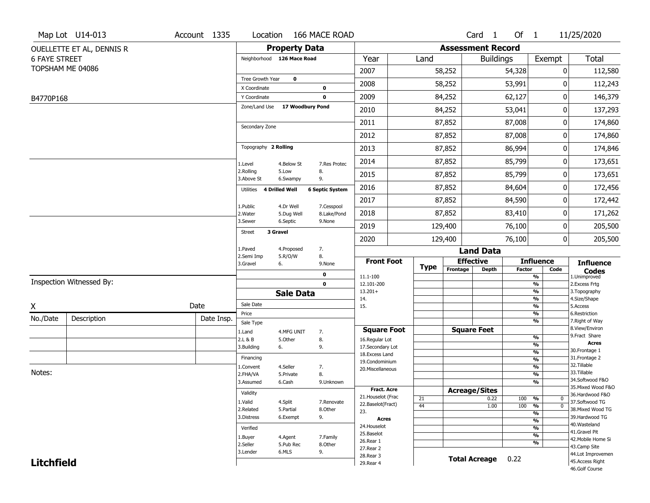|                      | Map Lot U14-013           | Account 1335 | Location                                       |                      | 166 MACE ROAD          |                                  |             |                          | Card <sub>1</sub>    | Of $1$        |                                                      | 11/25/2020                          |
|----------------------|---------------------------|--------------|------------------------------------------------|----------------------|------------------------|----------------------------------|-------------|--------------------------|----------------------|---------------|------------------------------------------------------|-------------------------------------|
|                      | OUELLETTE ET AL, DENNIS R |              |                                                | <b>Property Data</b> |                        |                                  |             | <b>Assessment Record</b> |                      |               |                                                      |                                     |
| <b>6 FAYE STREET</b> |                           |              | Neighborhood 126 Mace Road                     |                      |                        | Year                             | Land        |                          | <b>Buildings</b>     |               | Exempt                                               | <b>Total</b>                        |
|                      | TOPSHAM ME 04086          |              |                                                |                      |                        | 2007                             |             | 58,252                   |                      | 54,328        | 0                                                    | 112,580                             |
|                      |                           |              | Tree Growth Year                               | $\mathbf 0$          |                        | 2008                             |             | 58,252                   |                      | 53,991        | 0                                                    | 112,243                             |
|                      |                           |              | X Coordinate                                   |                      | 0                      |                                  |             |                          |                      |               |                                                      |                                     |
| B4770P168            |                           |              | Y Coordinate<br>Zone/Land Use 17 Woodbury Pond |                      | 0                      | 2009                             |             | 84,252                   |                      | 62,127        | 0                                                    | 146,379                             |
|                      |                           |              |                                                |                      |                        | 2010                             |             | 84,252                   |                      | 53,041        | 0                                                    | 137,293                             |
|                      |                           |              | Secondary Zone                                 |                      |                        | 2011                             |             | 87,852                   |                      | 87,008        | 0                                                    | 174,860                             |
|                      |                           |              |                                                |                      |                        | 2012                             |             | 87,852                   |                      | 87,008        | 0                                                    | 174,860                             |
|                      |                           |              | Topography 2 Rolling                           |                      |                        | 2013                             |             | 87,852                   |                      | 86,994        | 0                                                    | 174,846                             |
|                      |                           |              | 1.Level                                        | 4.Below St           | 7.Res Protec           | 2014                             |             | 87,852                   |                      | 85,799        | 0                                                    | 173,651                             |
|                      |                           |              | 2.Rolling<br>3.Above St                        | 5.Low<br>6.Swampy    | 8.<br>9.               | 2015                             |             | 87,852                   |                      | 85,799        | 0                                                    | 173,651                             |
|                      |                           |              | 4 Drilled Well<br>Utilities                    |                      | <b>6 Septic System</b> | 2016                             |             | 87,852                   |                      | 84,604        | 0                                                    | 172,456                             |
|                      |                           |              | 1.Public                                       | 4.Dr Well            | 7.Cesspool             | 2017                             |             | 87,852                   |                      | 84,590        | 0                                                    | 172,442                             |
|                      |                           |              | 2. Water                                       | 5.Dug Well           | 8.Lake/Pond            | 2018                             |             | 87,852                   |                      | 83,410        | 0                                                    | 171,262                             |
|                      |                           |              | 3.Sewer                                        | 6.Septic             | 9.None                 | 2019                             |             | 129,400                  |                      | 76,100        | 0                                                    | 205,500                             |
|                      |                           |              | 3 Gravel<br><b>Street</b>                      |                      |                        | 2020                             |             | 129,400                  |                      | 76,100        | 0                                                    | 205,500                             |
|                      |                           |              | 1.Paved                                        | 4.Proposed           | 7.                     |                                  |             |                          | <b>Land Data</b>     |               |                                                      |                                     |
|                      |                           |              | 2.Semi Imp<br>3.Gravel                         | 5.R/O/W<br>6.        | 8.<br>9.None           | <b>Front Foot</b>                | <b>Type</b> |                          | <b>Effective</b>     |               | <b>Influence</b>                                     | <b>Influence</b>                    |
|                      |                           |              |                                                |                      | 0                      | 11.1-100                         |             | Frontage                 | <b>Depth</b>         | <b>Factor</b> | Code<br>%                                            | <b>Codes</b><br>1.Unimproved        |
|                      | Inspection Witnessed By:  |              |                                                |                      | $\mathbf 0$            | 12.101-200                       |             |                          |                      |               | $\frac{9}{6}$                                        | 2.Excess Frtg                       |
|                      |                           |              |                                                | <b>Sale Data</b>     |                        | $13.201+$<br>14.                 |             |                          |                      |               | %<br>%                                               | 3. Topography<br>4.Size/Shape       |
| X                    |                           | Date         | Sale Date                                      |                      |                        | 15.                              |             |                          |                      |               | $\frac{9}{6}$                                        | 5.Access                            |
| No./Date             | Description               | Date Insp.   | Price<br>Sale Type                             |                      |                        |                                  |             |                          |                      |               | %<br>%                                               | 6.Restriction<br>7. Right of Way    |
|                      |                           |              | 1.Land                                         | 4.MFG UNIT           | 7.                     | <b>Square Foot</b>               |             |                          | <b>Square Feet</b>   |               |                                                      | 8.View/Environ                      |
|                      |                           |              | 2.L & B                                        | 5.Other              | 8.                     | 16.Regular Lot                   |             |                          |                      |               | $\frac{9}{6}$                                        | 9.Fract Share<br><b>Acres</b>       |
|                      |                           |              | 3.Building                                     | 6.                   | 9.                     | 17.Secondary Lot                 |             |                          |                      |               | $\overline{\mathcal{O}_{\!\!/\!0}}$<br>$\frac{9}{6}$ | 30. Frontage 1                      |
|                      |                           |              | Financing                                      |                      |                        | 18.Excess Land<br>19.Condominium |             |                          |                      |               | $\frac{9}{6}$                                        | 31. Frontage 2                      |
|                      |                           |              | 1.Convent                                      | 4.Seller             | 7.                     | 20.Miscellaneous                 |             |                          |                      |               | $\frac{9}{6}$                                        | 32.Tillable                         |
| Notes:               |                           |              | 2.FHA/VA                                       | 5.Private            | 8.                     |                                  |             |                          |                      |               | $\frac{9}{6}$                                        | 33.Tillable<br>34.Softwood F&O      |
|                      |                           |              | 3.Assumed                                      | 6.Cash               | 9.Unknown              | <b>Fract. Acre</b>               |             |                          |                      |               | $\frac{9}{6}$                                        | 35. Mixed Wood F&O                  |
|                      |                           |              | Validity                                       |                      |                        | 21. Houselot (Frac               |             |                          | <b>Acreage/Sites</b> |               |                                                      | 36.Hardwood F&O                     |
|                      |                           |              | 1.Valid                                        | 4.Split              | 7.Renovate             | 22.Baselot(Fract)                | 21<br>44    |                          | 0.22<br>1.00         | 100<br>100    | %<br>0<br>$\overline{0}$<br>%                        | 37.Softwood TG                      |
|                      |                           |              | 2.Related                                      | 5.Partial            | 8.Other                | 23.                              |             |                          |                      |               | $\frac{9}{6}$                                        | 38. Mixed Wood TG                   |
|                      |                           |              | 3.Distress                                     | 6.Exempt             | 9.                     | <b>Acres</b>                     |             |                          |                      |               | $\frac{9}{6}$                                        | 39.Hardwood TG                      |
|                      |                           | Verified     |                                                |                      | 24. Houselot           |                                  |             |                          |                      | $\frac{9}{6}$ | 40. Wasteland                                        |                                     |
|                      |                           |              | 1.Buyer                                        | 4.Agent              | 7.Family               | 25.Baselot                       |             |                          |                      |               | $\frac{9}{6}$                                        | 41.Gravel Pit<br>42. Mobile Home Si |
|                      |                           |              | 2.Seller                                       | 5.Pub Rec            | 8.Other                | 26.Rear 1                        |             |                          |                      |               | $\frac{9}{6}$                                        | 43.Camp Site                        |
|                      |                           |              |                                                |                      |                        |                                  |             |                          |                      |               |                                                      |                                     |
|                      |                           |              | 3.Lender                                       | 6.MLS                | 9.                     | 27.Rear 2                        |             |                          |                      |               |                                                      | 44.Lot Improvemen                   |
| <b>Litchfield</b>    |                           |              |                                                |                      |                        | 28. Rear 3<br>29. Rear 4         |             |                          | <b>Total Acreage</b> | 0.22          |                                                      | 45.Access Right<br>46.Golf Course   |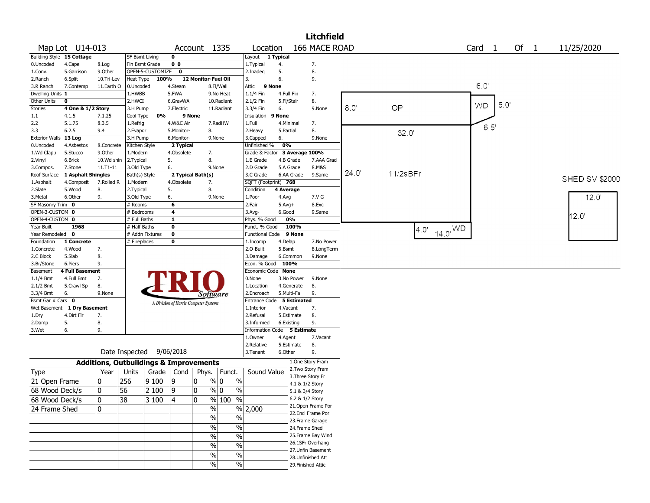|                             |                        |                                                   |                       |                  |                |                                       |                     |                               |            |                 | <b>Litchfield</b>  |       |          |                            |                   |                      |                       |
|-----------------------------|------------------------|---------------------------------------------------|-----------------------|------------------|----------------|---------------------------------------|---------------------|-------------------------------|------------|-----------------|--------------------|-------|----------|----------------------------|-------------------|----------------------|-----------------------|
|                             | Map Lot U14-013        |                                                   |                       |                  |                | Account 1335                          |                     | Location                      |            |                 | 166 MACE ROAD      |       |          |                            | Card 1            | Of<br>$\overline{1}$ | 11/25/2020            |
| Building Style 15 Cottage   |                        |                                                   | <b>SF Bsmt Living</b> |                  | 0              |                                       |                     | Layout 1 Typical              |            |                 |                    |       |          |                            |                   |                      |                       |
| 0.Uncoded                   | 4.Cape                 | 8.Log                                             | Fin Bsmt Grade        |                  | 0 <sub>0</sub> |                                       |                     | 1. Typical                    | 4.         |                 | 7.                 |       |          |                            |                   |                      |                       |
| 1.Conv.                     | 5.Garrison             | 9.Other                                           |                       | OPEN-5-CUSTOMIZE | $\mathbf 0$    |                                       |                     | 2.Inadeg                      | 5.         |                 | 8.                 |       |          |                            |                   |                      |                       |
| 2.Ranch                     | 6.Split                | 10.Tri-Lev                                        | Heat Type             | 100%             |                | 12 Monitor-Fuel Oil                   |                     | 3.                            | 6.         |                 | 9.                 |       |          |                            |                   |                      |                       |
| 3.R Ranch                   | 7.Contemp              | 11.Earth O                                        | 0.Uncoded             |                  | 4.Steam        |                                       | 8.Fl/Wall           | 9 None<br>Attic               |            |                 |                    |       |          |                            | 6.0'              |                      |                       |
| Dwelling Units 1            |                        |                                                   | 1.HWBB                |                  | 5.FWA          |                                       | 9.No Heat           | 1.1/4 Fin                     | 4.Full Fin |                 | 7.                 |       |          |                            |                   |                      |                       |
| Other Units                 | 0                      |                                                   | 2.HWCI                |                  | 6.GravWA       |                                       | 10.Radiant          | 2.1/2 Fin                     | 5.Fl/Stair |                 | 8.                 |       |          |                            | 5.0'<br><b>WD</b> |                      |                       |
| <b>Stories</b>              | 4 One & 1/2 Story      |                                                   | 3.H Pump              |                  | 7.Electric     |                                       | 11.Radiant          | 3.3/4 Fin                     | 6.         |                 | 9.None             | 8.0   | OP       |                            |                   |                      |                       |
| 1.1                         | 4.1.5                  | 7.1.25                                            | Cool Type             | 0%               | 9 None         |                                       |                     | Insulation                    | 9 None     |                 |                    |       |          |                            |                   |                      |                       |
| 2.2                         | 5.1.75                 | 8.3.5                                             | 1.Refrig              |                  | 4.W&C Air      |                                       | 7.RadHW             | 1.Full                        | 4.Minimal  |                 | 7.                 |       |          |                            | 6.5'              |                      |                       |
| 3.3                         | 6.2.5                  | 9.4                                               | 2.Evapor              |                  | 5.Monitor-     | 8.                                    |                     | 2. Heavy                      | 5.Partial  |                 | 8.                 |       | 32.0'    |                            |                   |                      |                       |
| <b>Exterior Walls</b>       | $13$ Log               |                                                   | 3.H Pump              |                  | 6.Monitor-     |                                       | 9.None              | 3.Capped                      | 6.         |                 | 9.None             |       |          |                            |                   |                      |                       |
| 0.Uncoded                   | 4.Asbestos             | 8.Concrete                                        | Kitchen Style         |                  | 2 Typical      |                                       |                     | Unfinished %                  | 0%         |                 |                    |       |          |                            |                   |                      |                       |
| 1.Wd Clapb                  | 5.Stucco               | 9.Other                                           | 1.Modern              |                  | 4.Obsolete     | 7.                                    |                     | Grade & Factor 3 Average 100% |            |                 |                    |       |          |                            |                   |                      |                       |
| 2.Vinyl                     | 6.Brick                | 10.Wd shin                                        | 2.Typical             |                  | 5.             | 8.                                    |                     | 1.E Grade                     |            | 4.B Grade       | 7.AAA Grad         |       |          |                            |                   |                      |                       |
| 3.Compos.                   | 7.Stone                | 11.T1-11                                          | 3.Old Type            |                  | 6.             |                                       | 9.None              | 2.D Grade                     |            | 5.A Grade       | 8.M&S              | 24.0' |          |                            |                   |                      |                       |
| Roof Surface                | 1 Asphalt Shingles     |                                                   | Bath(s) Style         |                  |                | 2 Typical Bath(s)                     |                     | 3.C Grade                     |            | 6.AA Grade      | 9.Same             |       | 11/2sBFr |                            |                   |                      | <b>SHED SV \$2000</b> |
| 1.Asphalt                   | 4.Composit             | 7.Rolled R                                        | 1.Modern              |                  | 4.Obsolete     | 7.                                    |                     | SQFT (Footprint) 768          |            |                 |                    |       |          |                            |                   |                      |                       |
| 2.Slate                     | 5.Wood                 | 8.                                                | 2.Typical             |                  | 5.             | 8.                                    |                     | Condition                     | 4 Average  |                 |                    |       |          |                            |                   |                      |                       |
| 3.Metal                     | 6.Other                | 9.                                                | 3.Old Type            |                  | 6.             |                                       | 9.None              | 1.Poor                        | 4.Avg      |                 | 7.V G              |       |          |                            |                   |                      | 12.0'                 |
| SF Masonry Trim 0           |                        |                                                   | # Rooms               |                  | 6              |                                       |                     | 2.Fair                        | $5.Avg+$   |                 | 8.Exc              |       |          |                            |                   |                      |                       |
| OPEN-3-CUSTOM 0             |                        |                                                   | # Bedrooms            |                  | 4              |                                       |                     | $3.$ Avg-                     | 6.Good     |                 | 9.Same             |       |          |                            |                   |                      | 12.0'                 |
| OPEN-4-CUSTOM 0             |                        |                                                   | # Full Baths          |                  | $\mathbf{1}$   |                                       |                     | Phys. % Good                  |            | 0%              |                    |       |          |                            |                   |                      |                       |
| Year Built                  | 1968                   |                                                   | # Half Baths          |                  | $\mathbf 0$    |                                       |                     | Funct. % Good                 |            | 100%            |                    |       |          | $14.0^{WD}$<br>$4.0^\circ$ |                   |                      |                       |
| Year Remodeled 0            |                        |                                                   | # Addn Fixtures       |                  | $\mathbf 0$    |                                       |                     | Functional Code 9 None        |            |                 |                    |       |          |                            |                   |                      |                       |
| Foundation                  | 1 Concrete             |                                                   | # Fireplaces          |                  | 0              |                                       |                     | 1.Incomp                      | 4.Delap    |                 | 7.No Power         |       |          |                            |                   |                      |                       |
| 1.Concrete                  | 4.Wood                 | 7.                                                |                       |                  |                |                                       |                     | 2.0-Built                     | 5.Bsmt     |                 | 8.LongTerm         |       |          |                            |                   |                      |                       |
| 2.C Block                   | 5.Slab                 | 8.                                                |                       |                  |                |                                       |                     | 3.Damage                      |            | 6.Common        | 9.None             |       |          |                            |                   |                      |                       |
| 3.Br/Stone                  | 6.Piers                | 9.                                                |                       |                  |                |                                       |                     | Econ. % Good 100%             |            |                 |                    |       |          |                            |                   |                      |                       |
| Basement                    | <b>4 Full Basement</b> |                                                   |                       |                  |                |                                       |                     | Economic Code None            |            |                 |                    |       |          |                            |                   |                      |                       |
| $1.1/4$ Bmt                 | 4.Full Bmt             | 7.                                                |                       |                  |                |                                       |                     | 0.None                        |            | 3.No Power      | 9.None             |       |          |                            |                   |                      |                       |
| 2.1/2 Bmt                   | 5.Crawl Sp             | 8.                                                |                       |                  |                |                                       |                     | 1.Location                    |            | 4.Generate      | 8.                 |       |          |                            |                   |                      |                       |
| 3.3/4 Bmt                   | 6.                     | 9.None                                            |                       |                  |                | <i>Software</i>                       |                     | 2.Encroach                    | 5.Multi-Fa |                 | 9.                 |       |          |                            |                   |                      |                       |
| Bsmt Gar # Cars 0           |                        |                                                   |                       |                  |                | A Division of Harris Computer Systems |                     | Entrance Code 5 Estimated     |            |                 |                    |       |          |                            |                   |                      |                       |
| Wet Basement 1 Dry Basement |                        |                                                   |                       |                  |                |                                       |                     | 1.Interior                    | 4.Vacant   |                 | 7.                 |       |          |                            |                   |                      |                       |
| 1.Dry                       | 4.Dirt Flr             | 7.                                                |                       |                  |                |                                       |                     | 2.Refusal                     |            | 5.Estimate      | 8.                 |       |          |                            |                   |                      |                       |
| 2.Damp                      | 5.                     | 8.                                                |                       |                  |                |                                       |                     | 3.Informed                    | 6.Existing |                 | 9.                 |       |          |                            |                   |                      |                       |
| 3.Wet                       | 6.                     | 9.                                                |                       |                  |                |                                       |                     | Information Code 5 Estimate   |            |                 |                    |       |          |                            |                   |                      |                       |
|                             |                        |                                                   |                       |                  |                |                                       |                     | 1.Owner                       | 4.Agent    |                 | 7.Vacant           |       |          |                            |                   |                      |                       |
|                             |                        | Date Inspected 9/06/2018                          |                       |                  |                |                                       |                     | 2.Relative                    |            | 5.Estimate      | 8.                 |       |          |                            |                   |                      |                       |
|                             |                        |                                                   |                       |                  |                |                                       |                     | 3.Tenant                      | 6.Other    |                 | 9.                 |       |          |                            |                   |                      |                       |
|                             |                        | <b>Additions, Outbuildings &amp; Improvements</b> |                       |                  |                |                                       |                     |                               |            |                 | 1.One Story Fram   |       |          |                            |                   |                      |                       |
| Type                        |                        | Year                                              | Units                 | Grade            | Cond           | Phys.                                 | Funct.              | Sound Value                   |            |                 | 2. Two Story Fram  |       |          |                            |                   |                      |                       |
| 21 Open Frame               |                        | 0                                                 | 256                   | 9 100            | 19             | 0                                     | $\%$<br>% 0         |                               |            |                 | 3. Three Story Fr  |       |          |                            |                   |                      |                       |
|                             |                        |                                                   |                       |                  |                |                                       |                     |                               |            |                 | 4.1 & 1/2 Story    |       |          |                            |                   |                      |                       |
| 68 Wood Deck/s              |                        | 0<br>56                                           |                       | 2 100            | 9              | $\mathbf 0$                           | % 0<br>$\%$         |                               |            | 5.1 & 3/4 Story |                    |       |          |                            |                   |                      |                       |
| 68 Wood Deck/s              |                        | 38<br>0                                           |                       | 3 100            | -14            | 10                                    | $\frac{9}{6}$ 100 % |                               |            | 6.2 & 1/2 Story |                    |       |          |                            |                   |                      |                       |
| 24 Frame Shed               |                        | 0                                                 |                       |                  |                | %                                     |                     | % 2,000                       |            |                 | 21. Open Frame Por |       |          |                            |                   |                      |                       |
|                             |                        |                                                   |                       |                  |                | $\sqrt{6}$                            | $\%$                |                               |            |                 | 22.Encl Frame Por  |       |          |                            |                   |                      |                       |
|                             |                        |                                                   |                       |                  |                |                                       |                     |                               |            |                 | 23. Frame Garage   |       |          |                            |                   |                      |                       |
|                             |                        |                                                   |                       |                  |                | $\%$                                  | $\%$                |                               |            | 24.Frame Shed   |                    |       |          |                            |                   |                      |                       |
|                             |                        |                                                   |                       |                  |                | $\%$                                  | $\frac{0}{0}$       |                               |            |                 | 25. Frame Bay Wind |       |          |                            |                   |                      |                       |
|                             |                        |                                                   |                       |                  |                | $\frac{0}{0}$                         | $\%$                |                               |            |                 | 26.1SFr Overhang   |       |          |                            |                   |                      |                       |
|                             |                        |                                                   |                       |                  |                | $\%$                                  | $\%$                |                               |            |                 | 27.Unfin Basement  |       |          |                            |                   |                      |                       |
|                             |                        |                                                   |                       |                  |                |                                       |                     |                               |            |                 | 28.Unfinished Att  |       |          |                            |                   |                      |                       |
|                             |                        |                                                   |                       |                  |                | $\%$                                  | %                   |                               |            |                 | 29. Finished Attic |       |          |                            |                   |                      |                       |
|                             |                        |                                                   |                       |                  |                |                                       |                     |                               |            |                 |                    |       |          |                            |                   |                      |                       |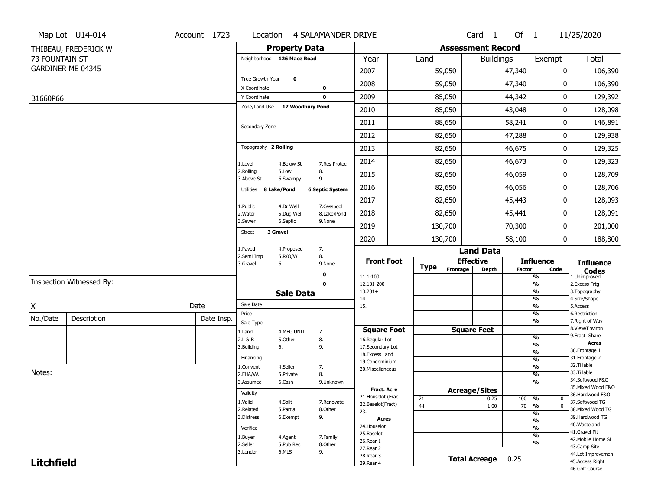|                   | Map Lot U14-014          | Account 1723 | Location                         |                         | 4 SALAMANDER DRIVE        |                                         |             |                          | Card 1               | Of $1$        |                                                           | 11/25/2020                            |  |  |
|-------------------|--------------------------|--------------|----------------------------------|-------------------------|---------------------------|-----------------------------------------|-------------|--------------------------|----------------------|---------------|-----------------------------------------------------------|---------------------------------------|--|--|
|                   | THIBEAU, FREDERICK W     |              |                                  | <b>Property Data</b>    |                           |                                         |             | <b>Assessment Record</b> |                      |               |                                                           |                                       |  |  |
| 73 FOUNTAIN ST    |                          |              | Neighborhood 126 Mace Road       |                         |                           | Year                                    | Land        |                          | <b>Buildings</b>     |               | Exempt                                                    | <b>Total</b>                          |  |  |
|                   | GARDINER ME 04345        |              |                                  |                         |                           | 2007                                    |             | 59,050                   |                      | 47,340        | 0                                                         | 106,390                               |  |  |
|                   |                          |              | Tree Growth Year                 | $\mathbf 0$             |                           | 2008                                    |             | 59,050                   |                      | 47,340        | 0                                                         | 106,390                               |  |  |
| B1660P66          |                          |              | X Coordinate<br>Y Coordinate     |                         | 0<br>$\mathbf 0$          | 2009                                    |             | 85,050                   |                      | 44,342        | 0                                                         | 129,392                               |  |  |
|                   |                          |              | Zone/Land Use                    | 17 Woodbury Pond        |                           | 2010                                    |             | 85,050                   |                      | 43,048        | 0                                                         | 128,098                               |  |  |
|                   |                          |              |                                  |                         |                           | 2011                                    |             | 88,650                   |                      | 58,241        | 0                                                         | 146,891                               |  |  |
|                   |                          |              | Secondary Zone                   |                         |                           | 2012                                    |             | 82,650                   |                      | 47,288        | 0                                                         | 129,938                               |  |  |
|                   |                          |              | Topography 2 Rolling             |                         |                           | 2013                                    |             | 82,650                   |                      | 46,675        | 0                                                         | 129,325                               |  |  |
|                   |                          |              |                                  |                         |                           | 2014                                    |             | 82,650                   |                      | 46,673        | 0                                                         | 129,323                               |  |  |
|                   |                          |              | 1.Level<br>2.Rolling             | 4.Below St<br>5.Low     | 7.Res Protec<br>8.        | 2015                                    |             | 82,650                   |                      | 46,059        | 0                                                         | 128,709                               |  |  |
|                   |                          |              | 3.Above St                       | 6.Swampy                | 9.                        | 2016                                    |             | 82,650                   |                      | 46,056        | 0                                                         | 128,706                               |  |  |
|                   |                          |              | Utilities 8 Lake/Pond            |                         | <b>6 Septic System</b>    | 2017                                    |             | 82,650                   |                      | 45,443        | 0                                                         | 128,093                               |  |  |
|                   |                          |              | 1.Public<br>2. Water             | 4.Dr Well<br>5.Dug Well | 7.Cesspool<br>8.Lake/Pond | 2018                                    |             | 82,650                   |                      | 45,441        | 0                                                         | 128,091                               |  |  |
|                   |                          |              | 3.Sewer                          | 6.Septic                | 9.None                    | 2019                                    |             | 130,700                  |                      | 70,300        | 0                                                         | 201,000                               |  |  |
|                   |                          |              | 3 Gravel<br><b>Street</b>        |                         |                           | 2020                                    |             | 130,700                  |                      | 58,100        | $\mathbf{0}$                                              | 188,800                               |  |  |
|                   |                          |              | 1.Paved                          | 4.Proposed              | 7.                        |                                         |             |                          | <b>Land Data</b>     |               |                                                           |                                       |  |  |
|                   |                          |              | 2.Semi Imp<br>3.Gravel           | 5.R/O/W<br>6.           | 8.<br>9.None              | <b>Front Foot</b>                       |             | <b>Effective</b>         |                      |               | <b>Influence</b>                                          | <b>Influence</b>                      |  |  |
|                   |                          |              |                                  |                         | $\mathbf 0$               | 11.1-100                                | <b>Type</b> | Frontage                 | <b>Depth</b>         | <b>Factor</b> | Code<br>%                                                 | <b>Codes</b><br>1.Unimproved          |  |  |
|                   | Inspection Witnessed By: |              |                                  |                         | 0                         | 12.101-200                              |             |                          |                      |               | $\overline{\frac{9}{6}}$                                  | 2. Excess Frtg                        |  |  |
|                   |                          |              |                                  | <b>Sale Data</b>        |                           | $13.201+$<br>14.                        |             |                          |                      |               | $\frac{9}{6}$<br>$\overline{\frac{9}{6}}$                 | 3. Topography<br>4.Size/Shape         |  |  |
| X                 |                          | Date         | Sale Date                        |                         |                           | 15.                                     |             |                          |                      |               | $\frac{9}{6}$                                             | 5.Access                              |  |  |
| No./Date          | Description              | Date Insp.   | Price                            |                         |                           |                                         |             |                          |                      |               | %<br>%                                                    | 6.Restriction<br>7. Right of Way      |  |  |
|                   |                          |              | Sale Type<br>1.Land              | 4.MFG UNIT              | 7.                        | <b>Square Foot</b>                      |             | <b>Square Feet</b>       |                      |               |                                                           | 8.View/Environ                        |  |  |
|                   |                          |              | 2.L & B                          | 5.Other                 | 8.                        | 16.Regular Lot                          |             |                          |                      |               | $\frac{9}{6}$                                             | 9.Fract Share                         |  |  |
|                   |                          |              | 3.Building                       | 6.                      | 9.                        | 17.Secondary Lot                        |             |                          |                      |               | $\overline{\frac{9}{6}}$<br>$\frac{9}{6}$                 | <b>Acres</b><br>30.Frontage 1         |  |  |
|                   |                          |              | Financing                        |                         |                           | 18. Excess Land<br>19.Condominium       |             |                          |                      |               | $\overline{\frac{9}{6}}$                                  | 31. Frontage 2                        |  |  |
|                   |                          |              | 1.Convent                        | 4.Seller                | 7.                        | 20.Miscellaneous                        |             |                          |                      |               | $\frac{9}{6}$                                             | 32. Tillable                          |  |  |
| Notes:            |                          |              | 2.FHA/VA                         | 5.Private               | 8.                        |                                         |             |                          |                      |               | $\overline{\frac{9}{6}}$                                  | 33.Tillable                           |  |  |
|                   |                          |              | 3.Assumed                        | 6.Cash                  | 9.Unknown                 |                                         |             |                          |                      |               | $\frac{9}{6}$                                             | 34.Softwood F&O<br>35. Mixed Wood F&O |  |  |
|                   |                          |              | Validity                         |                         |                           | Fract. Acre                             |             | <b>Acreage/Sites</b>     |                      |               |                                                           | 36.Hardwood F&O                       |  |  |
|                   |                          |              | 1.Valid                          | 4.Split                 | 7.Renovate                | 21. Houselot (Frac<br>22.Baselot(Fract) | 21          |                          | 0.25                 | 100 %         | $\mathbf 0$                                               | 37.Softwood TG                        |  |  |
|                   |                          |              | 2.Related                        | 5.Partial               | 8.Other                   | 23.                                     | 44          |                          | 1.00                 | 70            | $\frac{9}{6}$<br>$\mathbf{0}$<br>$\overline{\frac{9}{6}}$ | 38. Mixed Wood TG                     |  |  |
|                   |                          |              | 3.Distress                       | 6.Exempt                | 9.                        | <b>Acres</b>                            |             |                          |                      |               | $\frac{9}{6}$                                             | 39.Hardwood TG                        |  |  |
|                   |                          |              | Verified                         |                         |                           | 24. Houselot                            |             |                          |                      |               | $\frac{9}{6}$                                             | 40. Wasteland                         |  |  |
|                   |                          |              | 1.Buyer                          | 4.Agent                 | 7.Family                  | 25.Baselot<br>26.Rear 1                 |             |                          |                      |               | $\frac{9}{6}$                                             | 41.Gravel Pit<br>42. Mobile Home Si   |  |  |
|                   |                          |              | 2.Seller<br>8.Other<br>5.Pub Rec |                         |                           |                                         |             |                          |                      |               | %<br>43.Camp Site                                         |                                       |  |  |
|                   |                          |              | 3.Lender                         | 6.MLS                   | 9.                        | 27.Rear 2<br>28. Rear 3                 |             |                          |                      |               |                                                           | 44.Lot Improvemen                     |  |  |
| <b>Litchfield</b> |                          |              |                                  |                         |                           | 29. Rear 4                              |             |                          | <b>Total Acreage</b> | 0.25          |                                                           | 45.Access Right                       |  |  |
|                   |                          |              |                                  |                         |                           |                                         |             |                          |                      |               |                                                           | 46.Golf Course                        |  |  |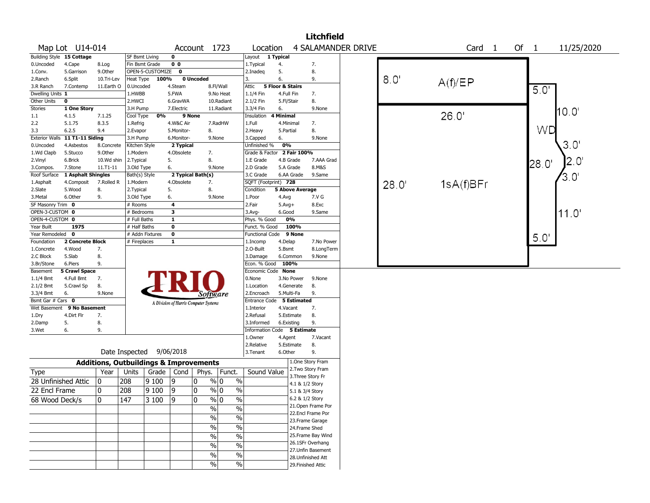|                           |                                |                                                   |                  |                  |                |                                       |                                |                            |                        |                    | <b>Litchfield</b>  |                           |       |                   |        |       |               |
|---------------------------|--------------------------------|---------------------------------------------------|------------------|------------------|----------------|---------------------------------------|--------------------------------|----------------------------|------------------------|--------------------|--------------------|---------------------------|-------|-------------------|--------|-------|---------------|
|                           | Map Lot U14-014                |                                                   |                  |                  |                | Account 1723                          |                                | Location                   |                        |                    |                    | <b>4 SALAMANDER DRIVE</b> |       | Card <sub>1</sub> | Of $1$ |       | 11/25/2020    |
| Building Style 15 Cottage |                                |                                                   | SF Bsmt Living   |                  | 0              |                                       |                                | Layout 1 Typical           |                        |                    |                    |                           |       |                   |        |       |               |
| 0.Uncoded                 | 4.Cape                         | 8.Log                                             | Fin Bsmt Grade   |                  | 0 <sub>0</sub> |                                       |                                | 1.Typical                  | 4.                     |                    | 7.                 |                           |       |                   |        |       |               |
| 1.Conv.                   | 5.Garrison                     | 9.Other                                           |                  | OPEN-5-CUSTOMIZE | 0              |                                       |                                | 2.Inadeq                   | 5.                     |                    | 8.                 |                           |       |                   |        |       |               |
| 2.Ranch                   | 6.Split                        | 10.Tri-Lev                                        | Heat Type        | 100%             |                | 0 Uncoded                             |                                | 3.                         | 6.                     |                    | 9.                 |                           | 8.0'  | A(f)/EP           |        |       |               |
| 3.R Ranch                 | 7.Contemp                      | 11.Earth O                                        | 0.Uncoded        |                  | 4.Steam        |                                       | 8.Fl/Wall                      | Attic                      | 5 Floor & Stairs       |                    |                    |                           |       |                   |        | 5.0   |               |
| Dwelling Units 1          |                                |                                                   | 1.HWBB           |                  | 5.FWA          |                                       | 9.No Heat                      | 1.1/4 Fin                  | 4.Full Fin             |                    | 7.                 |                           |       |                   |        |       |               |
| Other Units               | $\mathbf 0$                    |                                                   | 2.HWCI           |                  | 6.GravWA       |                                       | 10.Radiant                     | 2.1/2 Fin                  | 5.Fl/Stair             |                    | 8.                 |                           |       |                   |        |       |               |
| <b>Stories</b>            | 1 One Story                    |                                                   | 3.H Pump         |                  | 7.Electric     |                                       | 11.Radiant                     | 3.3/4 Fin                  | 6.                     |                    | 9.None             |                           |       |                   |        |       | 10.0'         |
| 1.1                       | 4.1.5                          | 7.1.25                                            | Cool Type        | 0%               |                | 9 None                                |                                | Insulation                 | 4 Minimal              |                    |                    |                           |       | 26.0'             |        |       |               |
| 2.2                       | 5.1.75                         | 8.3.5                                             | 1.Refrig         |                  | 4.W&C Air      |                                       | 7.RadHW                        | 1.Full                     | 4.Minimal              |                    | 7.                 |                           |       |                   |        |       |               |
| 3.3                       | 6.2.5                          | 9.4                                               | 2.Evapor         |                  | 5.Monitor-     | 8.                                    |                                | 2. Heavy                   | 5.Partial              |                    | 8.                 |                           |       |                   |        | WD    |               |
|                           | Exterior Walls 11 T1-11 Siding |                                                   | 3.H Pump         |                  | 6.Monitor-     |                                       | 9.None                         | 3.Capped                   | 6.                     |                    | 9.None             |                           |       |                   |        |       |               |
| 0.Uncoded                 | 4.Asbestos                     | 8.Concrete                                        | Kitchen Style    |                  | 2 Typical      |                                       |                                | Unfinished %               | 0%                     |                    |                    |                           |       |                   |        |       | $3.0^{\circ}$ |
| 1.Wd Clapb                | 5.Stucco                       | 9.0ther                                           | 1.Modern         |                  | 4.Obsolete     | 7.                                    |                                | Grade & Factor 2 Fair 100% |                        |                    |                    |                           |       |                   |        |       |               |
| 2.Vinyl                   | 6.Brick                        | 10.Wd shin                                        | 2.Typical        |                  | 5.             | 8.                                    |                                | 1.E Grade                  | 4.B Grade              |                    | 7.AAA Grad         |                           |       |                   |        | 28.0' | 2.0           |
| 3.Compos.                 | 7.Stone                        | 11.T1-11                                          | 3.Old Type       |                  | 6.             |                                       | 9.None                         | 2.D Grade                  | 5.A Grade              |                    | 8.M&S              |                           |       |                   |        |       |               |
| Roof Surface              | 1 Asphalt Shingles             |                                                   | Bath(s) Style    |                  |                | 2 Typical Bath(s)                     |                                | 3.C Grade                  | 6.AA Grade             |                    | 9.Same             |                           |       |                   |        |       | $3.0^{\circ}$ |
| 1.Asphalt                 | 4.Composit                     | 7.Rolled R                                        | 1.Modern         |                  | 4.Obsolete     | 7.                                    |                                | SQFT (Footprint) 728       |                        |                    |                    |                           | 28.0' | 1sA(f)BFr         |        |       |               |
| 2.Slate                   | 5.Wood                         | 8.                                                | 2. Typical       |                  | 5.             | 8.                                    |                                | Condition                  | <b>5 Above Average</b> |                    |                    |                           |       |                   |        |       |               |
| 3.Metal                   | 6.Other                        | 9.                                                | 3.Old Type       |                  | 6.             |                                       | 9.None                         | 1.Poor                     | 4.Avg                  |                    | 7.V G              |                           |       |                   |        |       |               |
| SF Masonry Trim 0         |                                |                                                   | # Rooms          |                  | 4              |                                       |                                | 2.Fair                     | $5.Avg+$               |                    | 8.Exc              |                           |       |                   |        |       |               |
| OPEN-3-CUSTOM 0           |                                |                                                   | # Bedrooms       |                  | 3              |                                       |                                | 3.Avg-                     | 6.Good                 |                    | 9.Same             |                           |       |                   |        |       | 11.0'         |
| OPEN-4-CUSTOM 0           |                                |                                                   | # Full Baths     |                  | $\mathbf{1}$   |                                       |                                | Phys. % Good               | 0%                     |                    |                    |                           |       |                   |        |       |               |
| Year Built                | 1975                           |                                                   | # Half Baths     |                  | $\mathbf 0$    |                                       |                                | Funct. % Good              |                        | 100%               |                    |                           |       |                   |        |       |               |
| Year Remodeled 0          |                                |                                                   | # Addn Fixtures  |                  | $\bf{0}$       |                                       |                                | <b>Functional Code</b>     |                        | 9 None             |                    |                           |       |                   |        | 5.0'  |               |
| Foundation                | 2 Concrete Block               |                                                   | # Fireplaces     |                  | $\mathbf{1}$   |                                       |                                | 1.Incomp                   | 4.Delap                |                    | 7.No Power         |                           |       |                   |        |       |               |
| 1.Concrete                | 4.Wood                         | 7.                                                |                  |                  |                |                                       |                                | 2.O-Built                  | 5.Bsmt                 |                    | 8.LongTerm         |                           |       |                   |        |       |               |
| 2.C Block                 | 5.Slab                         | 8.                                                |                  |                  |                |                                       |                                | 3.Damage                   | 6.Common               |                    | 9.None             |                           |       |                   |        |       |               |
| 3.Br/Stone                | 6.Piers                        | 9.                                                |                  |                  |                |                                       |                                | Econ. % Good               | 100%                   |                    |                    |                           |       |                   |        |       |               |
| Basement                  | <b>5 Crawl Space</b>           |                                                   |                  |                  |                |                                       |                                | Economic Code None         |                        |                    |                    |                           |       |                   |        |       |               |
| 1.1/4 Bmt                 | 4.Full Bmt                     | 7.                                                |                  |                  |                |                                       |                                | 0.None                     | 3.No Power             |                    | 9.None             |                           |       |                   |        |       |               |
| 2.1/2 Bmt                 | 5.Crawl Sp                     | 8.                                                |                  |                  |                |                                       |                                | 1.Location                 | 4.Generate             |                    | 8.                 |                           |       |                   |        |       |               |
| 3.3/4 Bmt                 | 6.                             | 9.None                                            |                  |                  |                | <i>Software</i>                       |                                | 2.Encroach                 | 5.Multi-Fa             |                    | 9.                 |                           |       |                   |        |       |               |
| Bsmt Gar # Cars 0         |                                |                                                   |                  |                  |                | A Division of Harris Computer Systems |                                | Entrance Code              |                        | <b>5 Estimated</b> |                    |                           |       |                   |        |       |               |
|                           | Wet Basement 9 No Basement     |                                                   |                  |                  |                |                                       |                                | 1.Interior                 | 4.Vacant               |                    | 7.                 |                           |       |                   |        |       |               |
| 1.Dry                     | 4.Dirt Flr                     | 7.                                                |                  |                  |                |                                       |                                | 2.Refusal                  | 5.Estimate             |                    | 8.                 |                           |       |                   |        |       |               |
| 2.Damp                    | 5.                             | 8.                                                |                  |                  |                |                                       |                                | 3.Informed                 | 6.Existing             |                    | 9.                 |                           |       |                   |        |       |               |
| 3.Wet                     | 6.                             | 9.                                                |                  |                  |                |                                       |                                | Information Code           |                        | 5 Estimate         |                    |                           |       |                   |        |       |               |
|                           |                                |                                                   |                  |                  |                |                                       |                                | 1.0wner                    | 4.Agent                |                    | 7.Vacant           |                           |       |                   |        |       |               |
|                           |                                |                                                   |                  |                  |                |                                       |                                | 2.Relative                 | 5.Estimate             |                    | 8.                 |                           |       |                   |        |       |               |
|                           |                                | Date Inspected                                    |                  |                  | 9/06/2018      |                                       |                                | 3. Tenant                  | 6.Other                |                    | 9.                 |                           |       |                   |        |       |               |
|                           |                                | <b>Additions, Outbuildings &amp; Improvements</b> |                  |                  |                |                                       |                                |                            |                        |                    | 1.One Story Fram   |                           |       |                   |        |       |               |
| Type                      |                                | Year                                              | Units            | Grade            | Cond           | Phys.                                 | Funct.                         | Sound Value                |                        |                    | 2. Two Story Fram  |                           |       |                   |        |       |               |
| 28 Unfinished Attic       |                                | 0                                                 | 208              | 9100             | 9              | 0                                     | $\%$ 0<br>$\%$                 |                            |                        |                    | 3. Three Story Fr  |                           |       |                   |        |       |               |
| 22 Encl Frame             |                                |                                                   |                  |                  |                |                                       |                                |                            |                        |                    | 4.1 & 1/2 Story    |                           |       |                   |        |       |               |
|                           |                                | 0                                                 | 208              | 9 100            | 9              | 0                                     | $\%$<br>% 0                    |                            |                        |                    | 5.1 & 3/4 Story    |                           |       |                   |        |       |               |
| 68 Wood Deck/s            |                                | $ 0\rangle$                                       | $\overline{147}$ | 3100             | 9              | $\overline{0}$                        | $\sqrt{96}$ 0<br>$\frac{9}{6}$ |                            |                        |                    | 6.2 & 1/2 Story    |                           |       |                   |        |       |               |
|                           |                                |                                                   |                  |                  |                | $\frac{0}{0}$                         | $\%$                           |                            |                        |                    | 21.Open Frame Por  |                           |       |                   |        |       |               |
|                           |                                |                                                   |                  |                  |                | $\frac{0}{0}$                         | $\%$                           |                            |                        |                    | 22.Encl Frame Por  |                           |       |                   |        |       |               |
|                           |                                |                                                   |                  |                  |                |                                       |                                |                            |                        |                    | 23. Frame Garage   |                           |       |                   |        |       |               |
|                           |                                |                                                   |                  |                  |                | $\%$                                  | $\%$                           |                            |                        |                    | 24.Frame Shed      |                           |       |                   |        |       |               |
|                           |                                |                                                   |                  |                  |                | $\sqrt{6}$                            | $\%$                           |                            |                        |                    | 25. Frame Bay Wind |                           |       |                   |        |       |               |
|                           |                                |                                                   |                  |                  |                | $\frac{0}{0}$                         | $\%$                           |                            |                        |                    | 26.1SFr Overhang   |                           |       |                   |        |       |               |
|                           |                                |                                                   |                  |                  |                | $\sqrt{6}$                            | $\overline{\frac{0}{6}}$       |                            |                        |                    | 27.Unfin Basement  |                           |       |                   |        |       |               |
|                           |                                |                                                   |                  |                  |                |                                       |                                |                            |                        |                    | 28. Unfinished Att |                           |       |                   |        |       |               |
|                           |                                |                                                   |                  |                  |                | $\%$                                  | $\%$                           |                            |                        |                    | 29. Finished Attic |                           |       |                   |        |       |               |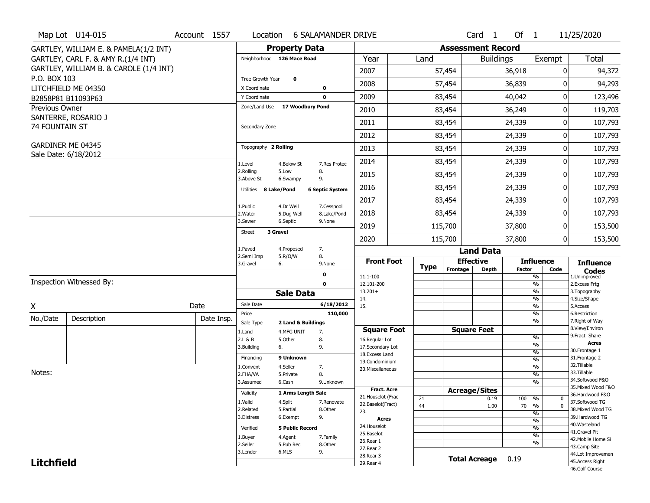|                       | Map Lot U14-015                        | Account 1557 | Location                       |                         | <b>6 SALAMANDER DRIVE</b> |                          |      |             |                          | Card <sub>1</sub> | Of 1          |                                | 11/25/2020                        |
|-----------------------|----------------------------------------|--------------|--------------------------------|-------------------------|---------------------------|--------------------------|------|-------------|--------------------------|-------------------|---------------|--------------------------------|-----------------------------------|
|                       | GARTLEY, WILLIAM E. & PAMELA(1/2 INT)  |              |                                | <b>Property Data</b>    |                           |                          |      |             | <b>Assessment Record</b> |                   |               |                                |                                   |
|                       | GARTLEY, CARL F. & AMY R.(1/4 INT)     |              | Neighborhood 126 Mace Road     |                         |                           | Year                     | Land |             |                          | <b>Buildings</b>  |               | Exempt                         | Total                             |
|                       | GARTLEY, WILLIAM B. & CAROLE (1/4 INT) |              |                                |                         |                           | 2007                     |      |             | 57,454                   |                   | 36,918        | $\mathbf{0}$                   | 94,372                            |
| P.O. BOX 103          |                                        |              | Tree Growth Year               | $\mathbf 0$             |                           | 2008                     |      | 57,454      |                          |                   | 36,839        | 0                              | 94,293                            |
|                       | LITCHFIELD ME 04350                    |              | X Coordinate                   |                         | 0                         |                          |      |             |                          |                   |               |                                |                                   |
|                       | B2858P81 B11093P63                     |              | Y Coordinate                   |                         | $\mathbf 0$               | 2009                     |      | 83,454      |                          |                   | 40,042        | 0                              | 123,496                           |
| Previous Owner        |                                        |              | Zone/Land Use 17 Woodbury Pond |                         |                           | 2010                     |      | 83,454      |                          |                   | 36,249        | 0                              | 119,703                           |
| <b>74 FOUNTAIN ST</b> | SANTERRE, ROSARIO J                    |              | Secondary Zone                 |                         |                           | 2011                     |      |             | 83,454                   |                   | 24,339        | 0                              | 107,793                           |
|                       |                                        |              |                                |                         |                           | 2012                     |      |             | 83,454                   |                   | 24,339        | 0                              | 107,793                           |
|                       | GARDINER ME 04345                      |              | Topography 2 Rolling           |                         |                           | 2013                     |      | 83,454      |                          |                   | 24,339        | 0                              | 107,793                           |
|                       | Sale Date: 6/18/2012                   |              | 1.Level                        | 4.Below St              | 7.Res Protec              | 2014                     |      |             | 83,454                   |                   | 24,339        | 0                              | 107,793                           |
|                       |                                        |              | 2.Rolling<br>3.Above St        | 5.Low<br>6.Swampy       | 8.<br>9.                  | 2015                     |      |             | 83,454                   |                   | 24,339        | 0                              | 107,793                           |
|                       |                                        |              | 8 Lake/Pond<br>Utilities       |                         | <b>6 Septic System</b>    | 2016                     |      | 83,454      |                          |                   | 24,339        | 0                              | 107,793                           |
|                       |                                        |              |                                |                         |                           | 2017                     |      |             | 83,454                   |                   | 24,339        | 0                              | 107,793                           |
|                       |                                        |              | 1.Public<br>2. Water           | 4.Dr Well<br>5.Dug Well | 7.Cesspool<br>8.Lake/Pond | 2018                     |      | 83,454      |                          |                   | 24,339        | 0                              | 107,793                           |
|                       |                                        |              | 3.Sewer                        | 6.Septic                | 9.None                    | 2019                     |      | 115,700     |                          |                   | 37,800        | 0                              | 153,500                           |
|                       |                                        |              | 3 Gravel<br><b>Street</b>      |                         |                           | 2020                     |      | 115,700     |                          |                   | 37,800        | 0                              | 153,500                           |
|                       |                                        |              | 1.Paved                        | 4.Proposed              | 7.                        |                          |      |             |                          | <b>Land Data</b>  |               |                                |                                   |
|                       |                                        |              | 2.Semi Imp<br>3.Gravel<br>6.   | 5.R/O/W                 | 8.<br>9.None              | <b>Front Foot</b>        |      | <b>Type</b> | <b>Effective</b>         |                   |               | <b>Influence</b>               | <b>Influence</b>                  |
|                       |                                        |              |                                |                         | $\mathbf 0$               | 11.1-100                 |      |             | Frontage                 | <b>Depth</b>      | <b>Factor</b> | Code<br>$\frac{9}{6}$          | <b>Codes</b><br>1.Unimproved      |
|                       | Inspection Witnessed By:               |              |                                |                         | $\mathbf{0}$              | 12.101-200               |      |             |                          |                   |               | $\frac{9}{6}$                  | 2. Excess Frtg                    |
|                       |                                        |              |                                | <b>Sale Data</b>        |                           | $13.201+$<br>14.         |      |             |                          |                   |               | $\frac{9}{6}$<br>$\frac{9}{6}$ | 3. Topography<br>4.Size/Shape     |
| X                     |                                        | Date         | Sale Date                      |                         | 6/18/2012                 | 15.                      |      |             |                          |                   |               | $\frac{9}{6}$                  | 5.Access                          |
| No./Date              | Description                            | Date Insp.   | Price                          |                         | 110,000                   |                          |      |             |                          |                   |               | $\frac{9}{6}$                  | 6.Restriction                     |
|                       |                                        |              | Sale Type                      | 2 Land & Buildings      |                           | <b>Square Foot</b>       |      |             | <b>Square Feet</b>       |                   |               | $\frac{9}{6}$                  | 7. Right of Way<br>8.View/Environ |
|                       |                                        |              | 1.Land<br>2.L & B              | 4.MFG UNIT<br>5.Other   | 7.<br>8.                  | 16.Regular Lot           |      |             |                          |                   |               | $\frac{9}{6}$                  | 9.Fract Share                     |
|                       |                                        |              | 6.<br>3.Building               |                         | 9.                        | 17.Secondary Lot         |      |             |                          |                   |               | %                              | Acres                             |
|                       |                                        |              | Financing                      | 9 Unknown               |                           | 18. Excess Land          |      |             |                          |                   |               | $\frac{9}{6}$                  | 30. Frontage 1<br>31. Frontage 2  |
|                       |                                        |              | 1.Convent                      | 4.Seller                | 7.                        | 19.Condominium           |      |             |                          |                   |               | $\frac{9}{6}$<br>$\frac{9}{6}$ | 32.Tillable                       |
| Notes:                |                                        |              | 2.FHA/VA                       | 5.Private               | 8.                        | 20. Miscellaneous        |      |             |                          |                   |               | $\frac{9}{6}$                  | 33.Tillable                       |
|                       |                                        |              | 3.Assumed                      | 6.Cash                  | 9.Unknown                 |                          |      |             |                          |                   |               | $\frac{9}{6}$                  | 34.Softwood F&O                   |
|                       |                                        |              |                                |                         |                           | <b>Fract. Acre</b>       |      |             | <b>Acreage/Sites</b>     |                   |               |                                | 35. Mixed Wood F&O                |
|                       |                                        |              | Validity                       | 1 Arms Length Sale      |                           | 21. Houselot (Frac       | 21   |             |                          | 0.19              | 100           | %<br>0                         | 36.Hardwood F&O                   |
|                       |                                        |              | 1.Valid                        | 4.Split                 | 7.Renovate                | 22.Baselot(Fract)        | 44   |             |                          | 1.00              | 70            | $\overline{0}$<br>%            | 37.Softwood TG                    |
|                       |                                        |              | 2.Related<br>3.Distress        | 5.Partial               | 8.Other                   | 23.                      |      |             |                          |                   |               | $\overline{\frac{9}{6}}$       | 38. Mixed Wood TG                 |
|                       |                                        |              |                                | 6.Exempt                | 9.                        | Acres                    |      |             |                          |                   |               | $\frac{9}{6}$                  | 39.Hardwood TG<br>40. Wasteland   |
|                       |                                        |              | Verified                       | <b>5 Public Record</b>  |                           | 24. Houselot             |      |             |                          |                   |               | $\frac{9}{6}$                  | 41.Gravel Pit                     |
|                       |                                        |              | 1.Buyer                        | 4.Agent                 | 7.Family                  | 25.Baselot               |      |             |                          |                   |               | $\frac{9}{6}$                  | 42. Mobile Home Si                |
|                       |                                        |              | 2.Seller                       | 5.Pub Rec               | 8.Other                   | 26.Rear 1<br>27. Rear 2  |      |             |                          |                   |               | $\frac{9}{6}$                  | 43.Camp Site                      |
|                       |                                        |              | 3.Lender                       | 6.MLS                   | 9.                        |                          |      |             |                          |                   |               |                                | 44.Lot Improvemen                 |
|                       |                                        |              |                                |                         |                           |                          |      |             |                          |                   |               |                                |                                   |
| <b>Litchfield</b>     |                                        |              |                                |                         |                           | 28. Rear 3<br>29. Rear 4 |      |             | <b>Total Acreage</b>     |                   | 0.19          |                                | 45.Access Right<br>46.Golf Course |